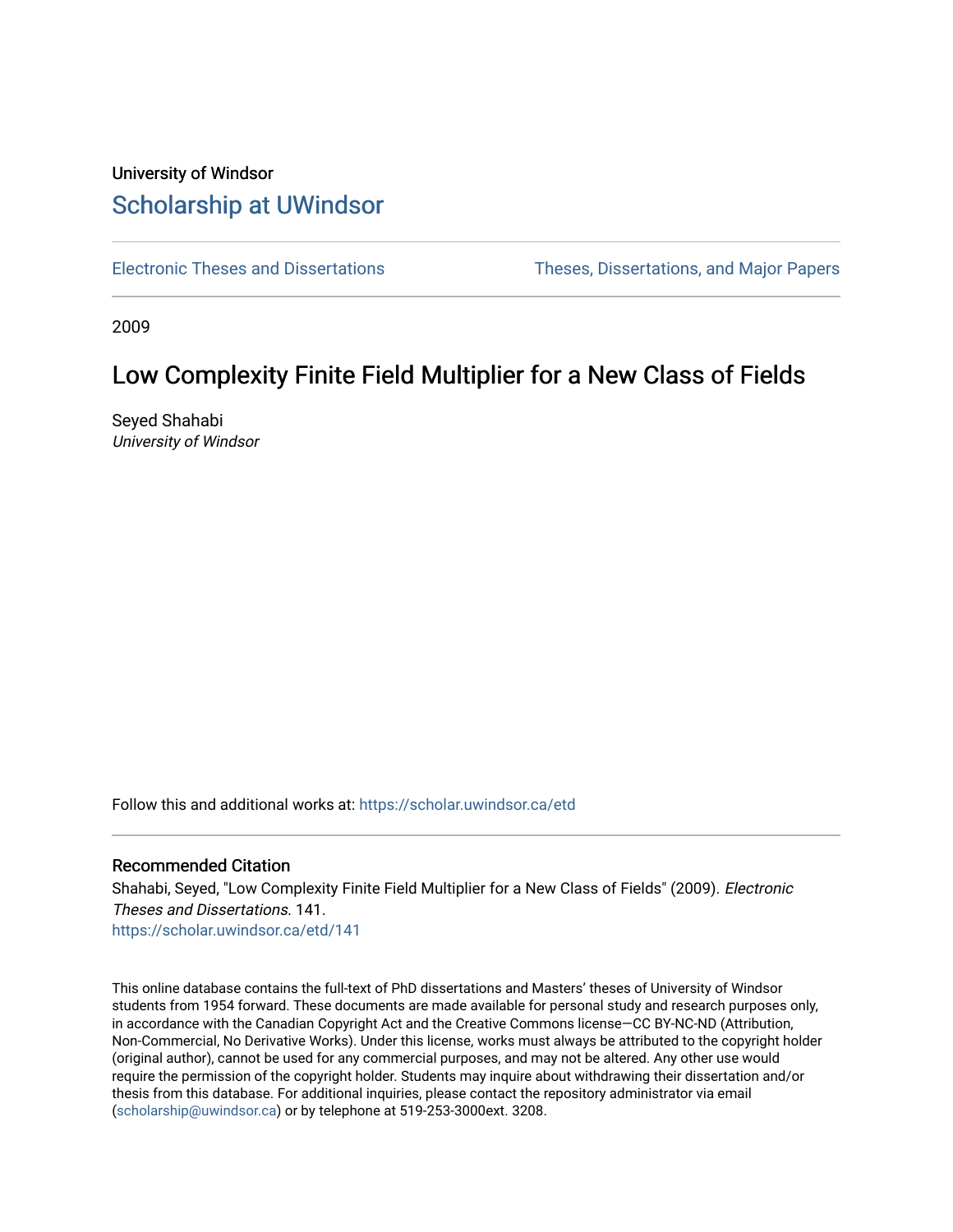### University of Windsor [Scholarship at UWindsor](https://scholar.uwindsor.ca/)

[Electronic Theses and Dissertations](https://scholar.uwindsor.ca/etd) [Theses, Dissertations, and Major Papers](https://scholar.uwindsor.ca/theses-dissertations-major-papers) 

2009

### Low Complexity Finite Field Multiplier for a New Class of Fields

Seyed Shahabi University of Windsor

Follow this and additional works at: [https://scholar.uwindsor.ca/etd](https://scholar.uwindsor.ca/etd?utm_source=scholar.uwindsor.ca%2Fetd%2F141&utm_medium=PDF&utm_campaign=PDFCoverPages) 

#### Recommended Citation

Shahabi, Seyed, "Low Complexity Finite Field Multiplier for a New Class of Fields" (2009). Electronic Theses and Dissertations. 141.

[https://scholar.uwindsor.ca/etd/141](https://scholar.uwindsor.ca/etd/141?utm_source=scholar.uwindsor.ca%2Fetd%2F141&utm_medium=PDF&utm_campaign=PDFCoverPages)

This online database contains the full-text of PhD dissertations and Masters' theses of University of Windsor students from 1954 forward. These documents are made available for personal study and research purposes only, in accordance with the Canadian Copyright Act and the Creative Commons license—CC BY-NC-ND (Attribution, Non-Commercial, No Derivative Works). Under this license, works must always be attributed to the copyright holder (original author), cannot be used for any commercial purposes, and may not be altered. Any other use would require the permission of the copyright holder. Students may inquire about withdrawing their dissertation and/or thesis from this database. For additional inquiries, please contact the repository administrator via email [\(scholarship@uwindsor.ca\)](mailto:scholarship@uwindsor.ca) or by telephone at 519-253-3000ext. 3208.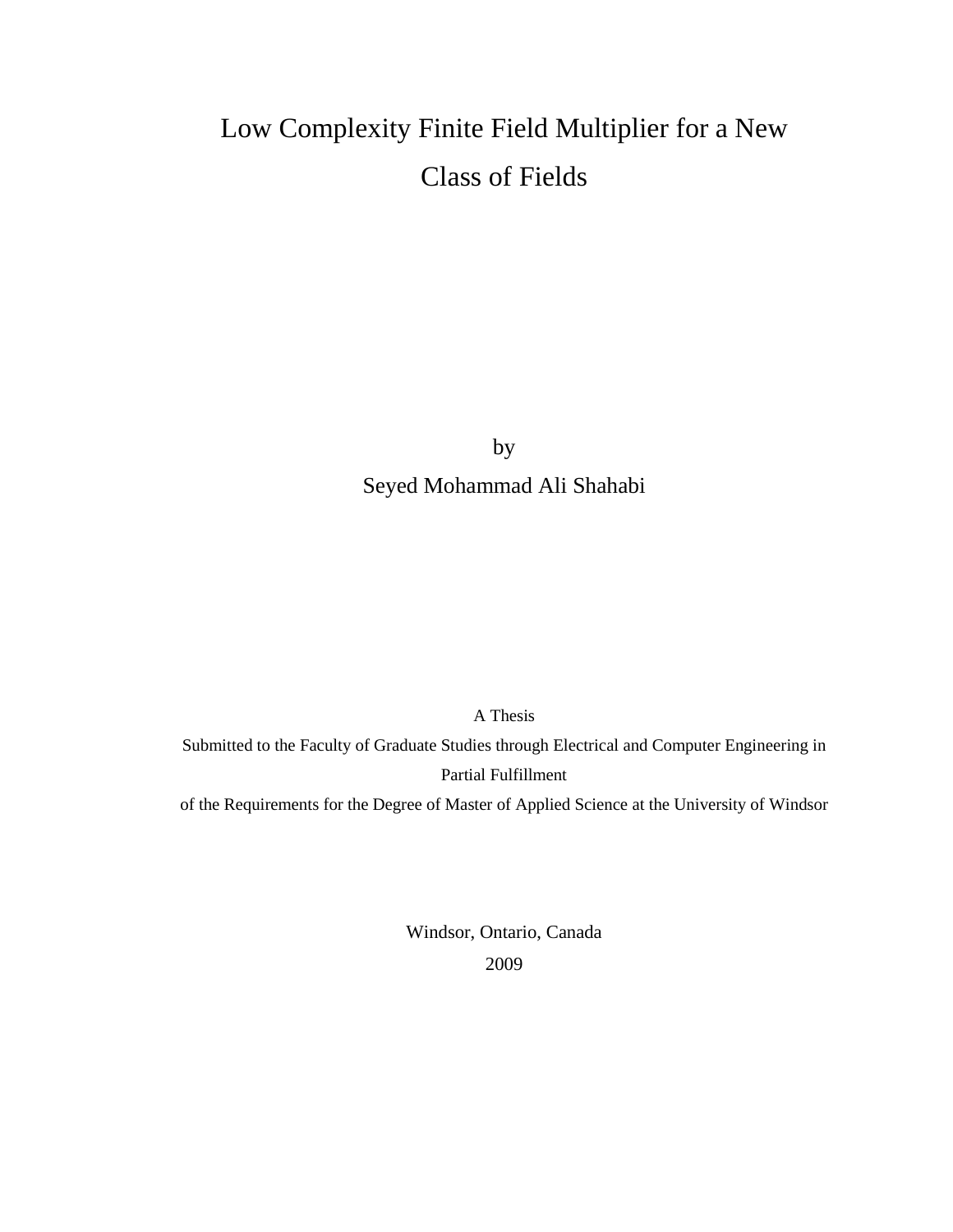# Low Complexity Finite Field Multiplier for a New Class of Fields

by

Seyed Mohammad Ali Shahabi

A Thesis

Submitted to the Faculty of Graduate Studies through Electrical and Computer Engineering in Partial Fulfillment

of the Requirements for the Degree of Master of Applied Science at the University of Windsor

Windsor, Ontario, Canada 2009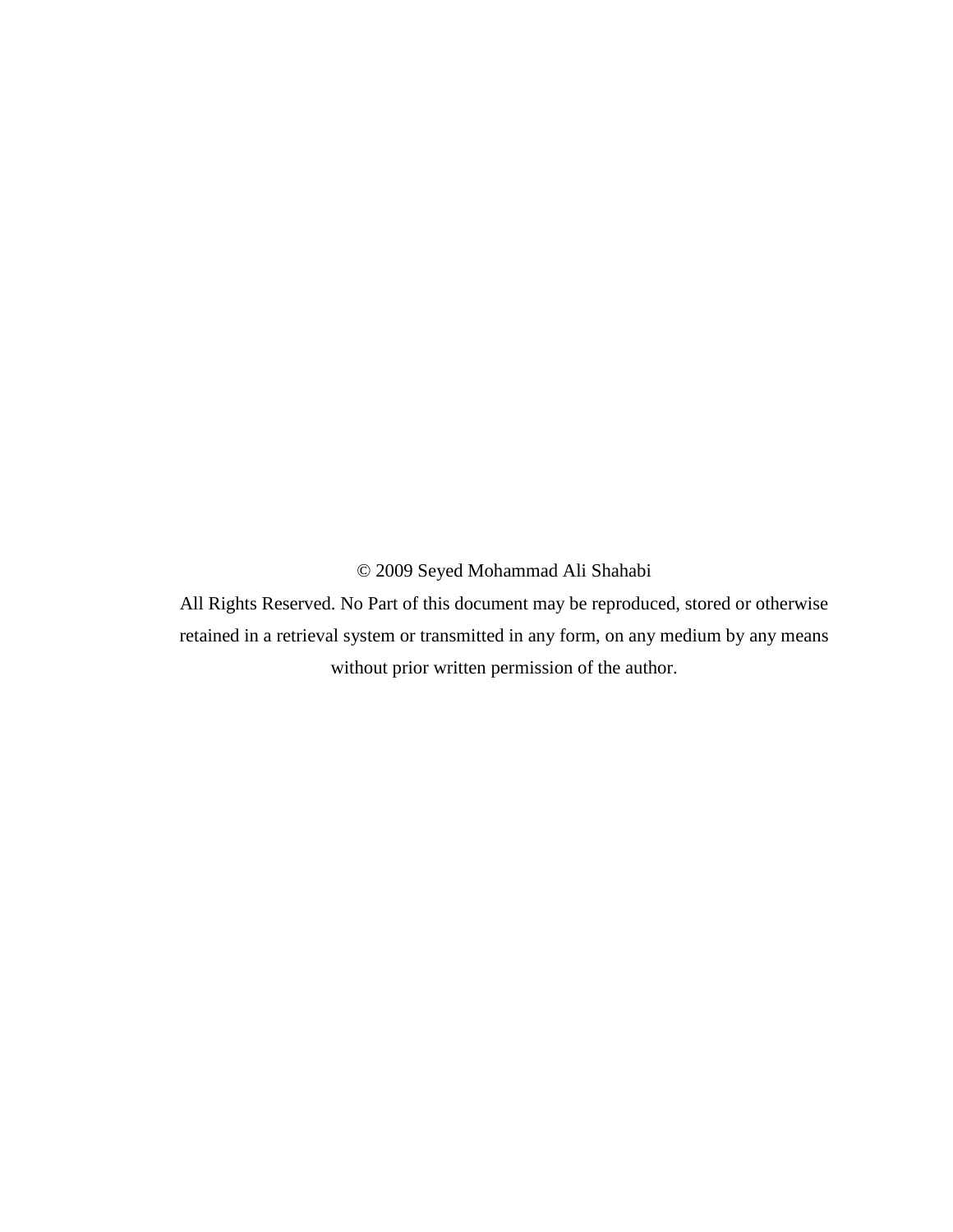© 2009 Seyed Mohammad Ali Shahabi

All Rights Reserved. No Part of this document may be reproduced, stored or otherwise retained in a retrieval system or transmitted in any form, on any medium by any means without prior written permission of the author.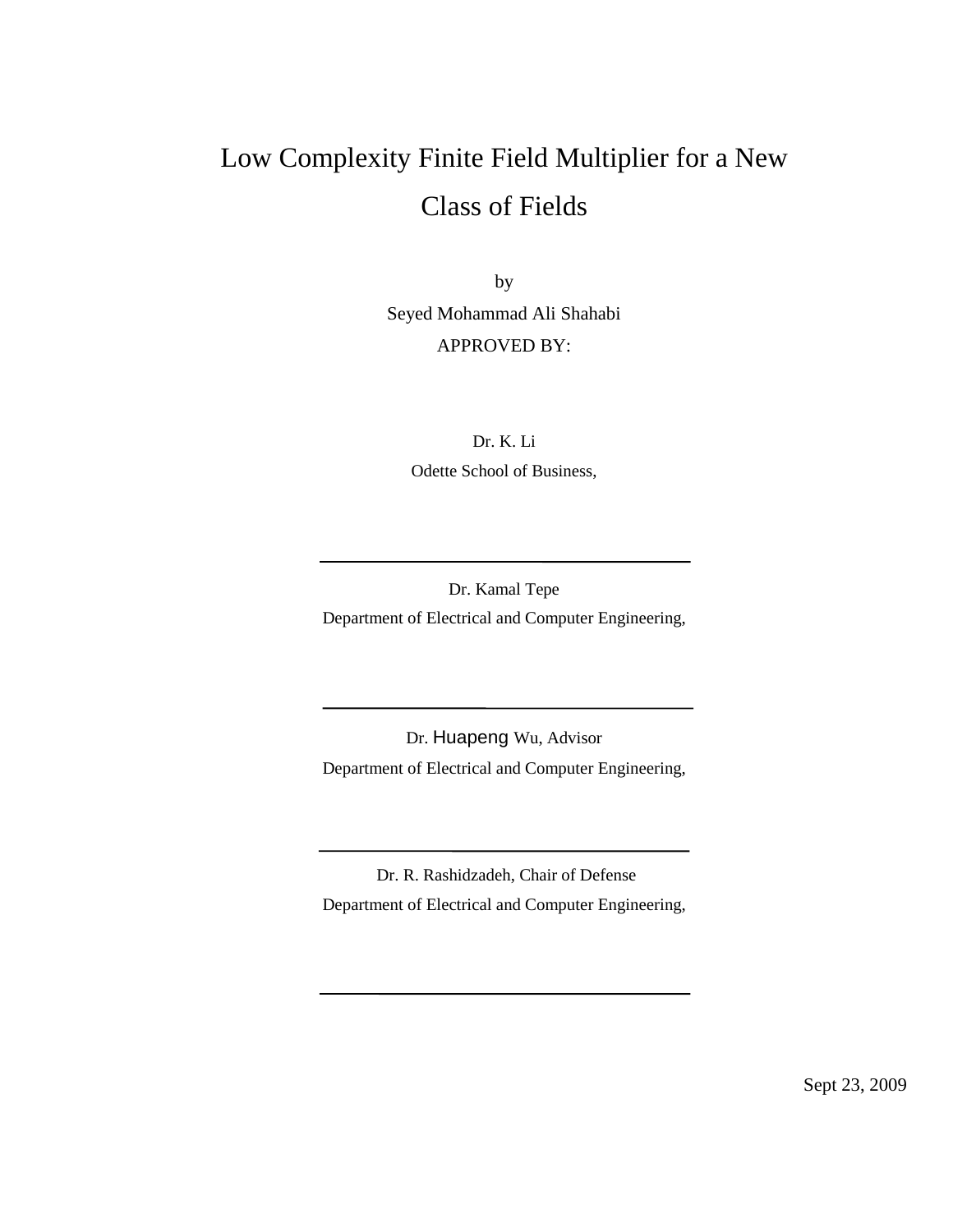# Low Complexity Finite Field Multiplier for a New Class of Fields

by Seyed Mohammad Ali Shahabi APPROVED BY:

> Dr. K. Li Odette School of Business,

Dr. Kamal Tepe Department of Electrical and Computer Engineering,

Dr. Huapeng Wu, Advisor Department of Electrical and Computer Engineering,

Dr. R. Rashidzadeh, Chair of Defense Department of Electrical and Computer Engineering,

Sept 23, 2009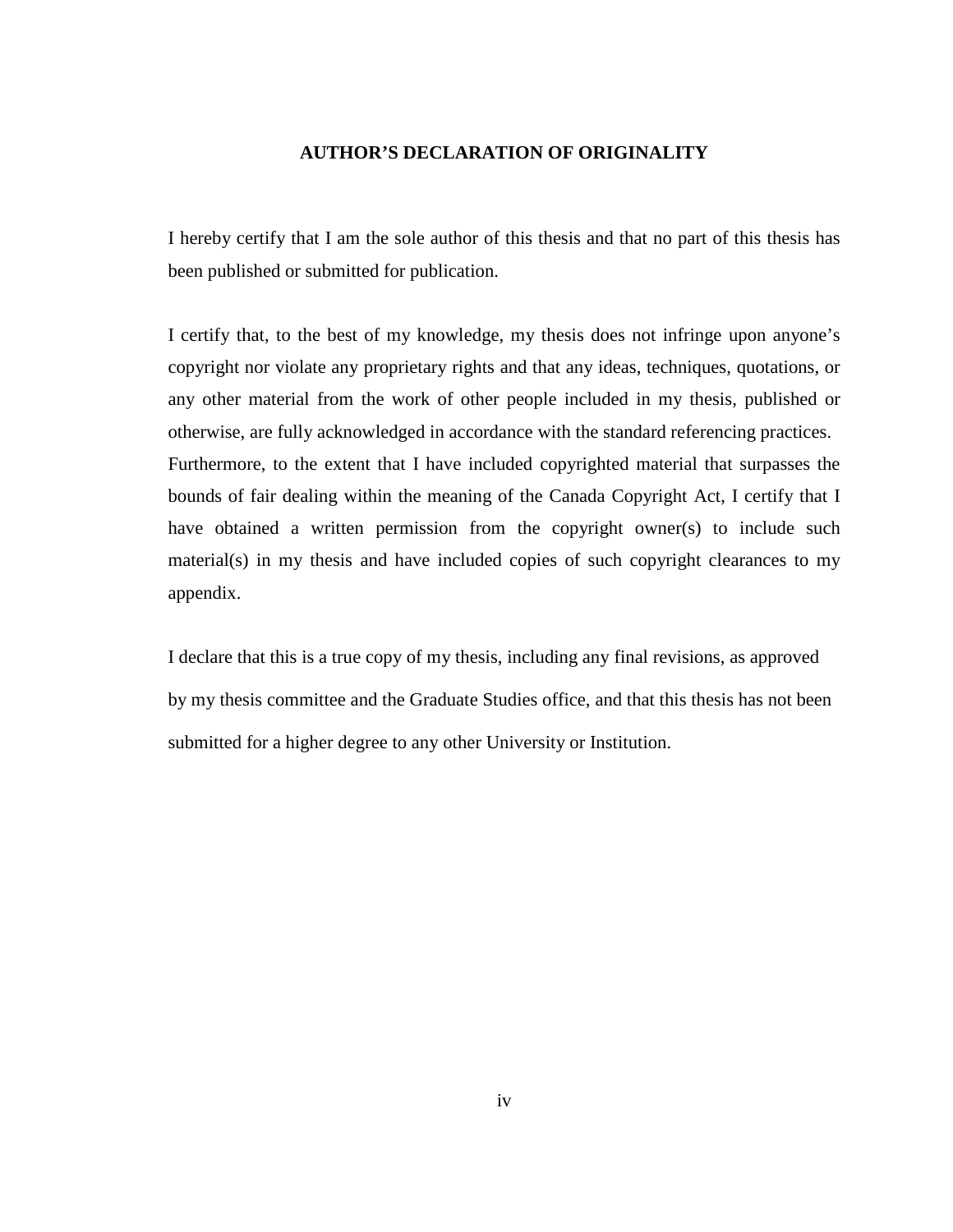#### **AUTHOR'S DECLARATION OF ORIGINALITY**

<span id="page-4-0"></span>I hereby certify that I am the sole author of this thesis and that no part of this thesis has been published or submitted for publication.

I certify that, to the best of my knowledge, my thesis does not infringe upon anyone's copyright nor violate any proprietary rights and that any ideas, techniques, quotations, or any other material from the work of other people included in my thesis, published or otherwise, are fully acknowledged in accordance with the standard referencing practices. Furthermore, to the extent that I have included copyrighted material that surpasses the bounds of fair dealing within the meaning of the Canada Copyright Act, I certify that I have obtained a written permission from the copyright owner(s) to include such material(s) in my thesis and have included copies of such copyright clearances to my appendix.

I declare that this is a true copy of my thesis, including any final revisions, as approved by my thesis committee and the Graduate Studies office, and that this thesis has not been submitted for a higher degree to any other University or Institution.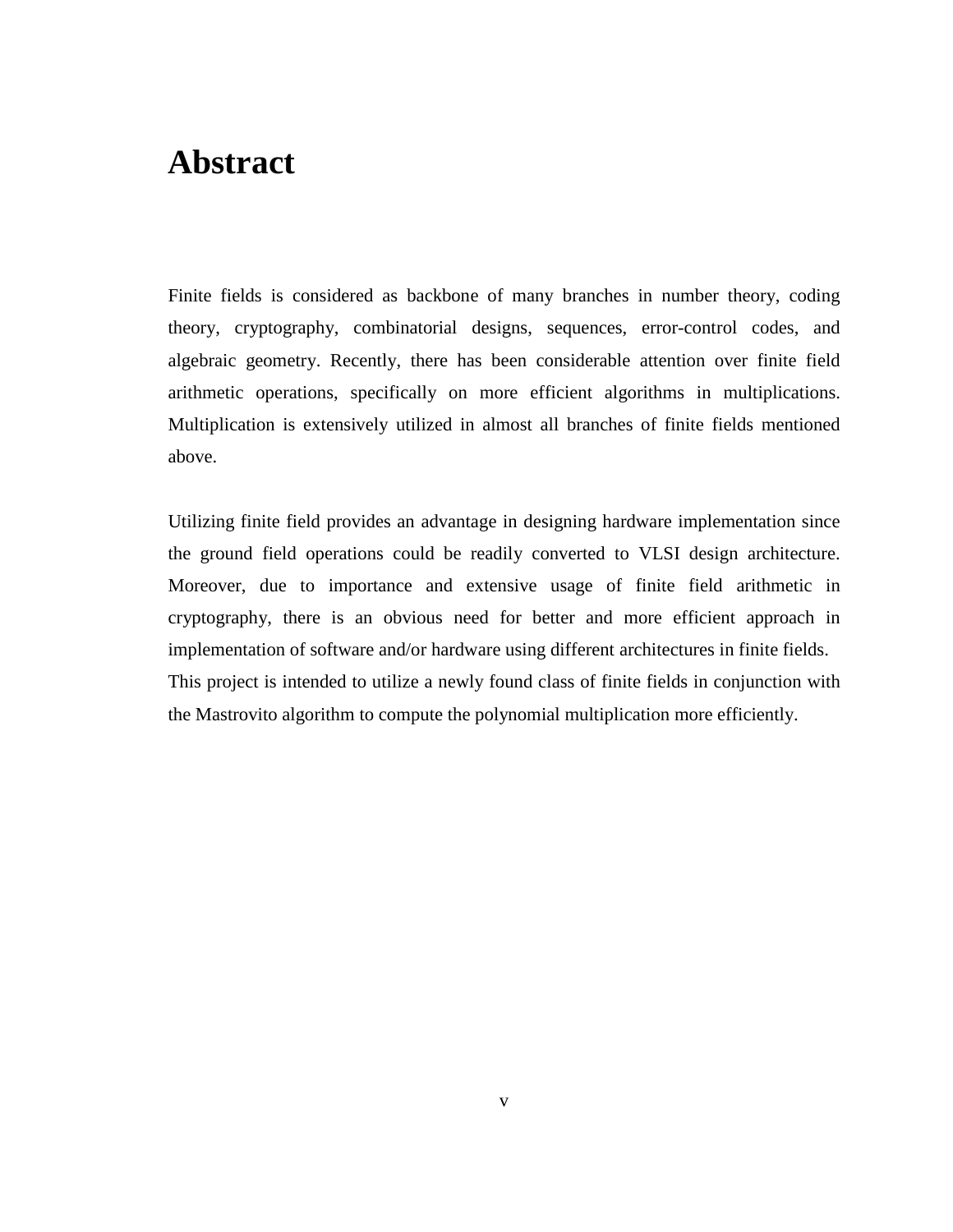## **Abstract**

Finite fields is considered as backbone of many branches in number theory, coding theory, cryptography, combinatorial designs, sequences, error-control codes, and algebraic geometry. Recently, there has been considerable attention over finite field arithmetic operations, specifically on more efficient algorithms in multiplications. Multiplication is extensively utilized in almost all branches of finite fields mentioned above.

Utilizing finite field provides an advantage in designing hardware implementation since the ground field operations could be readily converted to VLSI design architecture. Moreover, due to importance and extensive usage of finite field arithmetic in cryptography, there is an obvious need for better and more efficient approach in implementation of software and/or hardware using different architectures in finite fields. This project is intended to utilize a newly found class of finite fields in conjunction with the Mastrovito algorithm to compute the polynomial multiplication more efficiently.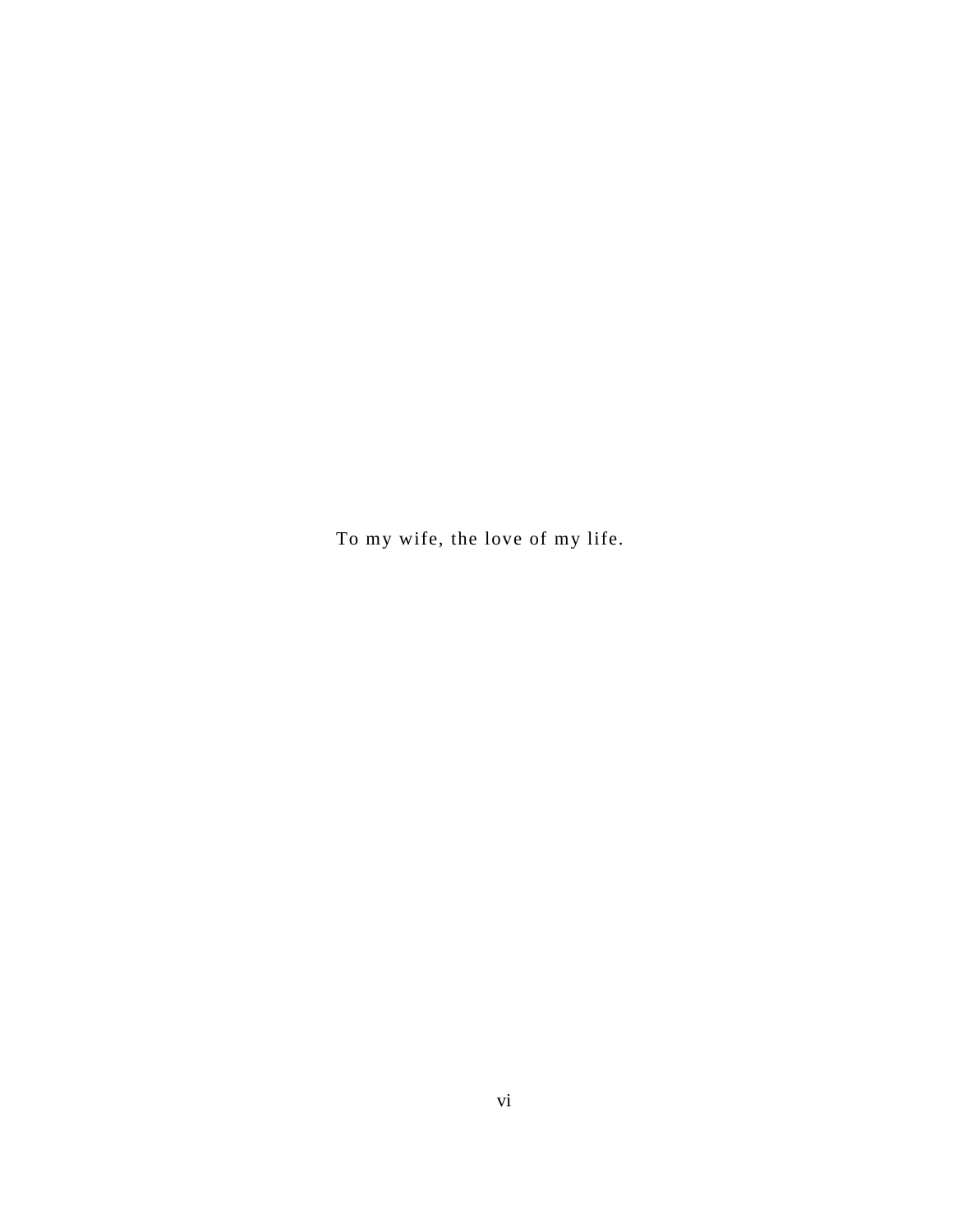To my wife, the love of my life.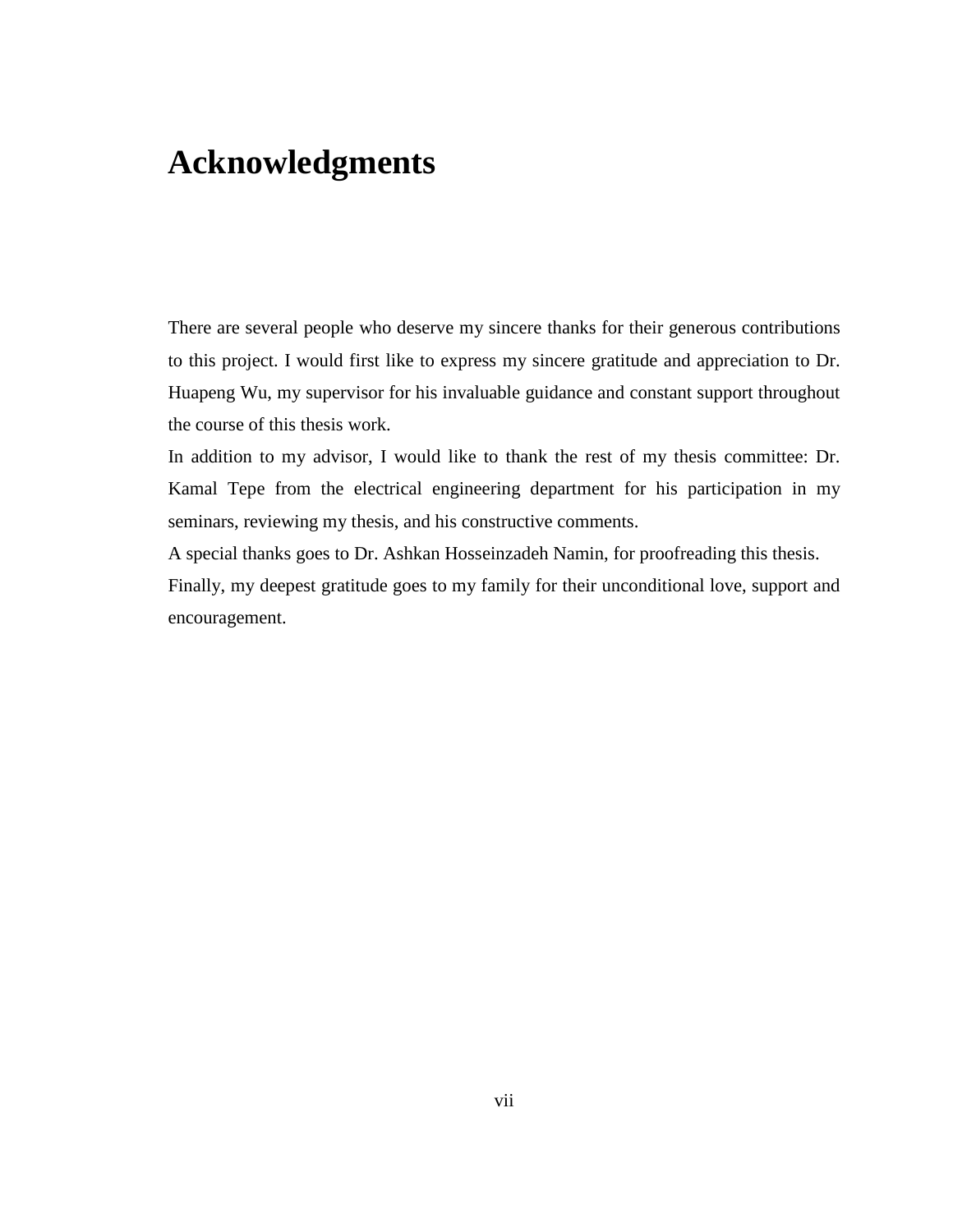## <span id="page-7-0"></span>**Acknowledgments**

There are several people who deserve my sincere thanks for their generous contributions to this project. I would first like to express my sincere gratitude and appreciation to Dr. Huapeng Wu, my supervisor for his invaluable guidance and constant support throughout the course of this thesis work.

In addition to my advisor, I would like to thank the rest of my thesis committee: Dr. Kamal Tepe from the electrical engineering department for his participation in my seminars, reviewing my thesis, and his constructive comments.

A special thanks goes to Dr. Ashkan Hosseinzadeh Namin, for proofreading this thesis. Finally, my deepest gratitude goes to my family for their unconditional love, support and encouragement.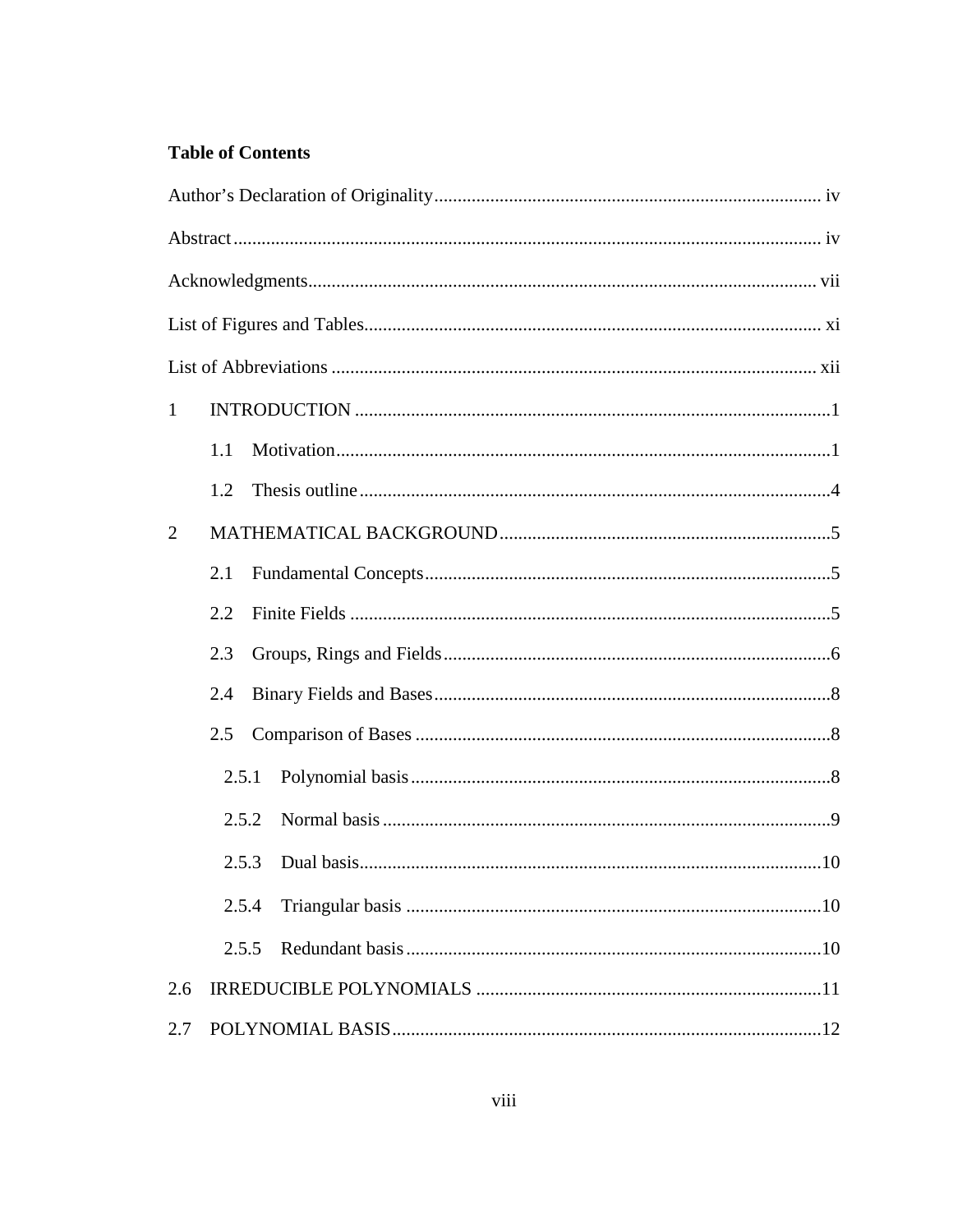#### **Table of Contents**

| $\mathbf{1}$   |       |  |
|----------------|-------|--|
|                | 1.1   |  |
|                | 1.2   |  |
| $\overline{2}$ |       |  |
|                | 2.1   |  |
|                | 2.2   |  |
|                | 2.3   |  |
|                | 2.4   |  |
|                | 2.5   |  |
|                | 2.5.1 |  |
|                | 2.5.2 |  |
|                | 2.5.3 |  |
|                | 2.5.4 |  |
|                | 2.5.5 |  |
| 2.6            |       |  |
| 2.7            |       |  |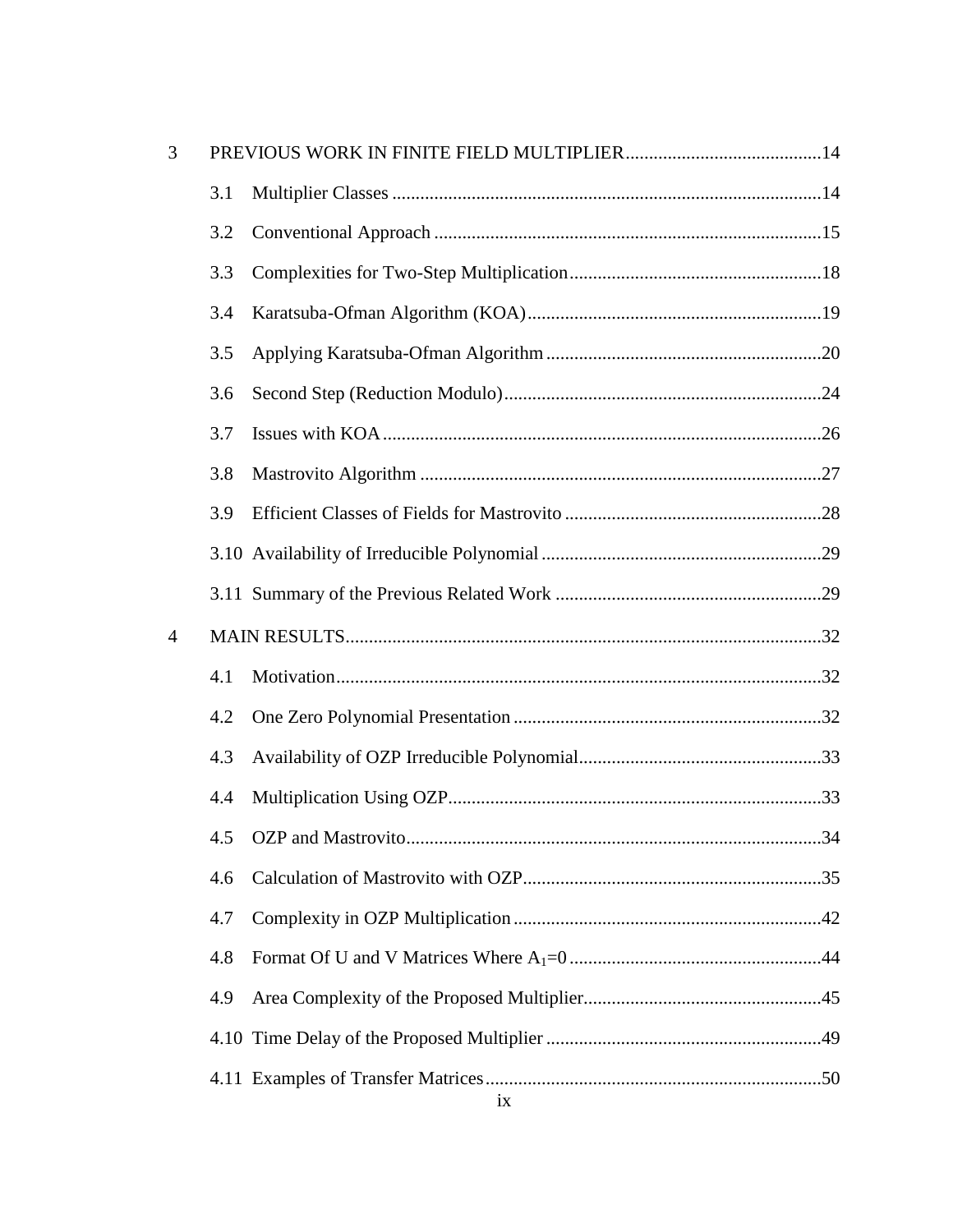| 3              |     |                        |     |
|----------------|-----|------------------------|-----|
|                | 3.1 |                        |     |
|                | 3.2 |                        |     |
|                | 3.3 |                        |     |
|                | 3.4 |                        |     |
|                | 3.5 |                        |     |
|                | 3.6 |                        |     |
|                | 3.7 |                        |     |
|                | 3.8 |                        |     |
|                | 3.9 |                        |     |
|                |     |                        |     |
|                |     |                        |     |
|                |     |                        |     |
| $\overline{4}$ |     |                        |     |
|                | 4.1 |                        |     |
|                | 4.2 |                        |     |
|                | 4.3 |                        |     |
|                | 4.4 |                        |     |
|                |     | 4.5 OZP and Mastrovito | .34 |
|                | 4.6 |                        |     |
|                | 4.7 |                        |     |
|                | 4.8 |                        |     |
|                | 4.9 |                        |     |
|                |     |                        |     |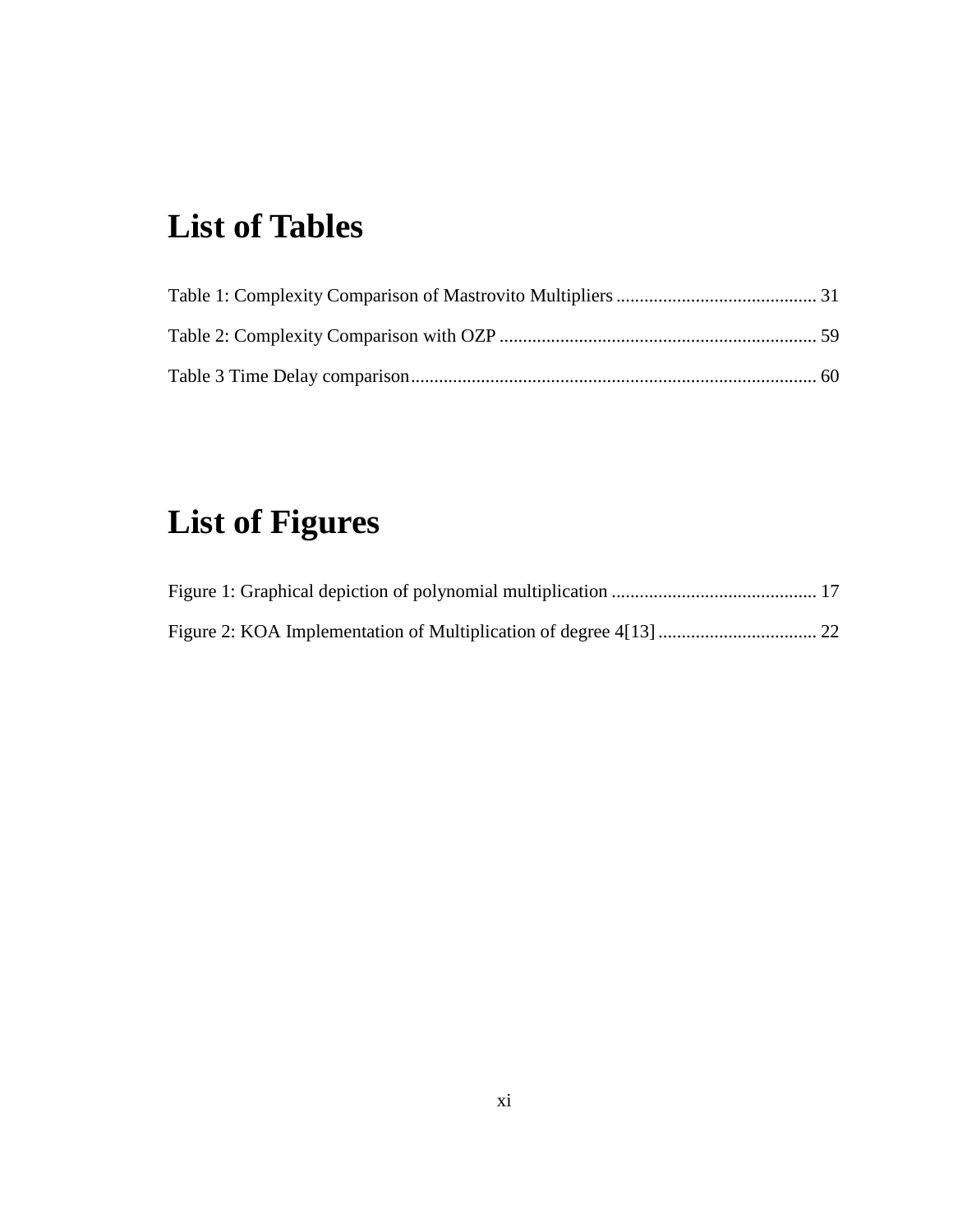# <span id="page-11-0"></span>**List of Tables**

# **List of Figures**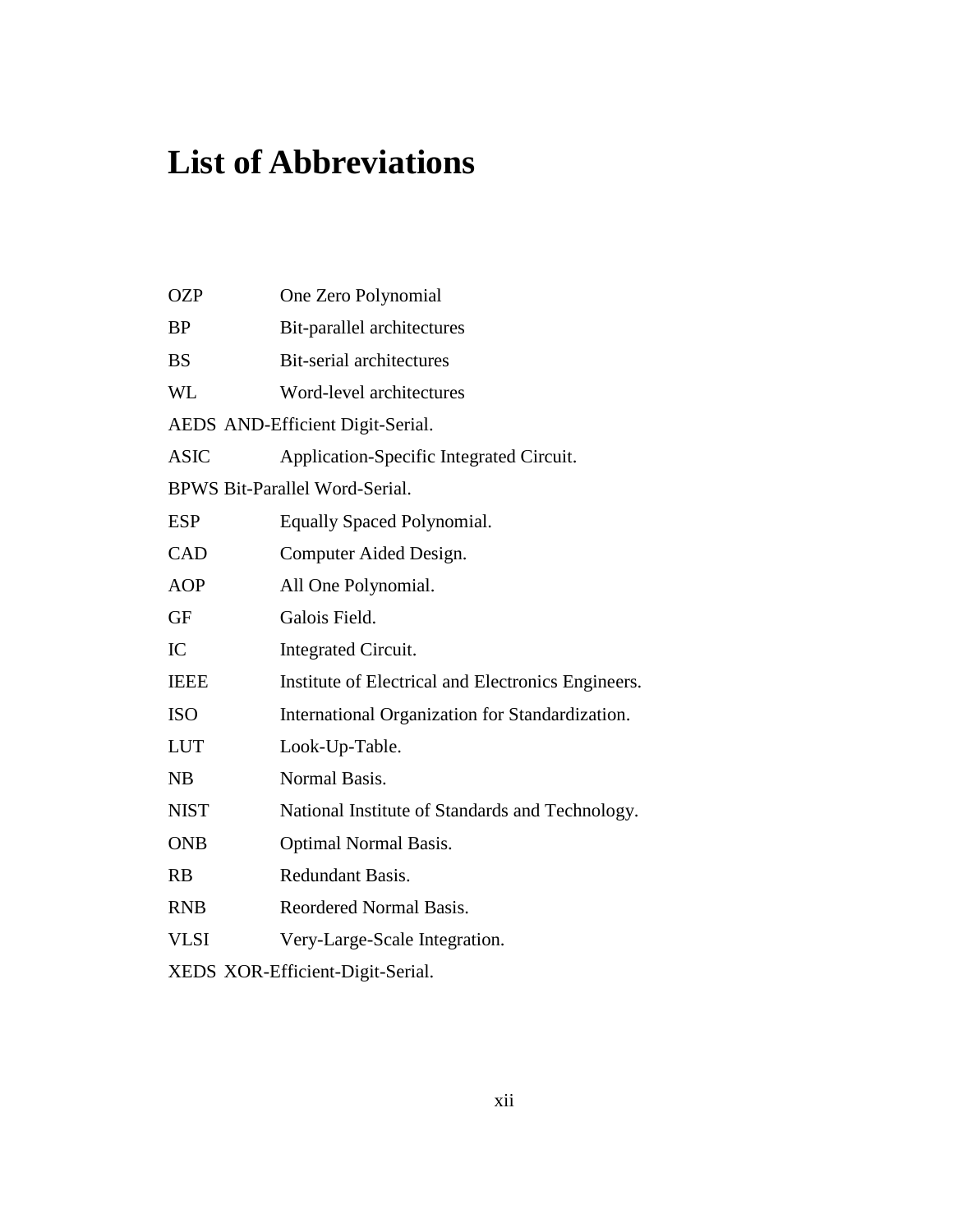# <span id="page-12-0"></span>**List of Abbreviations**

| <b>OZP</b>                     | One Zero Polynomial                                |  |
|--------------------------------|----------------------------------------------------|--|
| <b>BP</b>                      | Bit-parallel architectures                         |  |
| <b>BS</b>                      | <b>Bit-serial architectures</b>                    |  |
| <b>WL</b>                      | Word-level architectures                           |  |
|                                | AEDS AND-Efficient Digit-Serial.                   |  |
| <b>ASIC</b>                    | Application-Specific Integrated Circuit.           |  |
| BPWS Bit-Parallel Word-Serial. |                                                    |  |
| <b>ESP</b>                     | Equally Spaced Polynomial.                         |  |
| CAD                            | Computer Aided Design.                             |  |
| <b>AOP</b>                     | All One Polynomial.                                |  |
| <b>GF</b>                      | Galois Field.                                      |  |
| IC                             | Integrated Circuit.                                |  |
| <b>IEEE</b>                    | Institute of Electrical and Electronics Engineers. |  |
| <b>ISO</b>                     | International Organization for Standardization.    |  |
| <b>LUT</b>                     | Look-Up-Table.                                     |  |
| NB                             | Normal Basis.                                      |  |
| <b>NIST</b>                    | National Institute of Standards and Technology.    |  |
| <b>ONB</b>                     | <b>Optimal Normal Basis.</b>                       |  |
| RB                             | Redundant Basis.                                   |  |
| <b>RNB</b>                     | Reordered Normal Basis.                            |  |
| <b>VLSI</b>                    | Very-Large-Scale Integration.                      |  |
|                                | XEDS XOR-Efficient-Digit-Serial.                   |  |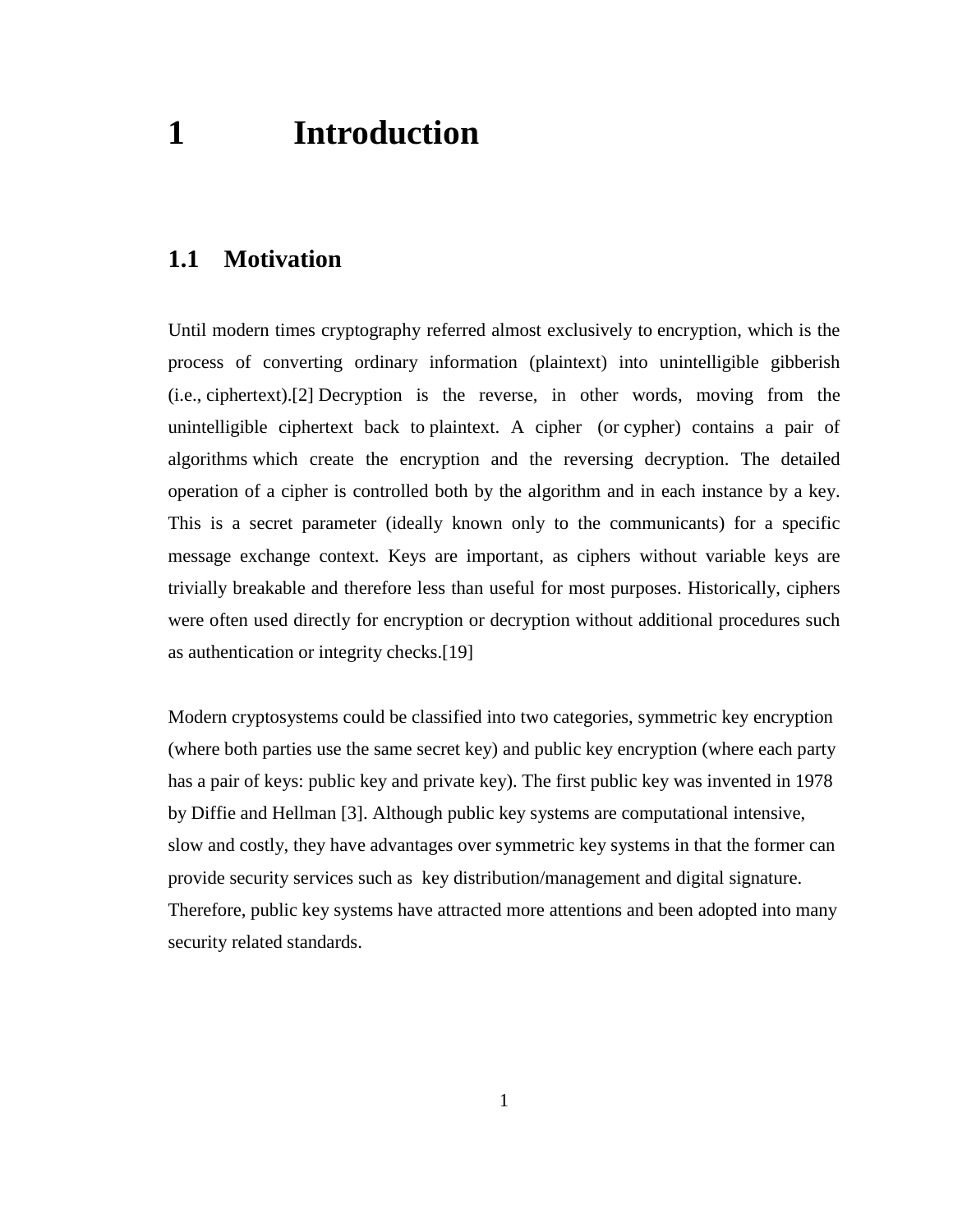# <span id="page-13-0"></span>**1 Introduction**

#### <span id="page-13-1"></span>**1.1 Motivation**

Until modern times cryptography referred almost exclusively to encryption, which is the process of converting ordinary information [\(plaintext\)](http://en.wikipedia.org/wiki/Plaintext) into unintelligible gibberish (i.e., ciphertext)[.\[2\]](http://en.wikipedia.org/wiki/Cryptography#cite_note-kahnbook-1) Decryption is the reverse, in other words, moving from the unintelligible ciphertext back to [plaintext.](http://en.wikipedia.org/wiki/Plaintext) A [cipher](http://en.wikipedia.org/wiki/Cipher) (or cypher) contains a pair of algorithms which create the encryption and the reversing decryption. The detailed operation of a cipher is controlled both by the algorithm and in each instance by a [key.](http://en.wikipedia.org/wiki/Key_(cryptography)) This is a secret parameter (ideally known only to the communicants) for a specific message exchange context. Keys are important, as ciphers without variable keys are trivially breakable and therefore less than useful for most purposes. Historically, ciphers were often used directly for encryption or decryption without additional procedures such as authentication or integrity checks.[19]

Modern cryptosystems could be classified into two categories, symmetric key encryption (where both parties use the same secret key) and public key encryption (where each party has a pair of keys: public key and private key). The first public key was invented in 1978 by Diffie and Hellman [3]. Although public key systems are computational intensive, slow and costly, they have advantages over symmetric key systems in that the former can provide security services such as key distribution/management and digital signature. Therefore, public key systems have attracted more attentions and been adopted into many security related standards.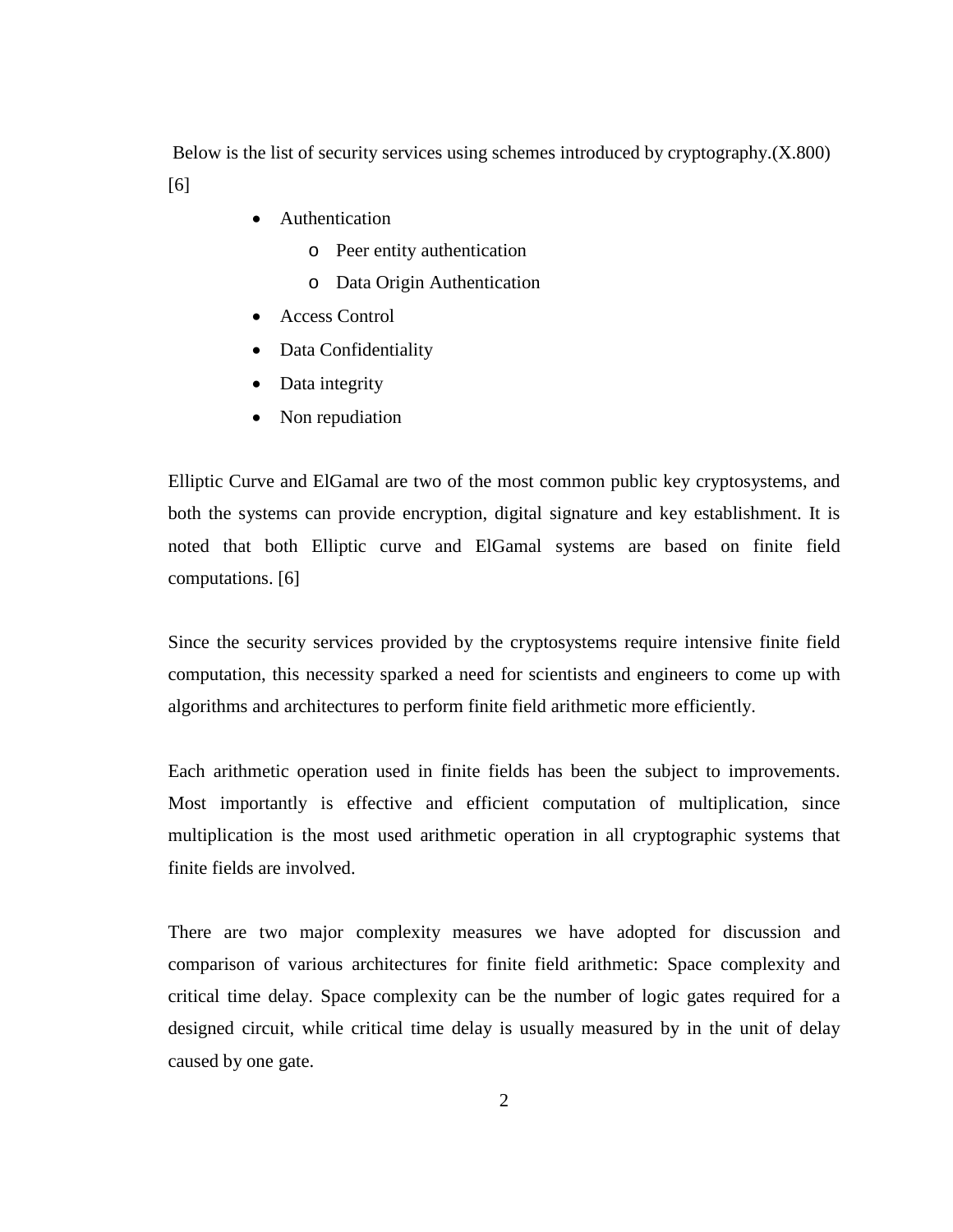Below is the list of security services using schemes introduced by cryptography.(X.800) [6]

- Authentication
	- o Peer entity authentication
	- o Data Origin Authentication
- Access Control
- Data Confidentiality
- Data integrity
- Non repudiation

Elliptic Curve and ElGamal are two of the most common public key cryptosystems, and both the systems can provide encryption, digital signature and key establishment. It is noted that both Elliptic curve and ElGamal systems are based on finite field computations. [6]

Since the security services provided by the cryptosystems require intensive finite field computation, this necessity sparked a need for scientists and engineers to come up with algorithms and architectures to perform finite field arithmetic more efficiently.

Each arithmetic operation used in finite fields has been the subject to improvements. Most importantly is effective and efficient computation of multiplication, since multiplication is the most used arithmetic operation in all cryptographic systems that finite fields are involved.

There are two major complexity measures we have adopted for discussion and comparison of various architectures for finite field arithmetic: Space complexity and critical time delay. Space complexity can be the number of logic gates required for a designed circuit, while critical time delay is usually measured by in the unit of delay caused by one gate.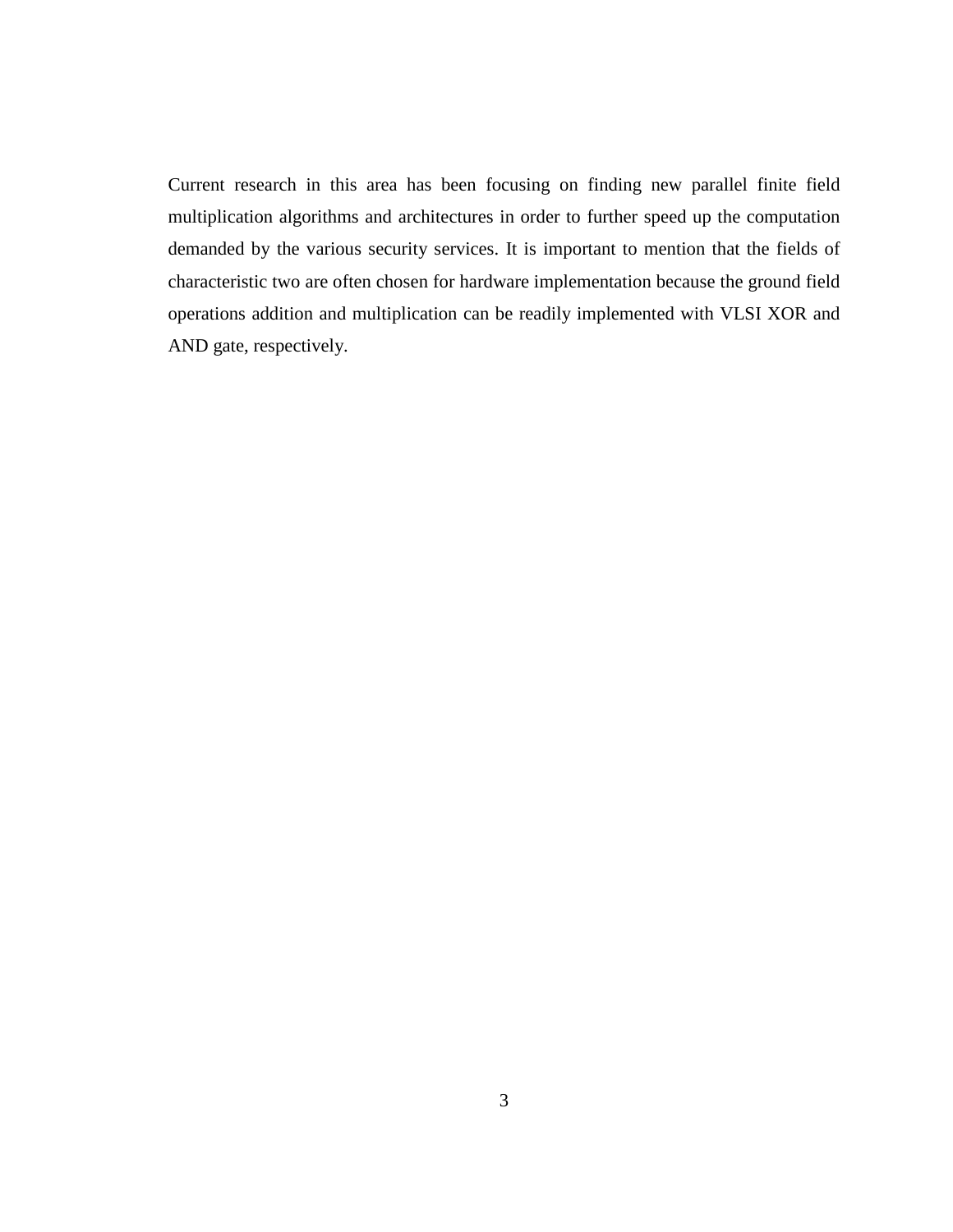Current research in this area has been focusing on finding new parallel finite field multiplication algorithms and architectures in order to further speed up the computation demanded by the various security services. It is important to mention that the fields of characteristic two are often chosen for hardware implementation because the ground field operations addition and multiplication can be readily implemented with VLSI XOR and AND gate, respectively.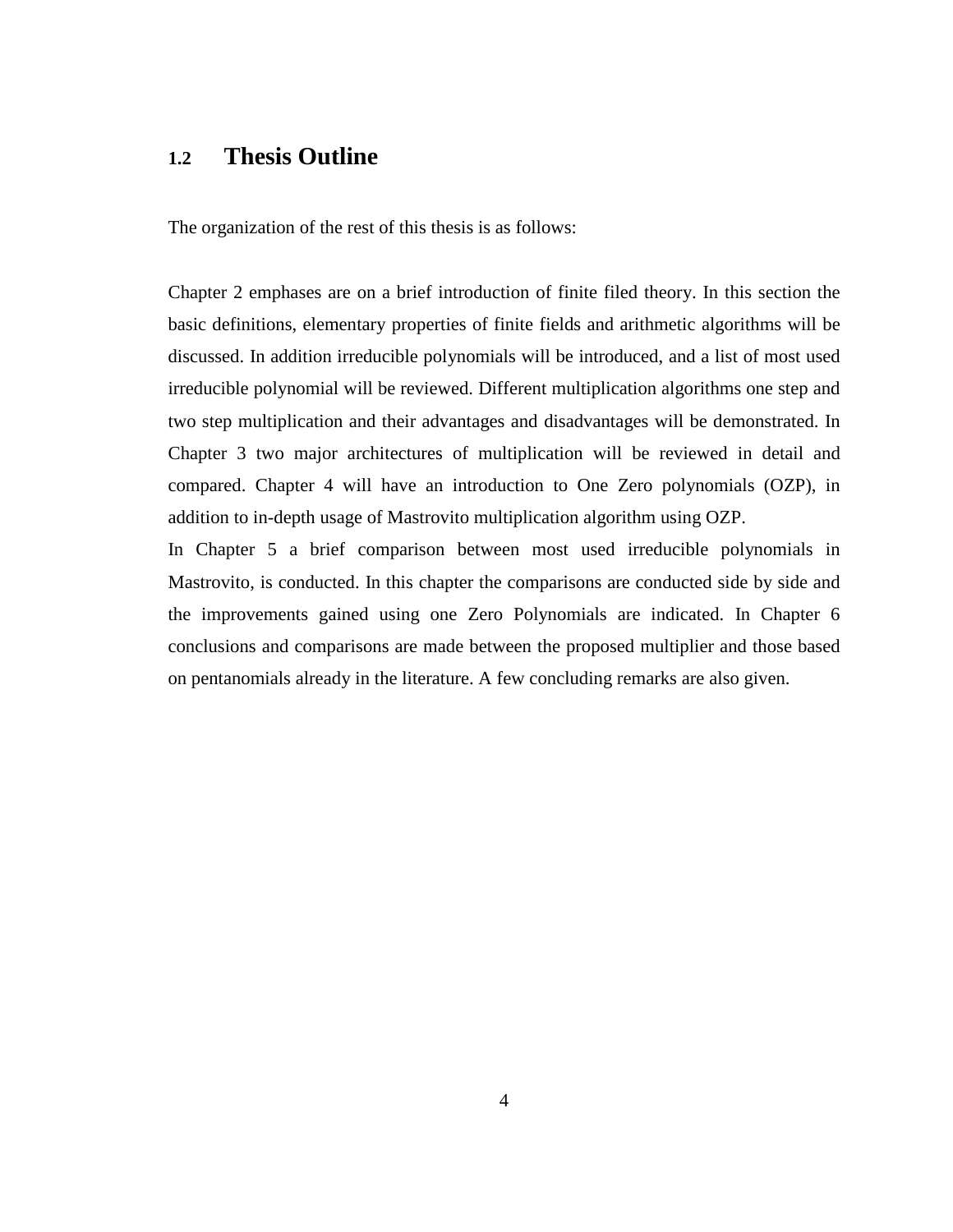#### <span id="page-16-0"></span>**1.2 Thesis Outline**

The organization of the rest of this thesis is as follows:

Chapter 2 emphases are on a brief introduction of finite filed theory. In this section the basic definitions, elementary properties of finite fields and arithmetic algorithms will be discussed. In addition irreducible polynomials will be introduced, and a list of most used irreducible polynomial will be reviewed. Different multiplication algorithms one step and two step multiplication and their advantages and disadvantages will be demonstrated. In Chapter 3 two major architectures of multiplication will be reviewed in detail and compared. Chapter 4 will have an introduction to One Zero polynomials (OZP), in addition to in-depth usage of Mastrovito multiplication algorithm using OZP.

In Chapter 5 a brief comparison between most used irreducible polynomials in Mastrovito, is conducted. In this chapter the comparisons are conducted side by side and the improvements gained using one Zero Polynomials are indicated. In Chapter 6 conclusions and comparisons are made between the proposed multiplier and those based on pentanomials already in the literature. A few concluding remarks are also given.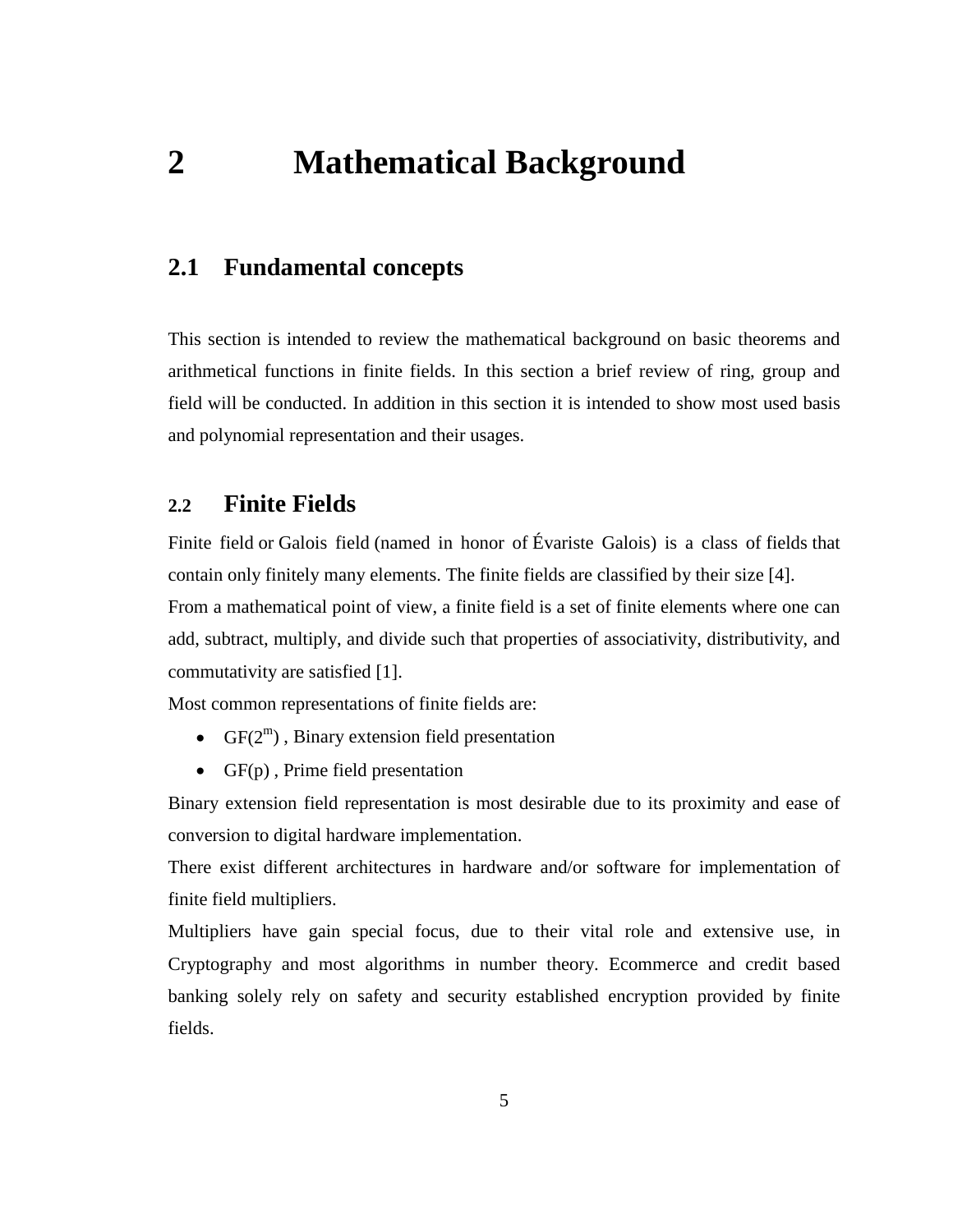## <span id="page-17-0"></span>**2 Mathematical Background**

#### <span id="page-17-1"></span>**2.1 Fundamental concepts**

This section is intended to review the mathematical background on basic theorems and arithmetical functions in finite fields. In this section a brief review of ring, group and field will be conducted. In addition in this section it is intended to show most used basis and polynomial representation and their usages.

#### <span id="page-17-2"></span>**2.2 Finite Fields**

Finite field or Galois field (named in honor of Évariste Galois) is a class of [fields](http://en.wikipedia.org/wiki/Field_(mathematics)) that contain only finitely many elements. The finite fields are classified by their size [4].

From a mathematical point of view, a finite field is a set of finite elements where one can add, subtract, multiply, and divide such that properties of associativity, distributivity, and commutativity are satisfied [1].

Most common representations of finite fields are:

- $GF(2^m)$ , Binary extension field presentation
- $GF(p)$ , Prime field presentation

Binary extension field representation is most desirable due to its proximity and ease of conversion to digital hardware implementation.

There exist different architectures in hardware and/or software for implementation of finite field multipliers.

Multipliers have gain special focus, due to their vital role and extensive use, in Cryptography and most algorithms in number theory. Ecommerce and credit based banking solely rely on safety and security established encryption provided by finite fields.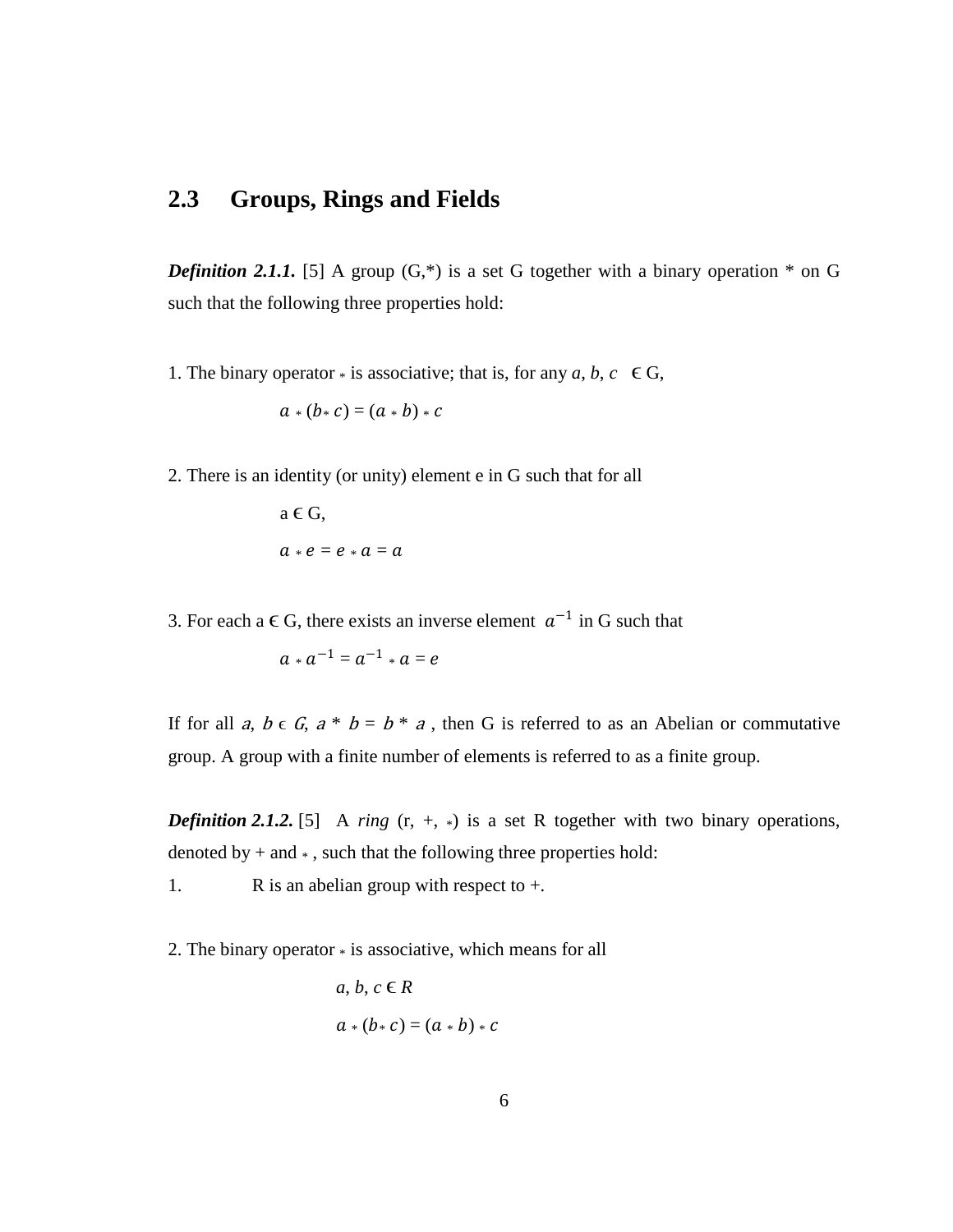### <span id="page-18-0"></span>**2.3 Groups, Rings and Fields**

**Definition 2.1.1.** [5] A group  $(G,*)$  is a set G together with a binary operation  $*$  on G such that the following three properties hold:

1. The binary operator  $*$  is associative; that is, for any *a*, *b*, *c*  $\in$  G,

$$
a*(b*c)=(a*b)*c
$$

2. There is an identity (or unity) element e in G such that for all

 $a \in G$ ,  $a * e = e * a = a$ 

 $\mathbb{R}^2$ 

3. For each a ∈ G, there exists an inverse element  $a^{-1}$  in G such that

$$
a * a^{-1} = a^{-1} * a = e
$$

 $\mathbb{Z}$ 

If for all a,  $b \in G$ ,  $a * b = b * a$ , then G is referred to as an Abelian or commutative group. A group with a finite number of elements is referred to as a finite group.

*Definition 2.1.2.* [5] A *ring*  $(r, +, *)$  is a set R together with two binary operations, denoted by  $+$  and  $*$ , such that the following three properties hold:

1. R is an abelian group with respect to  $+$ .

2. The binary operator  $*$  is associative, which means for all

$$
a, b, c \in R
$$

$$
a * (b * c) = (a * b) * c
$$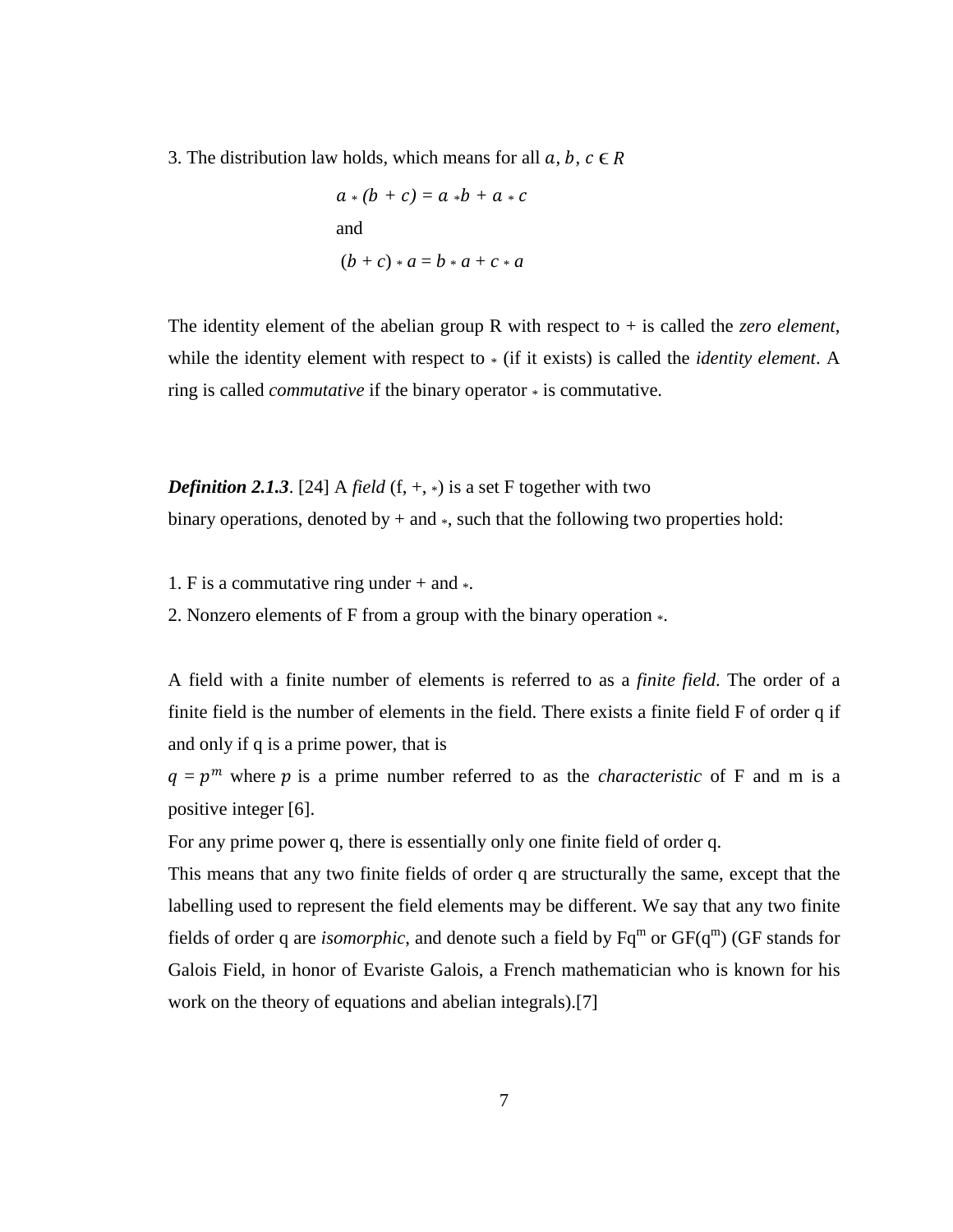3. The distribution law holds, which means for all  $a, b, c \in R$ 

$$
a * (b + c) = a * b + a * c
$$
  
and  

$$
(b + c) * a = b * a + c * a
$$

The identity element of the abelian group R with respect to + is called the *zero element*, while the identity element with respect to  $*$  (if it exists) is called the *identity element*. A ring is called *commutative* if the binary operator  $*$  is commutative.

*Definition 2.1.3.* [24] A *field*  $(f, +, *)$  is a set F together with two binary operations, denoted by  $+$  and  $*$ , such that the following two properties hold:

1. F is a commutative ring under + and \*.

2. Nonzero elements of F from a group with the binary operation \*.

A field with a finite number of elements is referred to as a *finite field*. The order of a finite field is the number of elements in the field. There exists a finite field F of order q if and only if q is a prime power, that is

 $q = p^m$  where p is a prime number referred to as the *characteristic* of F and m is a positive integer [6].

For any prime power q, there is essentially only one finite field of order q.

This means that any two finite fields of order q are structurally the same, except that the labelling used to represent the field elements may be different. We say that any two finite fields of order q are *isomorphic*, and denote such a field by  $Fq^m$  or  $GF(q^m)$  (GF stands for Galois Field, in honor of Evariste Galois, a French mathematician who is known for his work on the theory of equations and abelian integrals).[7]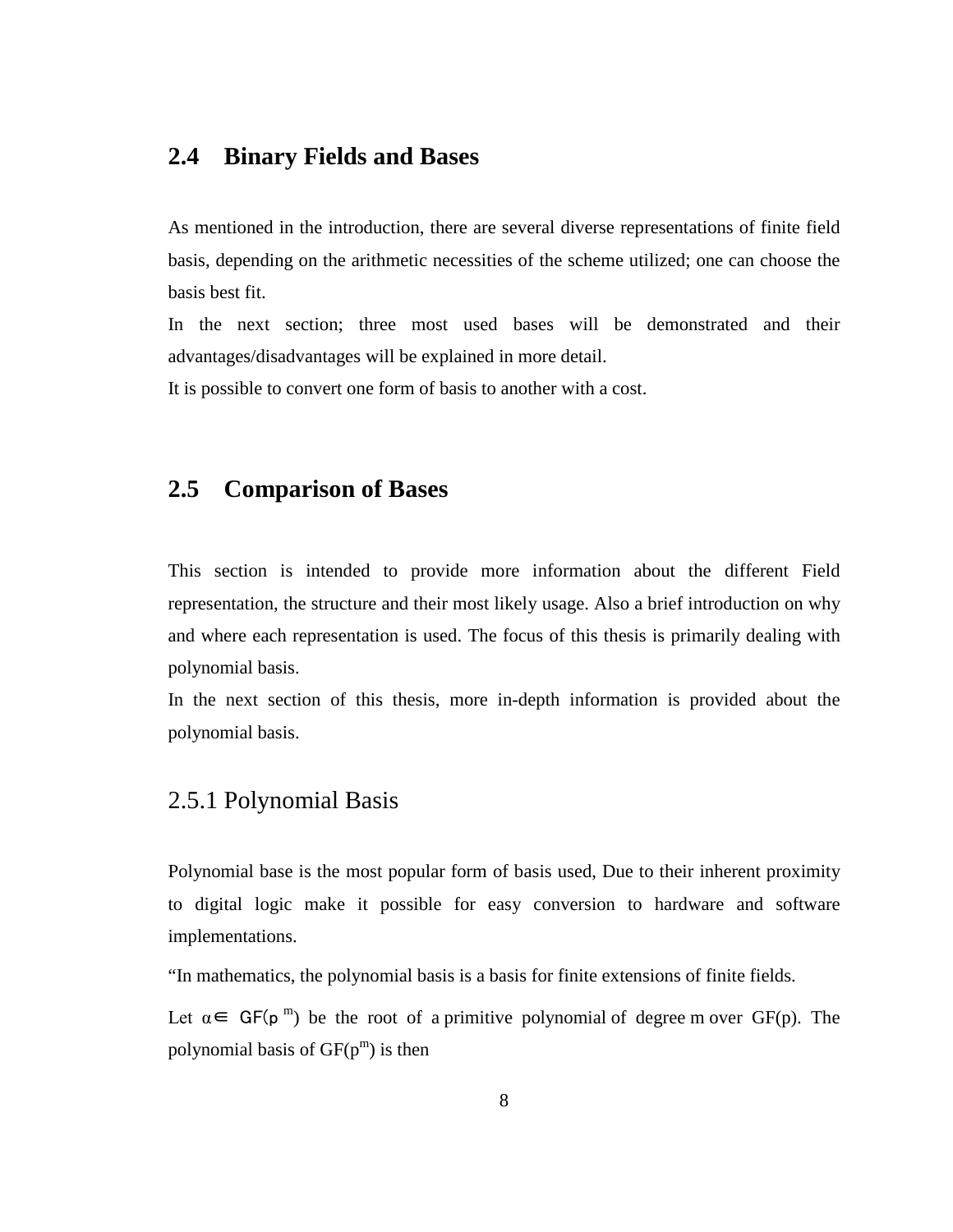#### <span id="page-20-0"></span>**2.4 Binary Fields and Bases**

As mentioned in the introduction, there are several diverse representations of finite field basis, depending on the arithmetic necessities of the scheme utilized; one can choose the basis best fit.

In the next section; three most used bases will be demonstrated and their advantages/disadvantages will be explained in more detail.

It is possible to convert one form of basis to another with a cost.

#### <span id="page-20-1"></span>**2.5 Comparison of Bases**

This section is intended to provide more information about the different Field representation, the structure and their most likely usage. Also a brief introduction on why and where each representation is used. The focus of this thesis is primarily dealing with polynomial basis.

In the next section of this thesis, more in-depth information is provided about the polynomial basis.

#### <span id="page-20-2"></span>2.5.1 Polynomial Basis

Polynomial base is the most popular form of basis used, Due to their inherent proximity to digital logic make it possible for easy conversion to hardware and software implementations.

"In [mathematics,](http://en.wikipedia.org/wiki/Mathematics) the polynomial basis is a [basis](http://en.wikipedia.org/wiki/Basis_(linear_algebra)) for [finite extensions](http://en.wikipedia.org/wiki/Finite_extension) of [finite fields.](http://en.wikipedia.org/wiki/Finite_field)

Let  $\alpha \in GF(p^m)$  be the root of a [primitive polynomial](http://en.wikipedia.org/wiki/Primitive_polynomial) of degree m over  $GF(p)$ . The polynomial basis of  $GF(p^m)$  is then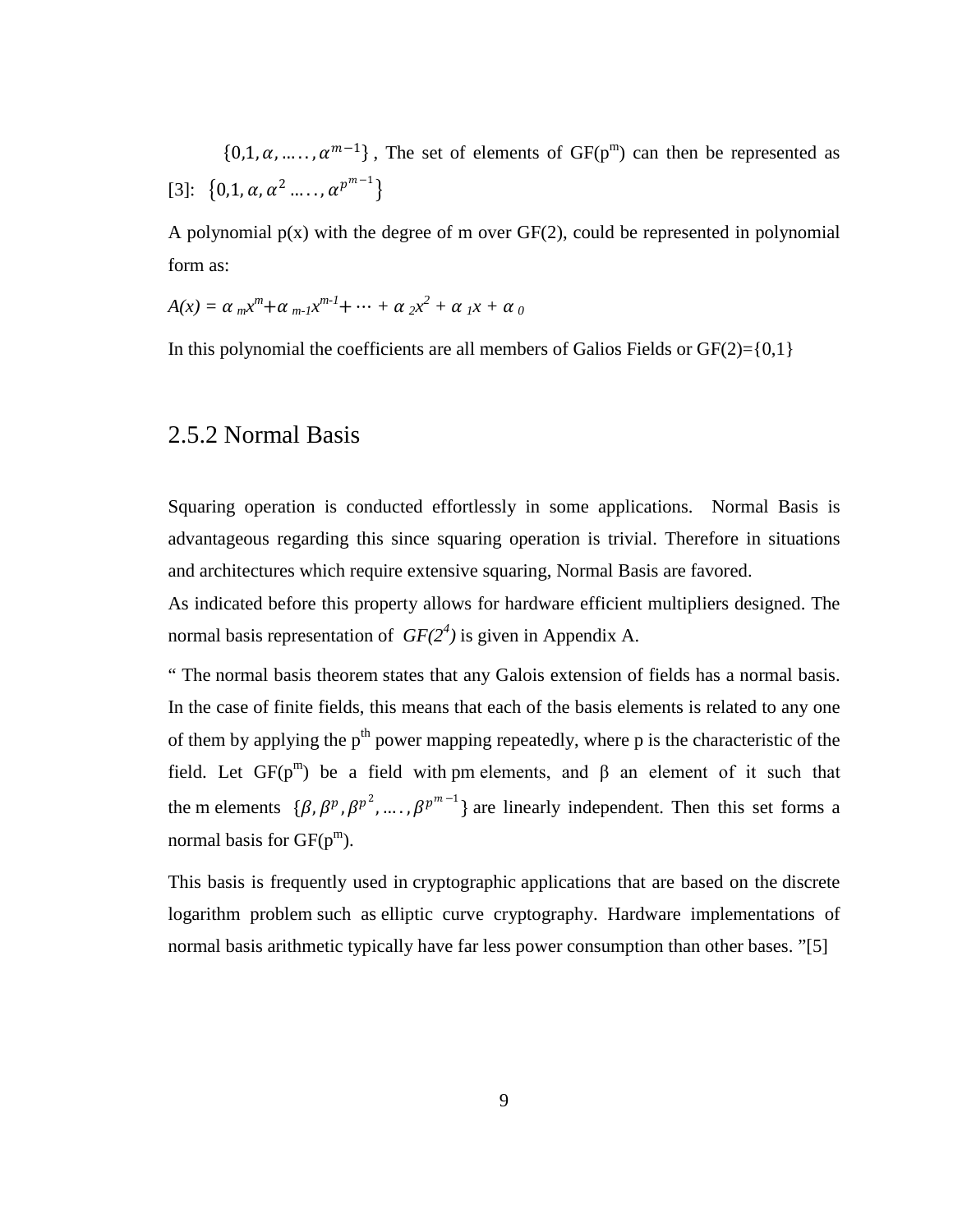$\{0,1,\alpha, \ldots, \alpha^{m-1}\}\$ , The set of elements of  $GF(p^m)$  can then be represented as [3]:  $\{0,1,\alpha,\alpha^2 \dots \dots \alpha^{p^{m-1}}\}$ 

A polynomial  $p(x)$  with the degree of m over  $GF(2)$ , could be represented in polynomial form as:

$$
A(x) = \alpha_m x^m + \alpha_{m-l} x^{m-l} + \dots + \alpha_2 x^2 + \alpha_l x + \alpha_0
$$

In this polynomial the coefficients are all members of Galios Fields or  $GF(2)=\{0,1\}$ 

#### <span id="page-21-0"></span>2.5.2 Normal Basis

Squaring operation is conducted effortlessly in some applications. Normal Basis is advantageous regarding this since squaring operation is trivial. Therefore in situations and architectures which require extensive squaring, Normal Basis are favored.

As indicated before this property allows for hardware efficient multipliers designed. The normal basis representation of *GF(24 )* is given in Appendix A.

" The normal basis theorem states that any Galois extension of fields has a normal basis. In the case of finite fields, this means that each of the basis elements is related to any one of them by applying the  $p<sup>th</sup>$  power mapping repeatedly, where p is the [characteristic](http://en.wikipedia.org/wiki/Characteristic_(algebra)) of the field. Let  $GF(p^m)$  be a field with pm elements, and  $\beta$  an element of it such that the m elements  $\{\beta, \beta^p, \beta^{p^2}, \dots, \beta^{p^{m-1}}\}$  are linearly independent. Then this set forms a normal basis for  $GF(p^m)$ .

This basis is frequently used in [cryptographic](http://en.wikipedia.org/wiki/Cryptography) applications that are based on the discrete logarithm problem such as elliptic curve cryptography. Hardware implementations of normal basis arithmetic typically have far less power consumption than other bases. "[5]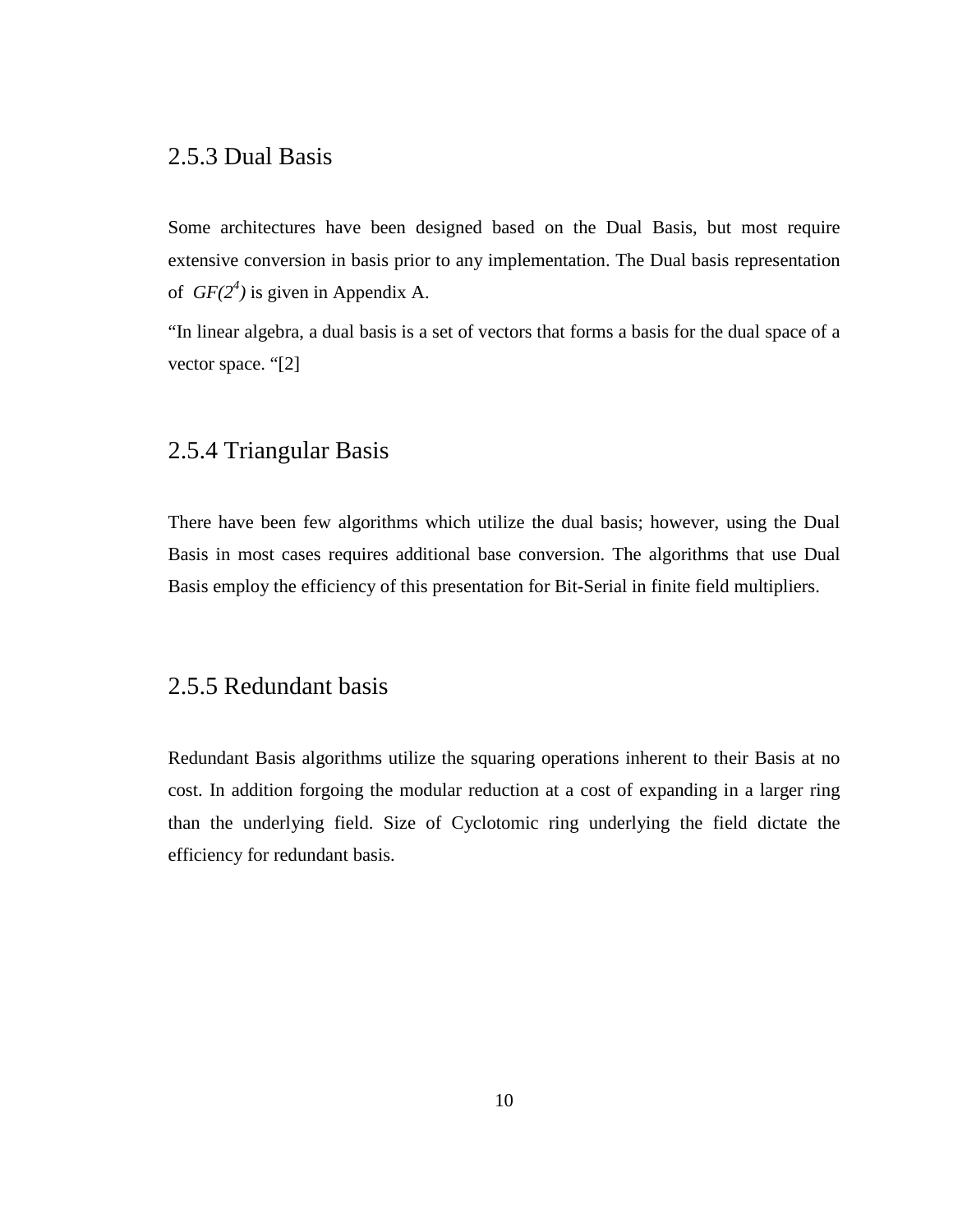#### <span id="page-22-0"></span>2.5.3 Dual Basis

Some architectures have been designed based on the Dual Basis, but most require extensive conversion in basis prior to any implementation. The Dual basis representation of  $GF(2<sup>4</sup>)$  is given in Appendix A.

"In linear algebra, a dual basis is a set of [vectors](http://en.wikipedia.org/wiki/Vector_space) that forms a [basis](http://en.wikipedia.org/wiki/Basis_(linear_algebra)) for the [dual space](http://en.wikipedia.org/wiki/Dual_space) of a vector space. "[2]

#### <span id="page-22-1"></span>2.5.4 Triangular Basis

There have been few algorithms which utilize the dual basis; however, using the Dual Basis in most cases requires additional base conversion. The algorithms that use Dual Basis employ the efficiency of this presentation for Bit-Serial in finite field multipliers.

#### <span id="page-22-2"></span>2.5.5 Redundant basis

Redundant Basis algorithms utilize the squaring operations inherent to their Basis at no cost. In addition forgoing the modular reduction at a cost of expanding in a larger ring than the underlying field. Size of Cyclotomic ring underlying the field dictate the efficiency for redundant basis.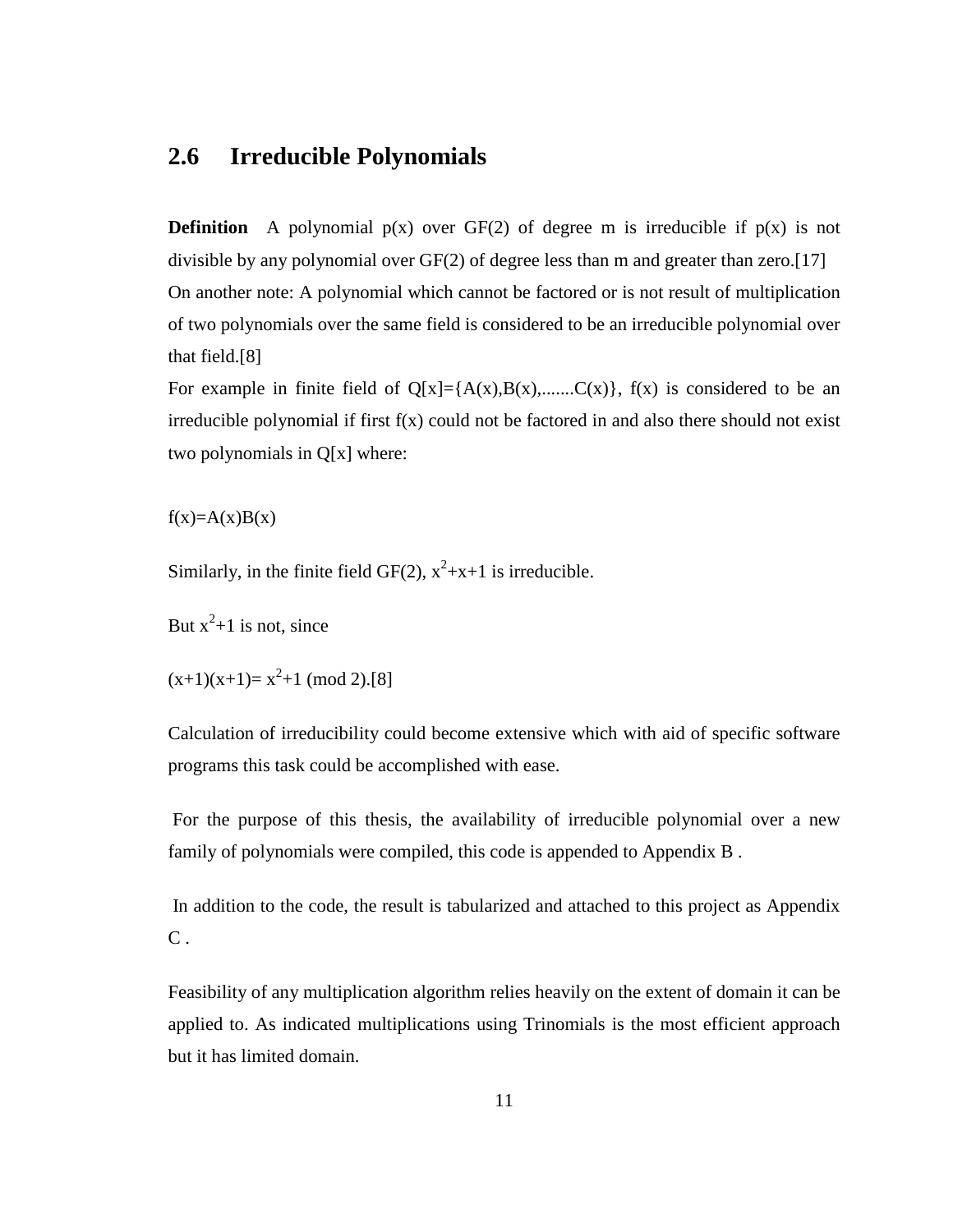#### <span id="page-23-0"></span>**2.6 Irreducible Polynomials**

**Definition** A polynomial  $p(x)$  over  $GF(2)$  of degree m is irreducible if  $p(x)$  is not divisible by any polynomial over GF(2) of degree less than m and greater than zero.[17] On another note: A polynomial which cannot be factored or is not result of multiplication of two polynomials over the same field is considered to be an irreducible polynomial over that field.[8]

For example in finite field of  $Q[x] = {A(x), B(x), \dots, C(x)}$ ,  $f(x)$  is considered to be an irreducible polynomial if first  $f(x)$  could not be factored in and also there should not exist two polynomials in Q[x] where:

 $f(x)=A(x)B(x)$ 

Similarly, in the [finite field](http://mathworld.wolfram.com/FiniteField.html) GF(2),  $x^2+x+1$  is irreducible.

But  $x^2+1$  is not, since

 $(x+1)(x+1)=x^2+1 \pmod{2}$ .[8]

Calculation of irreducibility could become extensive which with aid of specific software programs this task could be accomplished with ease.

For the purpose of this thesis, the availability of irreducible polynomial over a new family of polynomials were compiled, this code is appended to Appendix B .

In addition to the code, the result is tabularized and attached to this project as Appendix  $C$ .

Feasibility of any multiplication algorithm relies heavily on the extent of domain it can be applied to. As indicated multiplications using Trinomials is the most efficient approach but it has limited domain.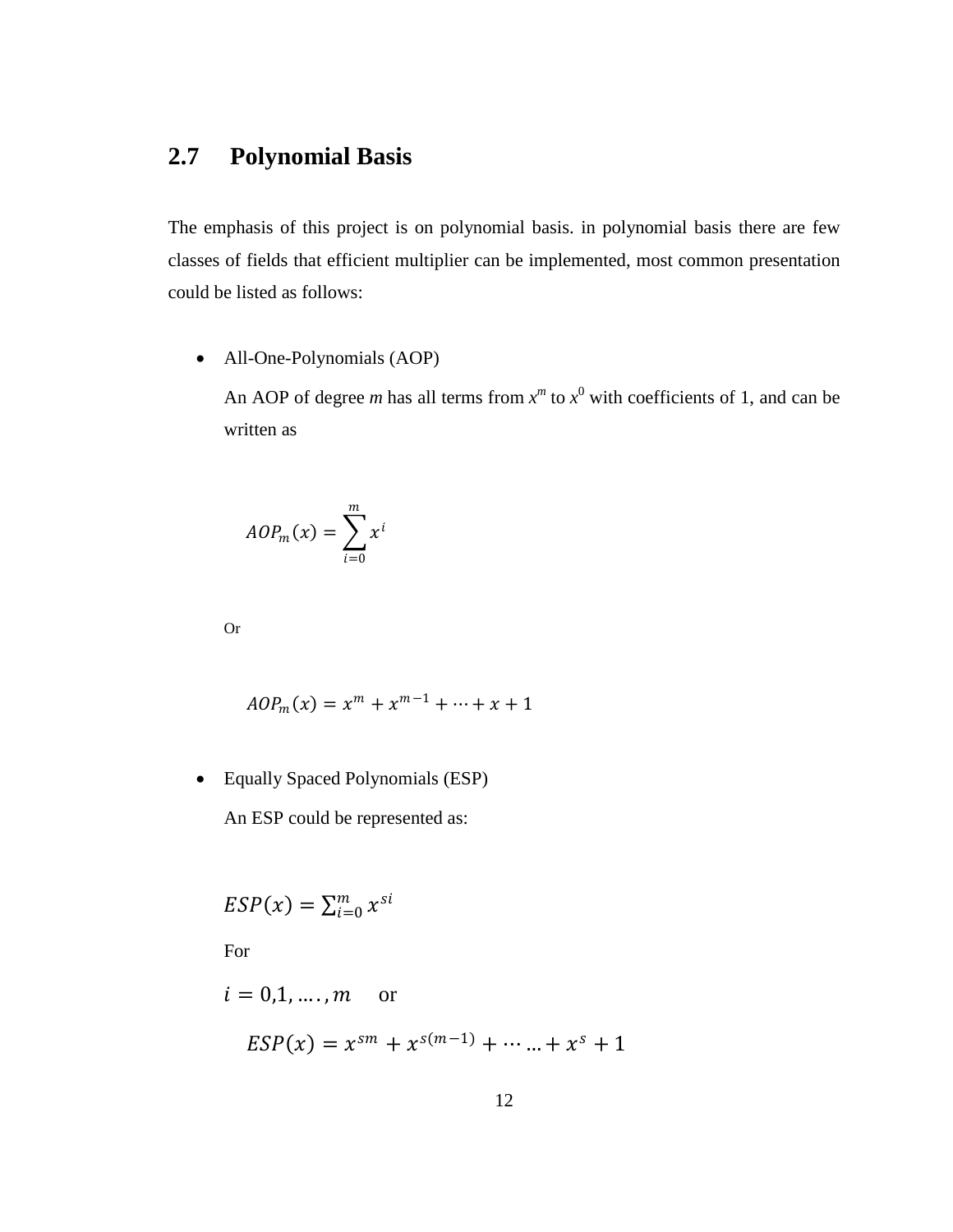### <span id="page-24-0"></span>**2.7 Polynomial Basis**

The emphasis of this project is on polynomial basis. in polynomial basis there are few classes of fields that efficient multiplier can be implemented, most common presentation could be listed as follows:

• All-One-Polynomials (AOP)

An AOP of degree *m* has all terms from  $x^m$  to  $x^0$  with coefficients of 1, and can be written as

$$
AOP_m(x) = \sum_{i=0}^m x^i
$$

Or

$$
AOP_m(x) = x^m + x^{m-1} + \dots + x + 1
$$

• Equally Spaced Polynomials (ESP) An ESP could be represented as:

$$
ESP(x) = \sum_{i=0}^{m} x^{si}
$$
  
For  
 $i = 0,1,...,m$  or  

$$
ESP(x) = x^{sm} + x^{s(m-1)} + \dots + x^{s} + 1
$$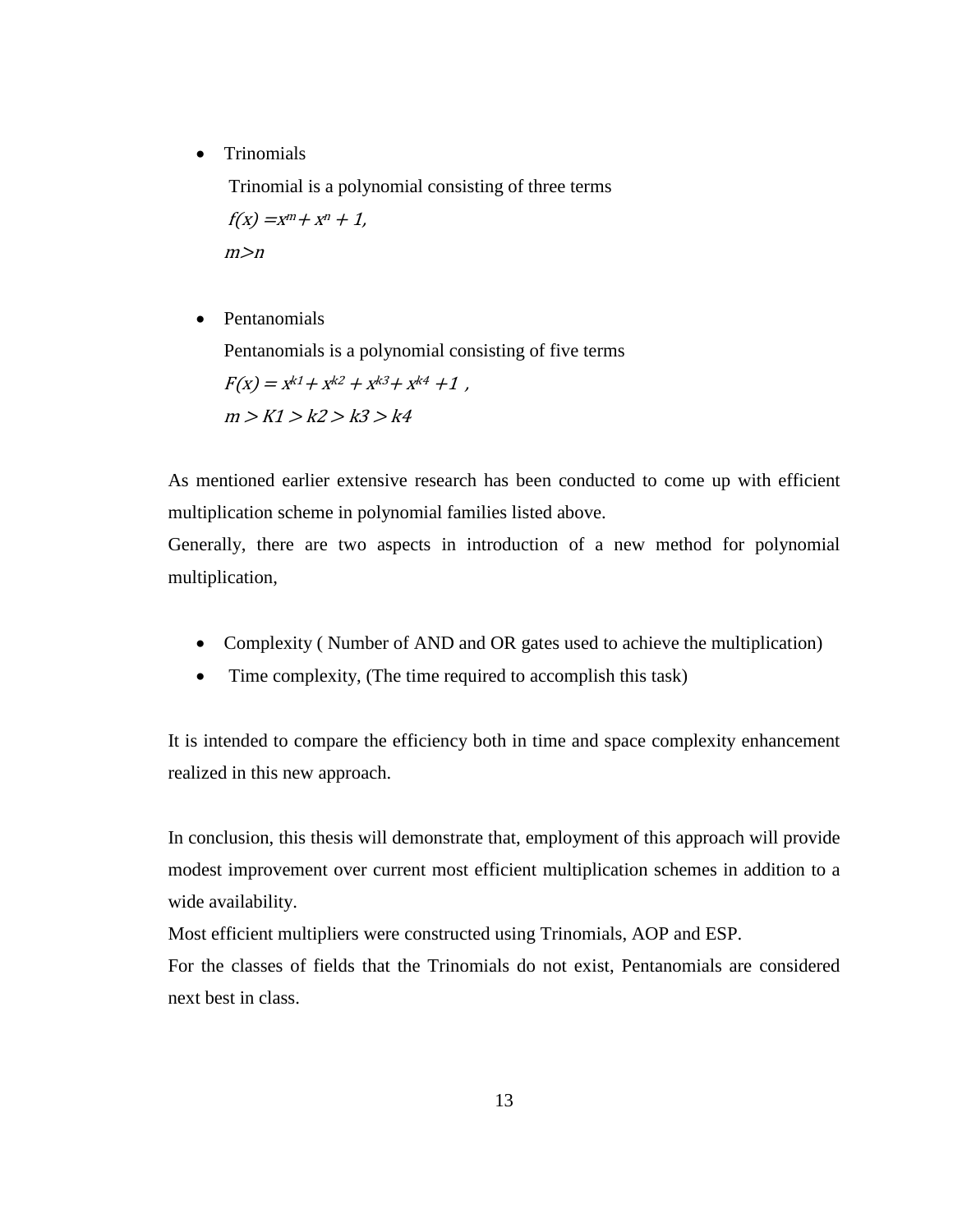• Trinomials

Trinomial is a [polynomial](http://en.wikipedia.org/wiki/Polynomial) consisting of three terms

 $f(x) = x^m + x^n + 1$ ,

 $m > n$ 

• Pentanomials

Pentanomials is a [polynomial](http://en.wikipedia.org/wiki/Polynomial) consisting of five terms

 $F(x) = x^{k_1} + x^{k_2} + x^{k_3} + x^{k_4} + 1$ ,  $m > K1 > k2 > k3 > k4$ 

As mentioned earlier extensive research has been conducted to come up with efficient multiplication scheme in polynomial families listed above.

Generally, there are two aspects in introduction of a new method for polynomial multiplication,

- Complexity (Number of AND and OR gates used to achieve the multiplication)
- Time complexity, (The time required to accomplish this task)

It is intended to compare the efficiency both in time and space complexity enhancement realized in this new approach.

In conclusion, this thesis will demonstrate that, employment of this approach will provide modest improvement over current most efficient multiplication schemes in addition to a wide availability.

Most efficient multipliers were constructed using Trinomials, AOP and ESP.

For the classes of fields that the Trinomials do not exist, Pentanomials are considered next best in class.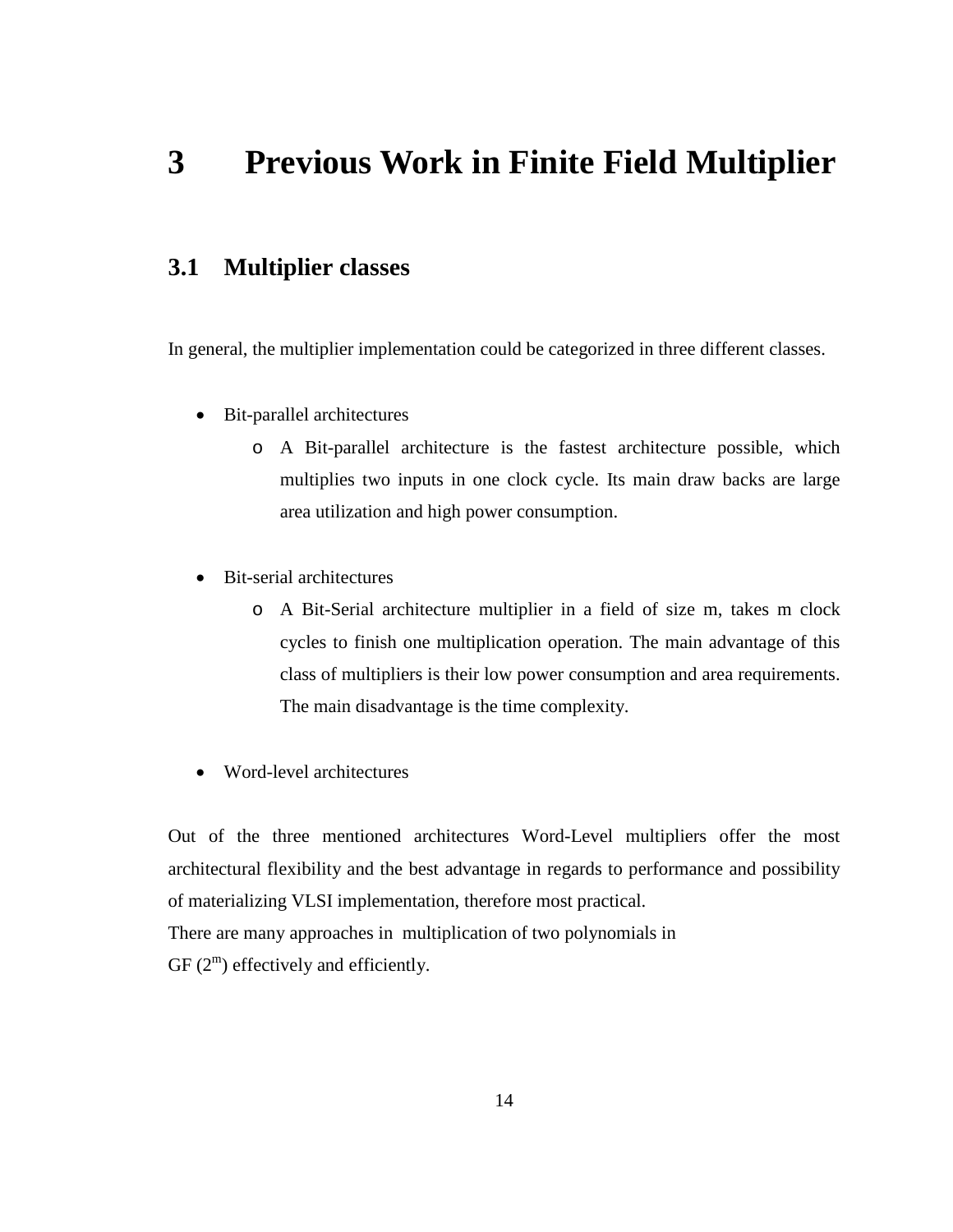## <span id="page-26-0"></span>**3 Previous Work in Finite Field Multiplier**

#### <span id="page-26-1"></span>**3.1 Multiplier classes**

In general, the multiplier implementation could be categorized in three different classes.

- Bit-parallel architectures
	- o A Bit-parallel architecture is the fastest architecture possible, which multiplies two inputs in one clock cycle. Its main draw backs are large area utilization and high power consumption.
- Bit-serial architectures
	- o A Bit-Serial architecture multiplier in a field of size m, takes m clock cycles to finish one multiplication operation. The main advantage of this class of multipliers is their low power consumption and area requirements. The main disadvantage is the time complexity.
- Word-level architectures

Out of the three mentioned architectures Word-Level multipliers offer the most architectural flexibility and the best advantage in regards to performance and possibility of materializing VLSI implementation, therefore most practical.

There are many approaches in multiplication of two polynomials in  $GF(2^m)$  effectively and efficiently.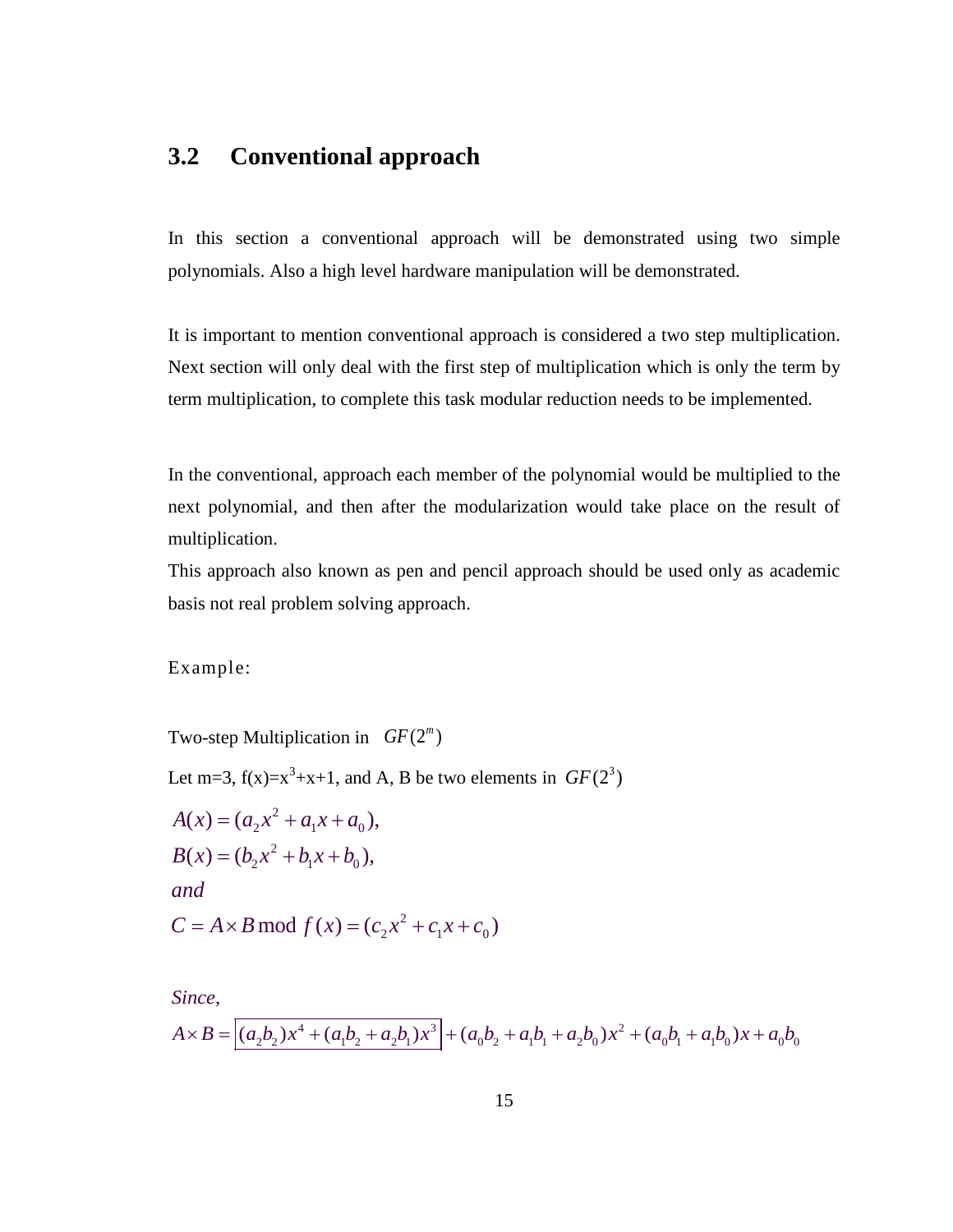### <span id="page-27-0"></span>**3.2 Conventional approach**

In this section a conventional approach will be demonstrated using two simple polynomials. Also a high level hardware manipulation will be demonstrated.

It is important to mention conventional approach is considered a two step multiplication. Next section will only deal with the first step of multiplication which is only the term by term multiplication, to complete this task modular reduction needs to be implemented.

In the conventional, approach each member of the polynomial would be multiplied to the next polynomial, and then after the modularization would take place on the result of multiplication.

This approach also known as pen and pencil approach should be used only as academic basis not real problem solving approach.

Example:

Two-step Multiplication in  $GF(2<sup>m</sup>)$ Let m=3,  $f(x)=x^3+x+1$ , and A, B be two elements in  $GF(2^3)$ 2  $A(x) = (a_2x^2 + a_1x + a_0),$ 2  $B(x) = (b_2x^2 + b_1x + b_0),$ 2  $C = A \times B \mod f(x) = (c_2 x^2 + c_1 x + c_0)$ *and*

 $^{4}$   $(a b + a b)x^{3}$   $(a b + a b + a b)x^{2}$  $A \times B = |(a_2b_2)x^4 + (a_1b_2 + a_2b_1)x^3| + (a_0b_2 + a_1b_1 + a_2b_0)x^2 + (a_0b_1 + a_1b_0)x + a_0b_0$ , *Since*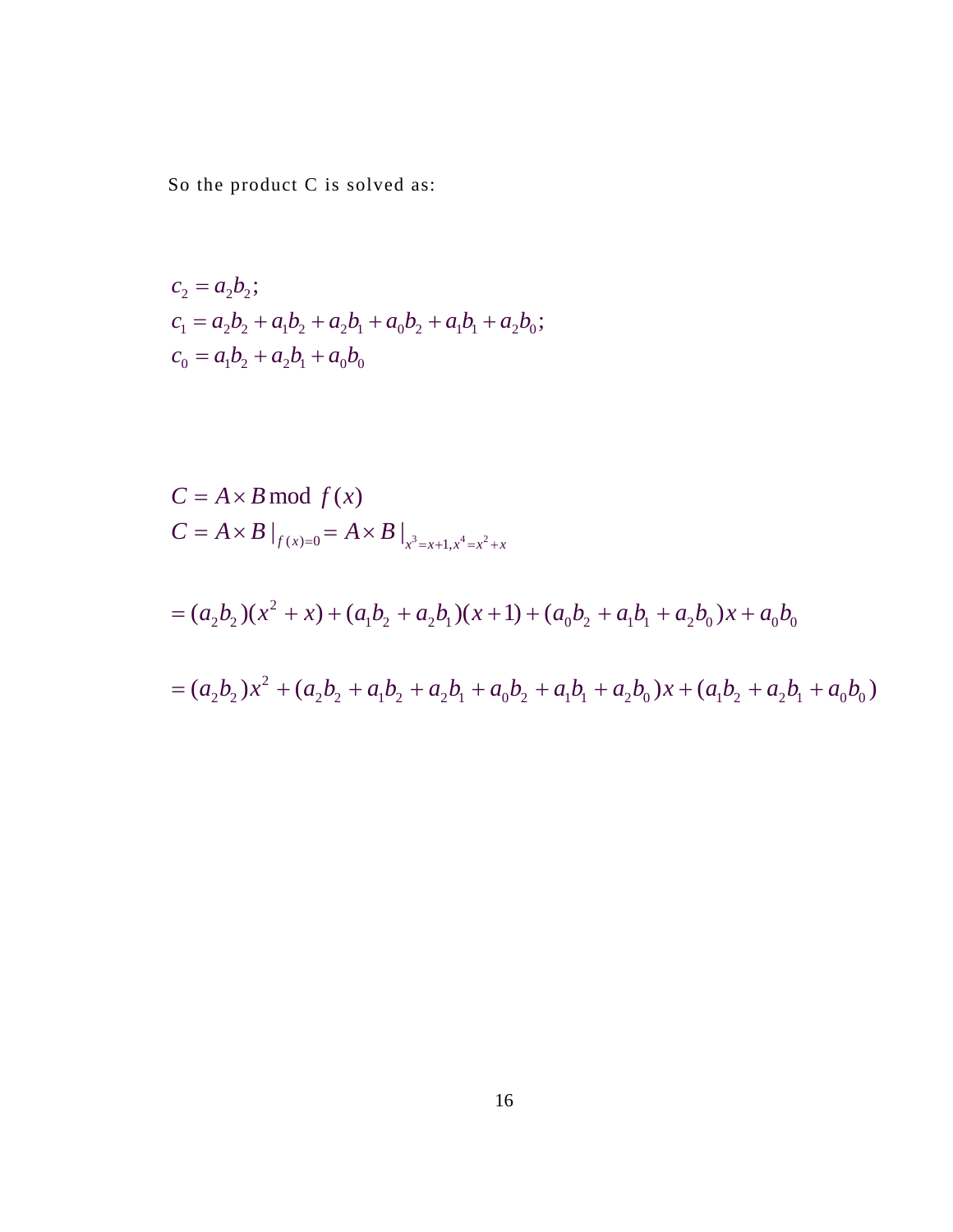So the product C is solved as:

$$
c_2 = a_2b_2;
$$
  
\n
$$
c_1 = a_2b_2 + a_1b_2 + a_2b_1 + a_0b_2 + a_1b_1 + a_2b_0;
$$
  
\n
$$
c_0 = a_1b_2 + a_2b_1 + a_0b_0
$$

$$
C = A \times B \mod f(x)
$$
  
\n
$$
C = A \times B \mid_{f(x) = 0} = A \times B \mid_{x^3 = x + 1, x^4 = x^2 + x}
$$

$$
= (a_2b_2)(x^2 + x) + (a_1b_2 + a_2b_1)(x + 1) + (a_0b_2 + a_1b_1 + a_2b_0)x + a_0b_0
$$
  

$$
= (a_2b_2)x^2 + (a_2b_2 + a_1b_2 + a_2b_1 + a_0b_2 + a_1b_1 + a_2b_0)x + (a_1b_2 + a_2b_1 + a_0b_0)
$$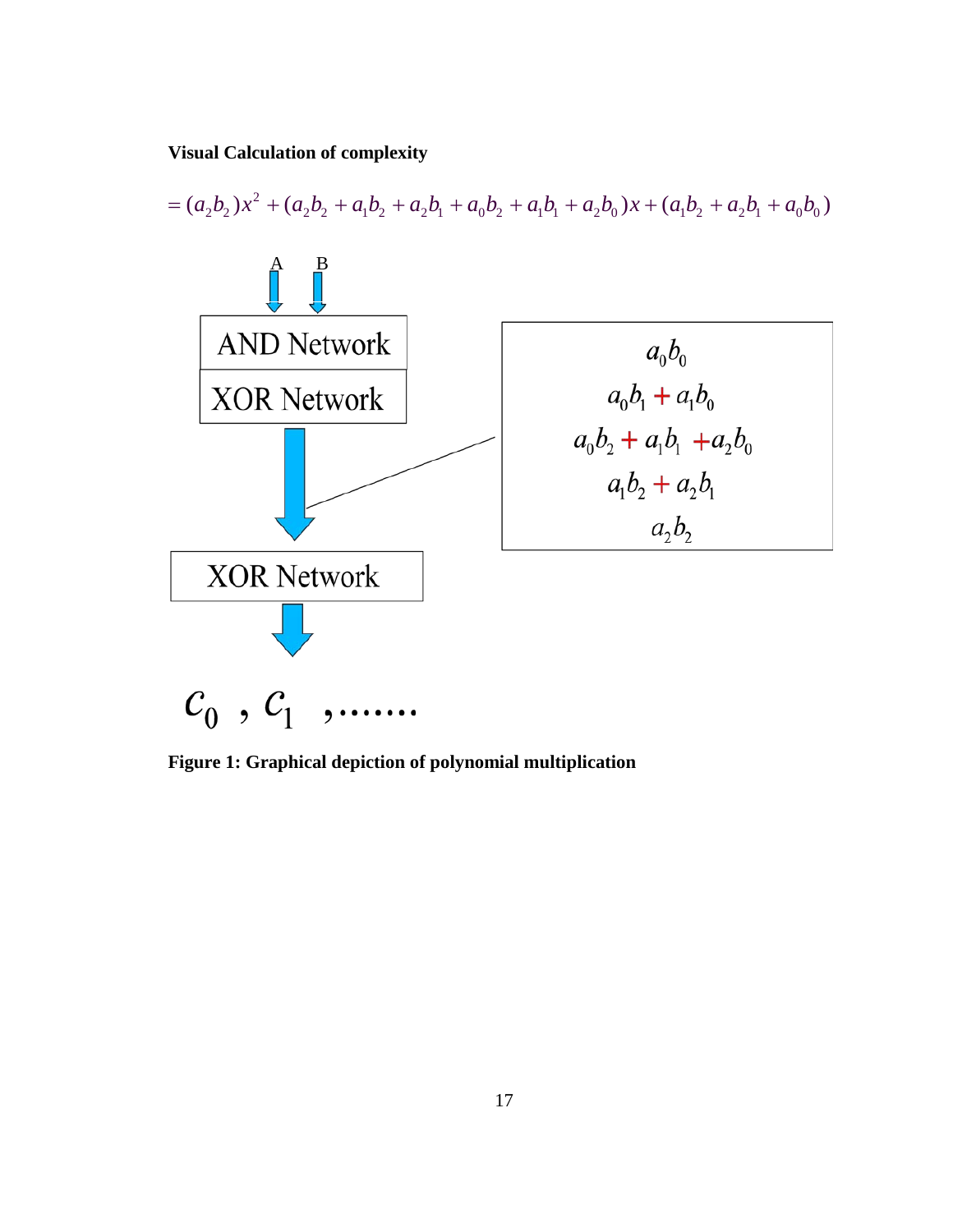**Visual Calculation of complexity**

 $= (a_2b_2)x^2 + (a_2b_2 + a_1b_2 + a_2b_1 + a_0b_2 + a_1b_1 + a_2b_0)x + (a_1b_2 + a_2b_1 + a_0b_0)$ 



<span id="page-29-0"></span>**Figure 1: Graphical depiction of polynomial multiplication**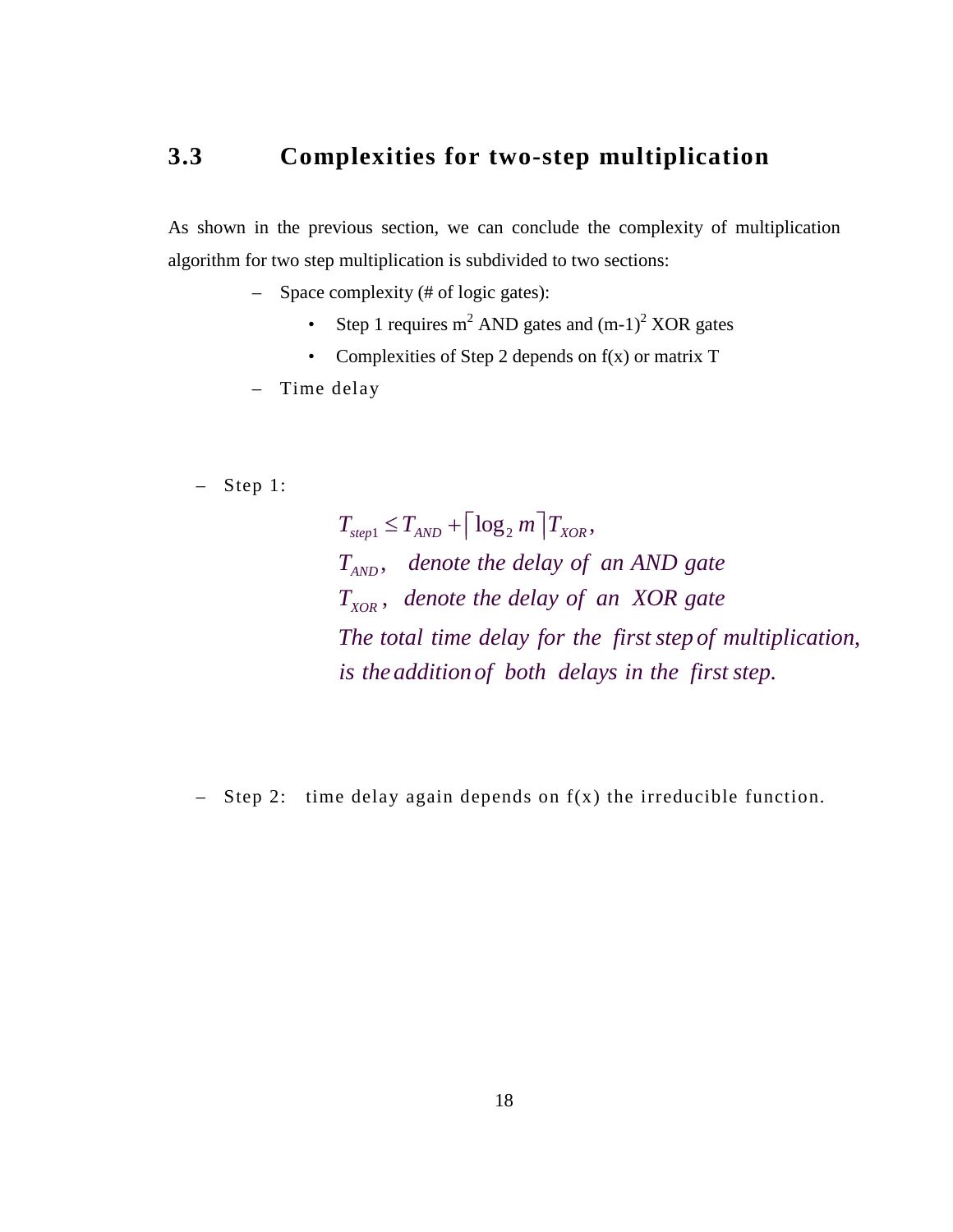### <span id="page-30-0"></span>**3.3 Complexities for two-step multiplication**

As shown in the previous section, we can conclude the complexity of multiplication algorithm for two step multiplication is subdivided to two sections:

- Space complexity (# of logic gates):
	- Step 1 requires  $m^2$  AND gates and  $(m-1)^2$  XOR gates
	- Complexities of Step 2 depends on f(x) or matrix T
- Time delay

– Step 1:

 $T_{\text{step1}} \leq T_{\text{AND}} + \left\lceil \log_2 m \right\rceil T_{\text{XOR}}$ , *AND T denote the delay of an AND gate* , *XOR T denote the delay of an XOR gate* The total time delay for the first step of multiplication, . *is the additionof both delays in the first step*

– Step 2: time delay again depends on  $f(x)$  the irreducible function.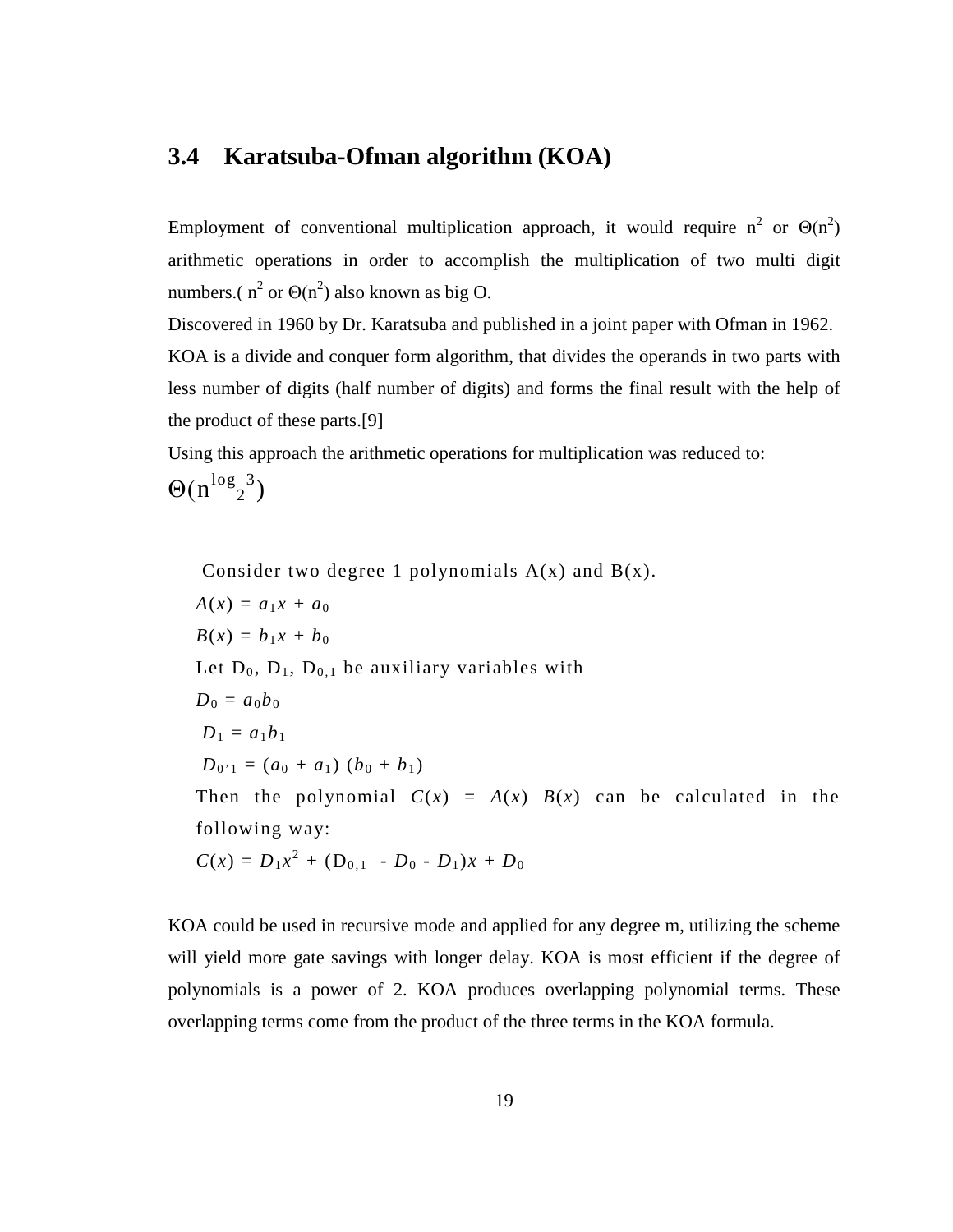### <span id="page-31-0"></span>**3.4 Karatsuba-Ofman algorithm (KOA)**

Employment of conventional multiplication approach, it would require  $n^2$  or  $\Theta(n^2)$ arithmetic operations in order to accomplish the multiplication of two multi digit numbers.(  $n^2$  or  $\Theta(n^2)$  also known as big O.

Discovered in 1960 by Dr. Karatsuba and published in a joint paper with Ofman in 1962. KOA is a divide and conquer form algorithm, that divides the operands in two parts with less number of digits (half number of digits) and forms the final result with the help of the product of these parts.[9]

Using this approach the arithmetic operations for multiplication was reduced to:  $\Theta(n^{\log}{}_{2}$ 3 )

Consider two degree 1 polynomials  $A(x)$  and  $B(x)$ .  $A(x) = a_1 x + a_0$  $B(x) = b_1 x + b_0$ Let  $D_0$ ,  $D_1$ ,  $D_{0,1}$  be auxiliary variables with  $D_0 = a_0 b_0$  $D_1 = a_1 b_1$  $D_{0'1} = (a_0 + a_1) (b_0 + b_1)$ Then the polynomial  $C(x) = A(x) B(x)$  can be calculated in the following way:  $C(x) = D_1 x^2 + (D_{0,1} - D_0 - D_1)x + D_0$ 

KOA could be used in recursive mode and applied for any degree m, utilizing the scheme will yield more gate savings with longer delay. KOA is most efficient if the degree of polynomials is a power of 2. KOA produces overlapping polynomial terms. These overlapping terms come from the product of the three terms in the KOA formula.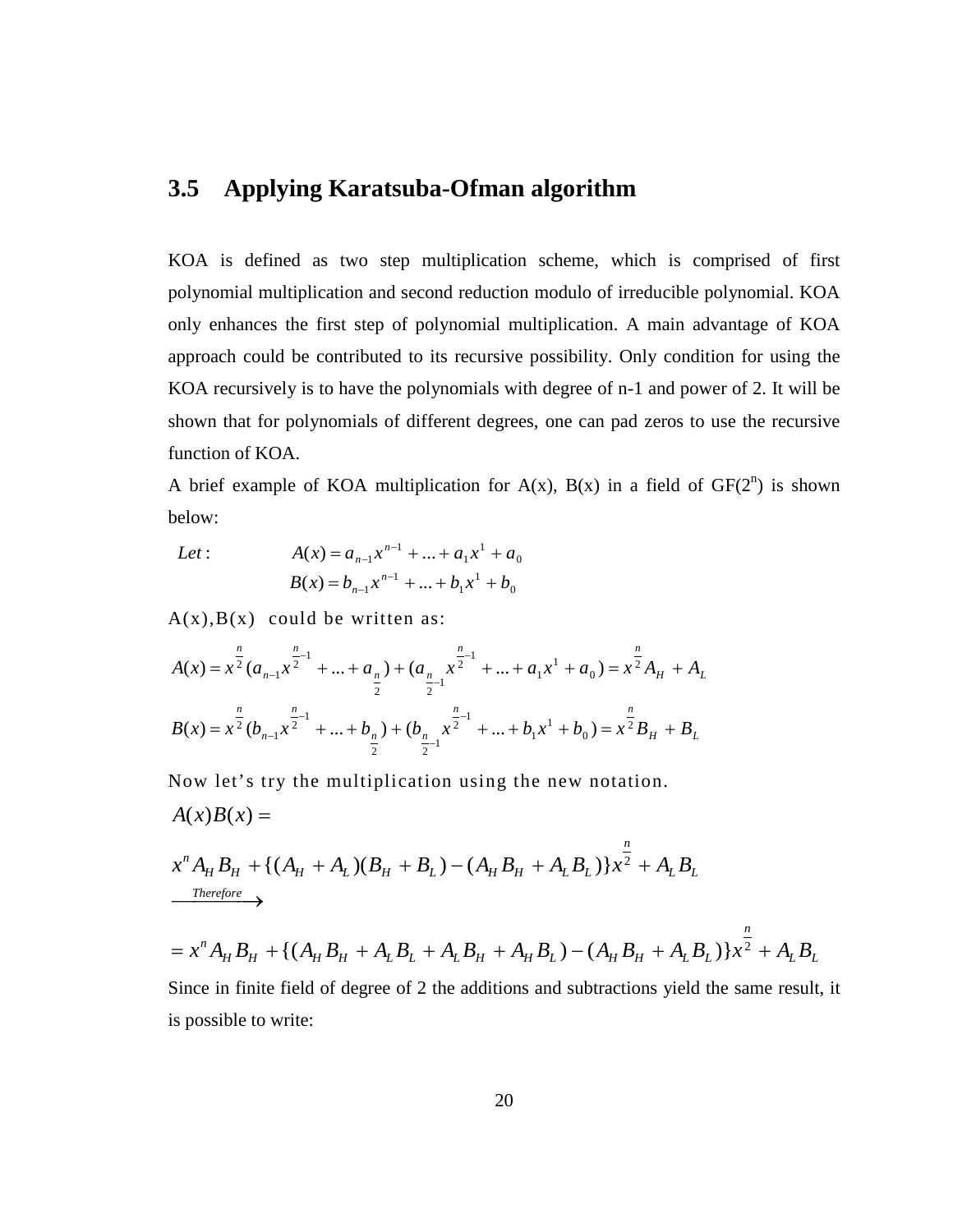#### <span id="page-32-0"></span>**3.5 Applying Karatsuba-Ofman algorithm**

KOA is defined as two step multiplication scheme, which is comprised of first polynomial multiplication and second reduction modulo of irreducible polynomial. KOA only enhances the first step of polynomial multiplication. A main advantage of KOA approach could be contributed to its recursive possibility. Only condition for using the KOA recursively is to have the polynomials with degree of n-1 and power of 2. It will be shown that for polynomials of different degrees, one can pad zeros to use the recursive function of KOA.

A brief example of KOA multiplication for  $A(x)$ ,  $B(x)$  in a field of  $GF(2^n)$  is shown below:

Let:  
\n
$$
A(x) = a_{n-1}x^{n-1} + ... + a_1x^1 + a_0
$$
\n
$$
B(x) = b_{n-1}x^{n-1} + ... + b_1x^1 + b_0
$$

 $A(x), B(x)$  could be written as:

$$
A(x) = x^{\frac{n}{2}} (a_{n-1}x^{\frac{n}{2}-1} + \dots + a_{n}) + (a_{n-1}x^{\frac{n}{2}-1} + \dots + a_1x^1 + a_0) = x^{\frac{n}{2}} A_H + A_L
$$
  

$$
B(x) = x^{\frac{n}{2}} (b_{n-1}x^{\frac{n}{2}-1} + \dots + b_n) + (b_{n-1}x^{\frac{n}{2}-1} + \dots + b_1x^1 + b_0) = x^{\frac{n}{2}} B_H + B_L
$$

Now let's try the multiplication using the new notation.  $A(x)B(x) =$ 

$$
x^{n} A_{H} B_{H} + \{(A_{H} + A_{L})(B_{H} + B_{L}) - (A_{H} B_{H} + A_{L} B_{L})\}x^{\frac{n}{2}} + A_{L} B_{L}
$$
  
\n
$$
= x^{n} A_{H} B_{H} + \{(A_{H} B_{H} + A_{L} B_{L} + A_{L} B_{H} + A_{H} B_{L}) - (A_{H} B_{H} + A_{L} B_{L})\}x^{\frac{n}{2}} + A_{L} B_{L}
$$

Since in finite field of degree of 2 the additions and subtractions yield the same result, it is possible to write: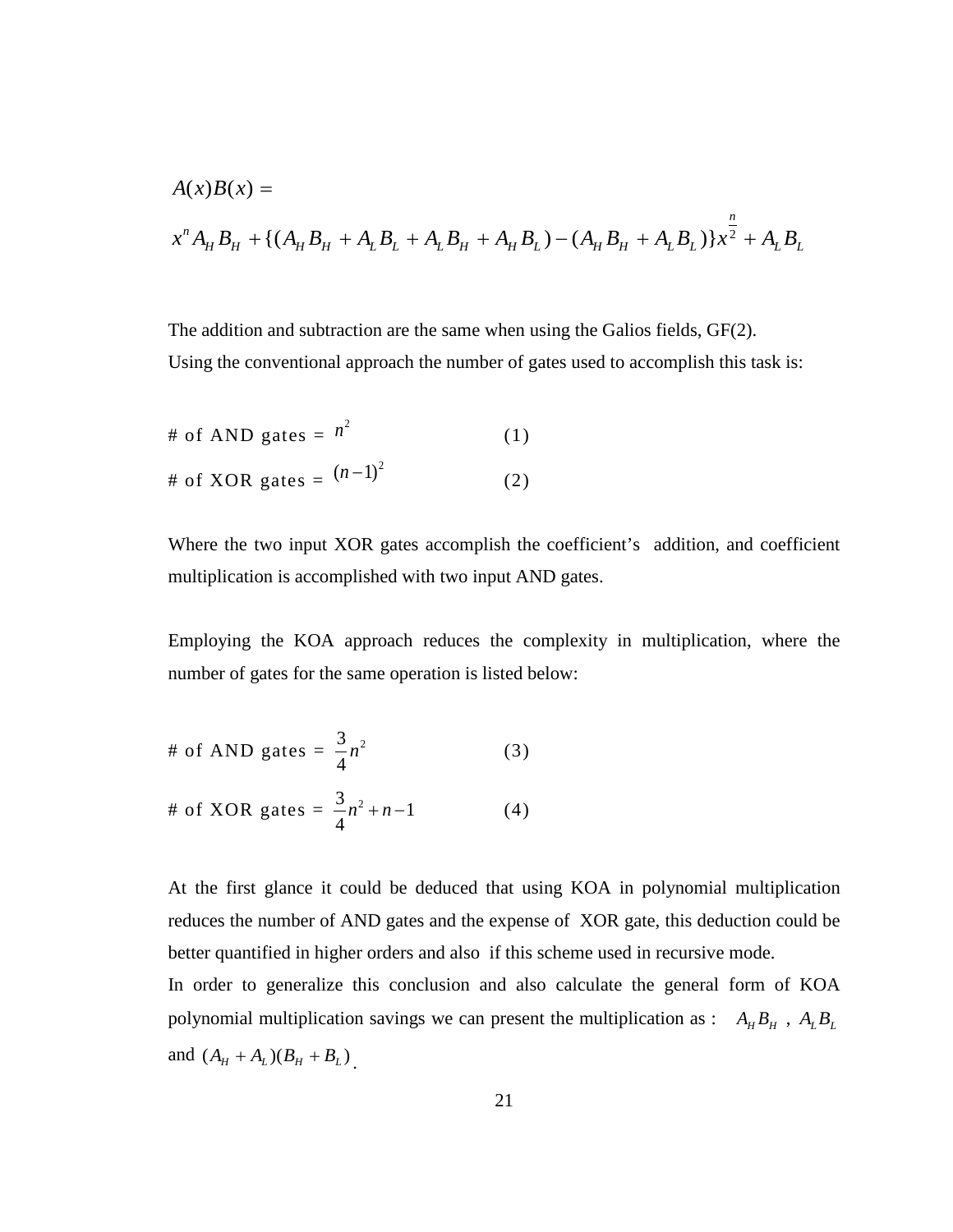$$
A(x)B(x) =
$$
  

$$
x^{n}A_{H}B_{H} + \{(A_{H}B_{H} + A_{L}B_{L} + A_{L}B_{H} + A_{H}B_{L}) - (A_{H}B_{H} + A_{L}B_{L})\}x^{\frac{n}{2}} + A_{L}B_{L}
$$

The addition and subtraction are the same when using the Galios fields, GF(2). Using the conventional approach the number of gates used to accomplish this task is:

# of AND gates = 
$$
n^2
$$
 (1)  
# of XOR gates =  $(n-1)^2$  (2)

Where the two input XOR gates accomplish the coefficient's addition, and coefficient multiplication is accomplished with two input AND gates.

Employing the KOA approach reduces the complexity in multiplication, where the number of gates for the same operation is listed below:

# of AND gates = 
$$
\frac{3}{4}n^2
$$
 (3)  
# of XOR gates =  $\frac{3}{4}n^2 + n - 1$  (4)

At the first glance it could be deduced that using KOA in polynomial multiplication reduces the number of AND gates and the expense of XOR gate, this deduction could be better quantified in higher orders and also if this scheme used in recursive mode.

In order to generalize this conclusion and also calculate the general form of KOA polynomial multiplication savings we can present the multiplication as :  $A_H B_H$ ,  $A_L B_L$ and  $(A_H + A_L)(B_H + B_L)$ .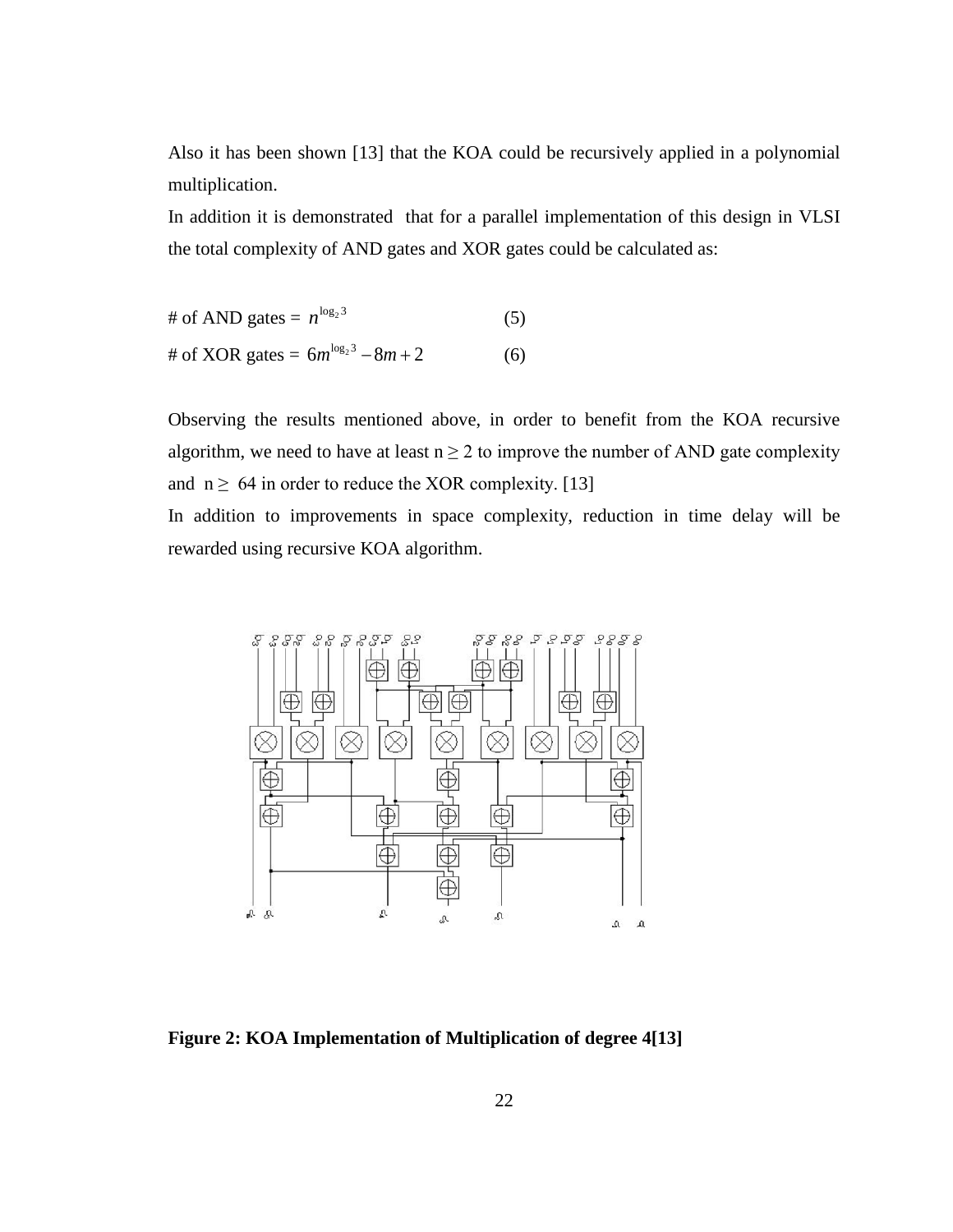Also it has been shown [13] that the KOA could be recursively applied in a polynomial multiplication.

In addition it is demonstrated that for a parallel implementation of this design in VLSI the total complexity of AND gates and XOR gates could be calculated as:

# of AND gates = 
$$
n^{\log_2 3}
$$
 (5)  
# of XOR gates =  $6m^{\log_2 3} - 8m + 2$  (6)

Observing the results mentioned above, in order to benefit from the KOA recursive algorithm, we need to have at least  $n \geq 2$  to improve the number of AND gate complexity and  $n \geq 64$  in order to reduce the XOR complexity. [13]

In addition to improvements in space complexity, reduction in time delay will be rewarded using recursive KOA algorithm.



<span id="page-34-0"></span>**Figure 2: KOA Implementation of Multiplication of degree 4[13]**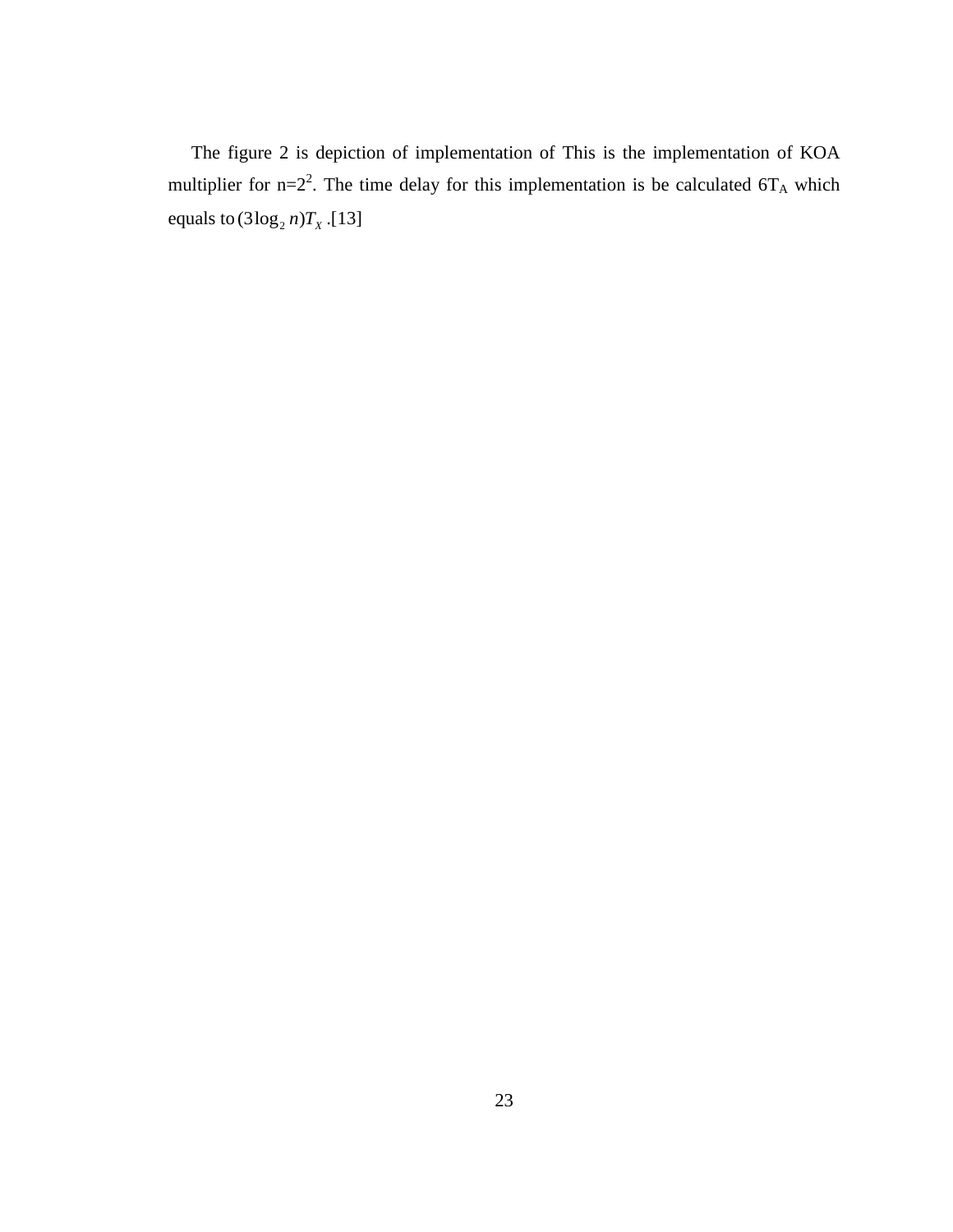The figure 2 is depiction of implementation of This is the implementation of KOA multiplier for n= $2^2$ . The time delay for this implementation is be calculated  $6T_A$  which equals to  $(3\log_2 n)T_X$ .[13]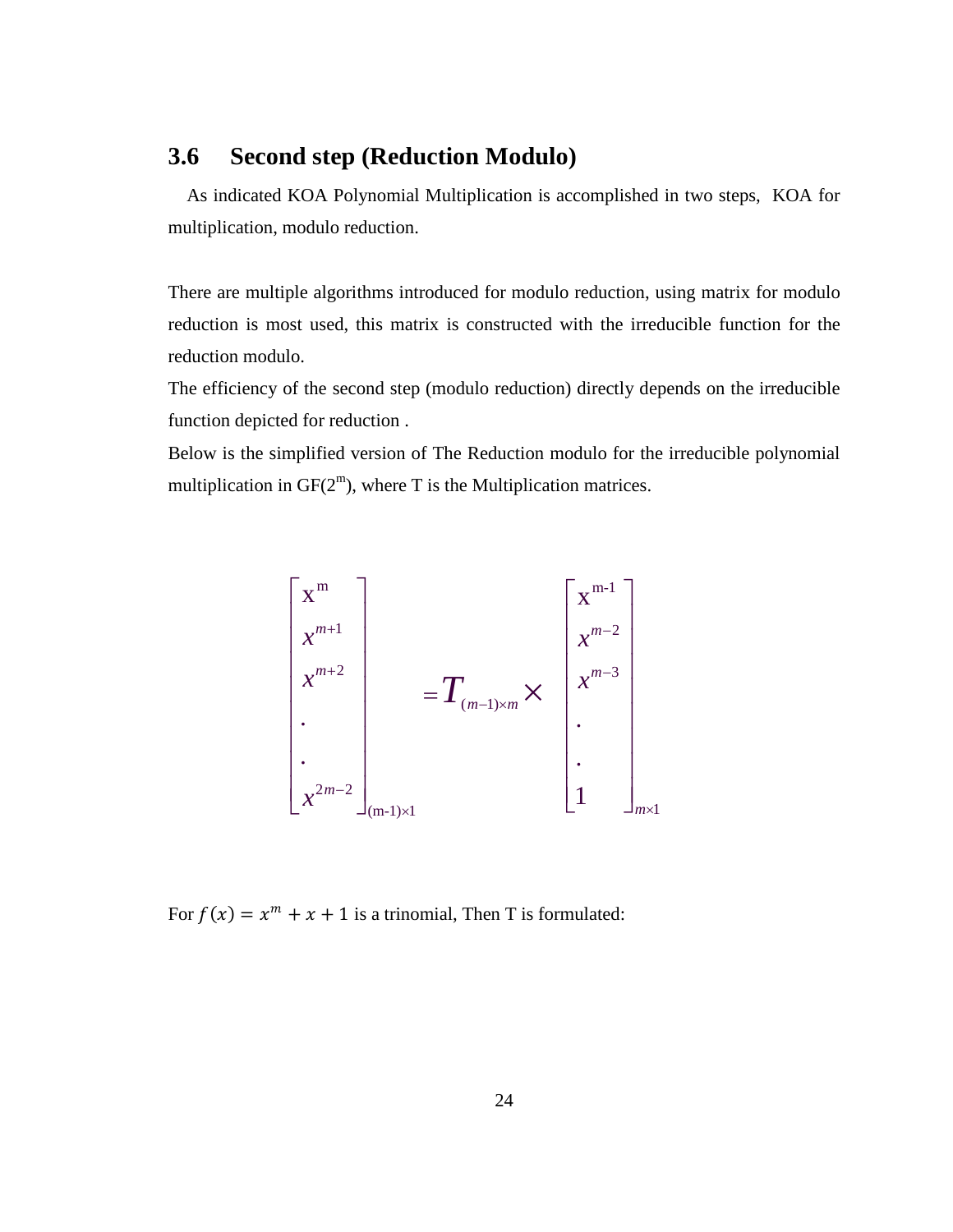#### **3.6 Second step (Reduction Modulo)**

 As indicated KOA Polynomial Multiplication is accomplished in two steps, KOA for multiplication, modulo reduction.

There are multiple algorithms introduced for modulo reduction, using matrix for modulo reduction is most used, this matrix is constructed with the irreducible function for the reduction modulo.

The efficiency of the second step (modulo reduction) directly depends on the irreducible function depicted for reduction .

Below is the simplified version of The Reduction modulo for the irreducible polynomial multiplication in  $GF(2^m)$ , where T is the Multiplication matrices.



For  $f(x) = x^m + x + 1$  is a trinomial, Then T is formulated: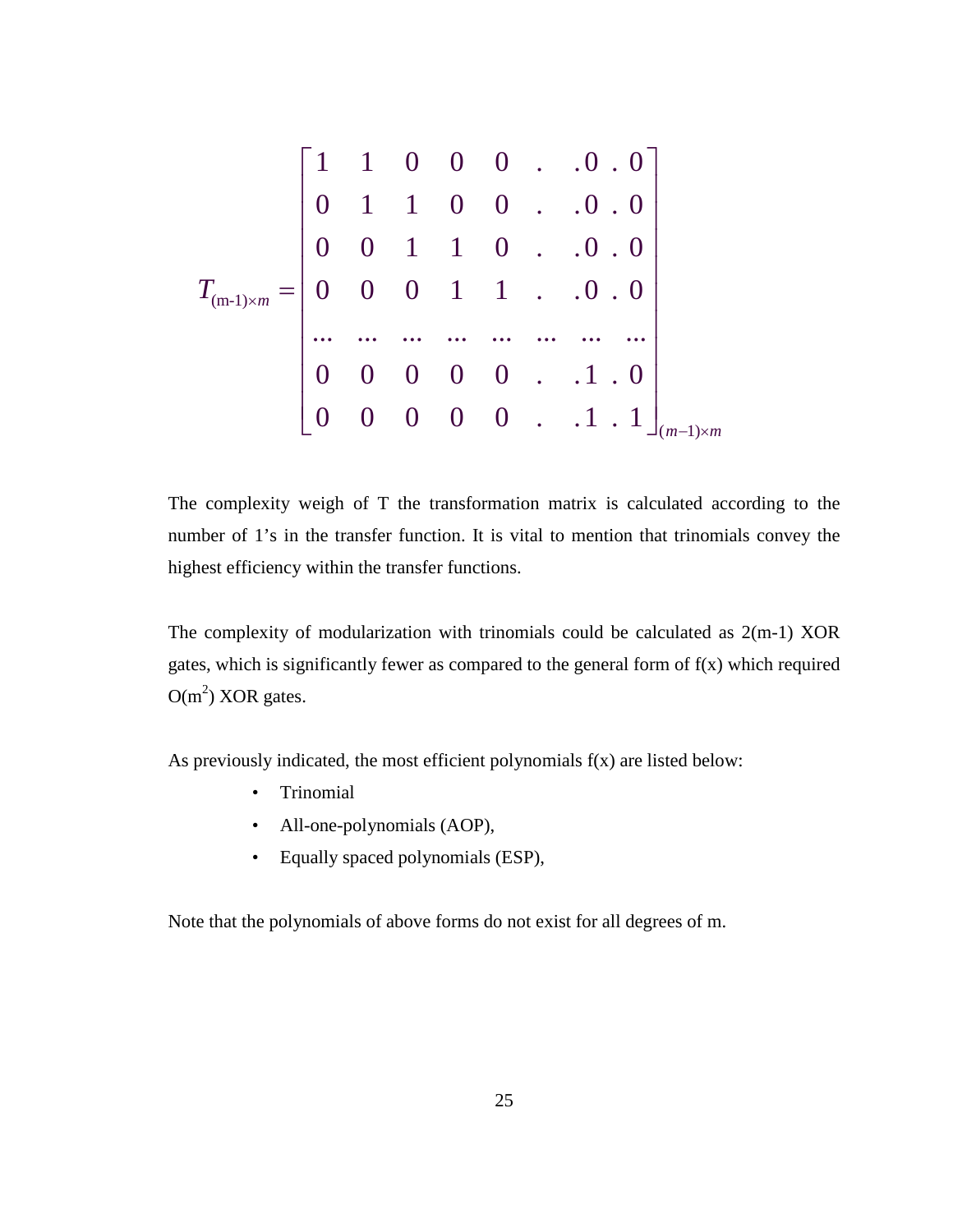

The complexity weigh of T the transformation matrix is calculated according to the number of 1's in the transfer function. It is vital to mention that trinomials convey the highest efficiency within the transfer functions.

The complexity of modularization with trinomials could be calculated as 2(m-1) XOR gates, which is significantly fewer as compared to the general form of  $f(x)$  which required  $O(m^2)$  XOR gates.

As previously indicated, the most efficient polynomials  $f(x)$  are listed below:

- Trinomial
- All-one-polynomials (AOP),
- Equally spaced polynomials (ESP),

Note that the polynomials of above forms do not exist for all degrees of m.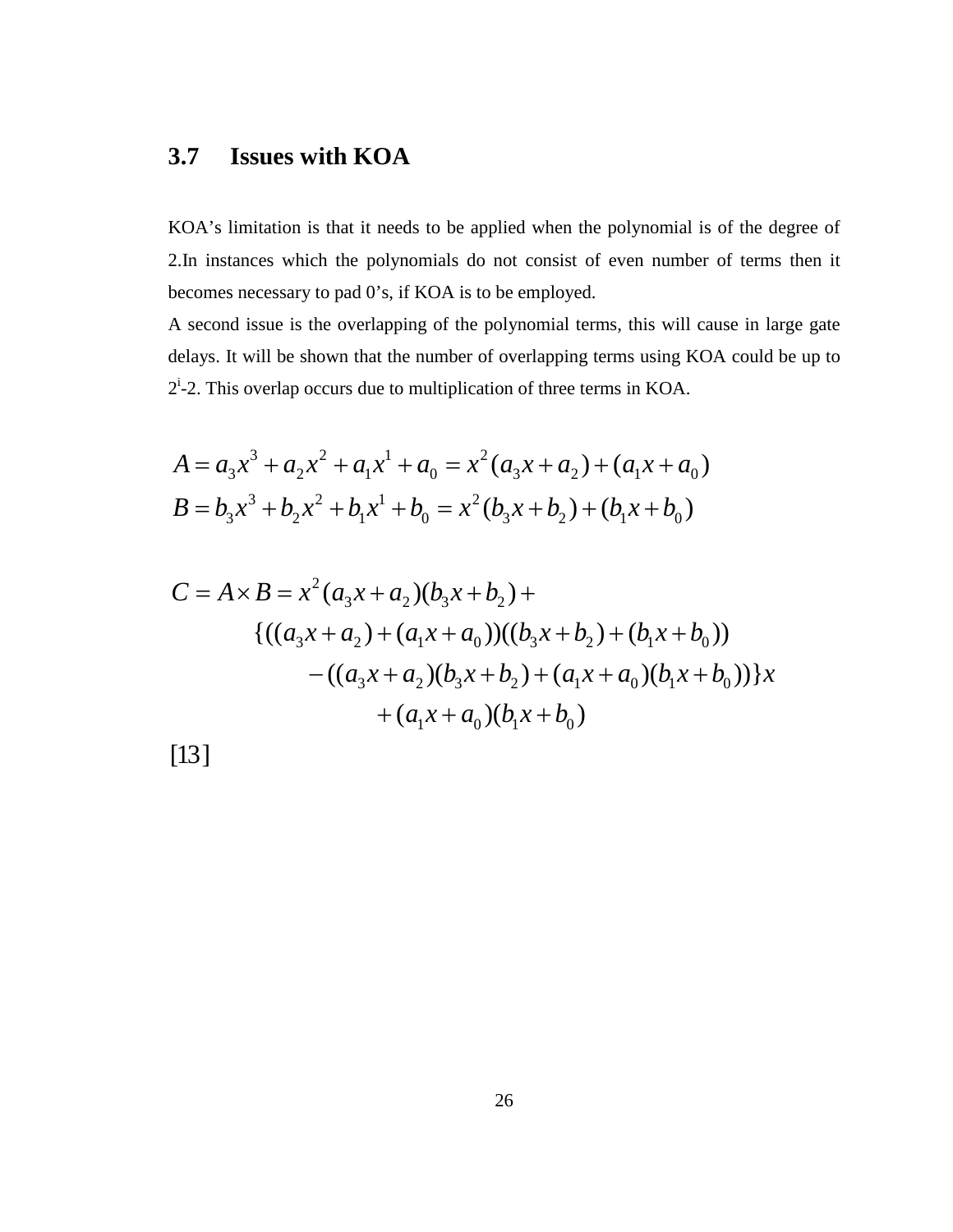### **3.7 Issues with KOA**

KOA's limitation is that it needs to be applied when the polynomial is of the degree of 2.In instances which the polynomials do not consist of even number of terms then it becomes necessary to pad 0's, if KOA is to be employed.

A second issue is the overlapping of the polynomial terms, this will cause in large gate delays. It will be shown that the number of overlapping terms using KOA could be up to  $2^{i}$ -2. This overlap occurs due to multiplication of three terms in KOA.

$$
A = a_3 x^3 + a_2 x^2 + a_1 x^1 + a_0 = x^2 (a_3 x + a_2) + (a_1 x + a_0)
$$
  
\n
$$
B = b_3 x^3 + b_2 x^2 + b_1 x^1 + b_0 = x^2 (b_3 x + b_2) + (b_1 x + b_0)
$$

$$
C = A \times B = x^2 (a_3 x + a_2)(b_3 x + b_2) +
$$
  
\n
$$
\{((a_3 x + a_2) + (a_1 x + a_0))((b_3 x + b_2) + (b_1 x + b_0))
$$
  
\n
$$
-((a_3 x + a_2)(b_3 x + b_2) + (a_1 x + a_0)(b_1 x + b_0))\}x
$$
  
\n
$$
+ (a_1 x + a_0)(b_1 x + b_0)
$$

[13 ]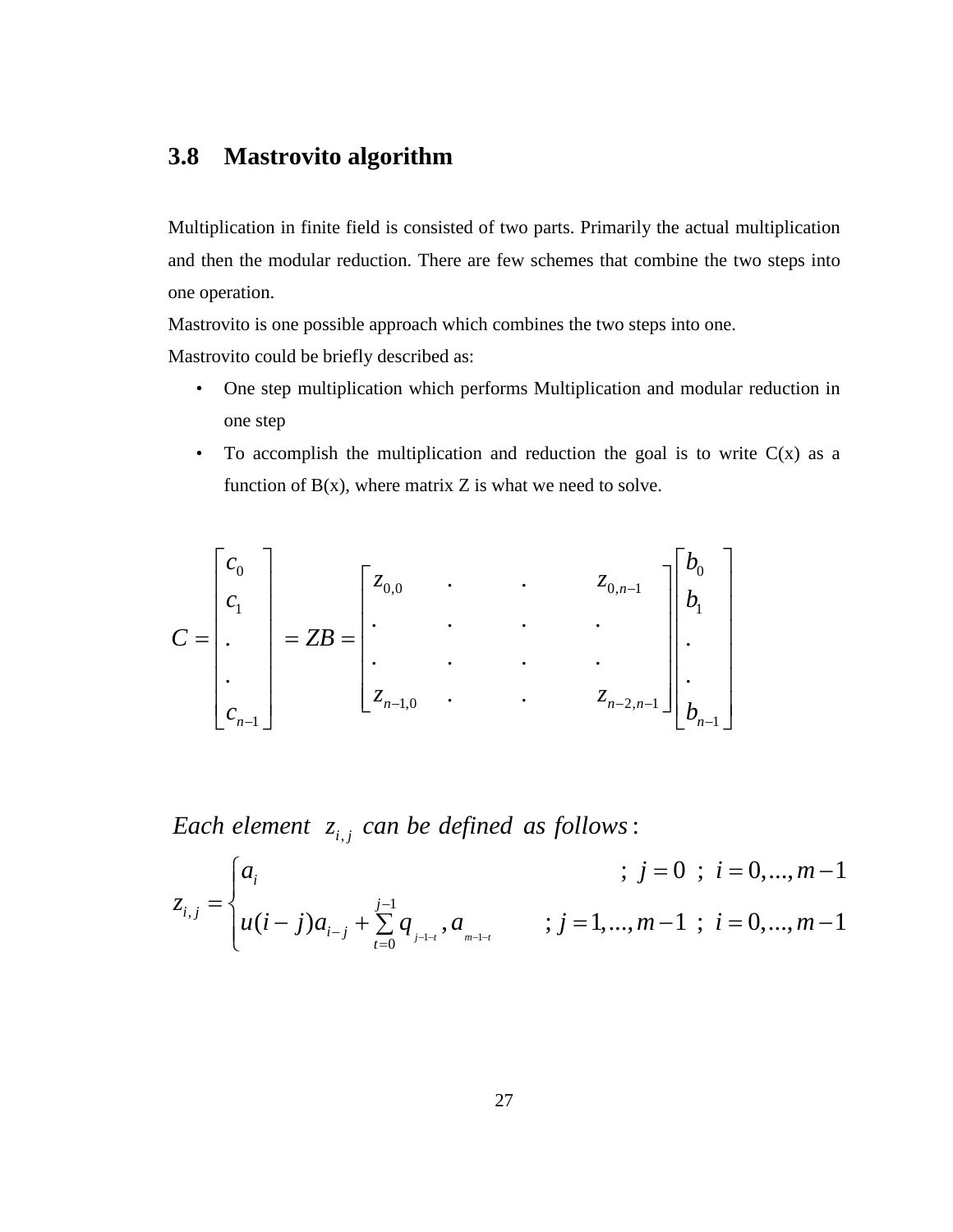### **3.8 Mastrovito algorithm**

Multiplication in finite field is consisted of two parts. Primarily the actual multiplication and then the modular reduction. There are few schemes that combine the two steps into one operation.

Mastrovito is one possible approach which combines the two steps into one.

Mastrovito could be briefly described as:

- One step multiplication which performs Multiplication and modular reduction in one step
- To accomplish the multiplication and reduction the goal is to write  $C(x)$  as a function of  $B(x)$ , where matrix Z is what we need to solve.

$$
C = \begin{bmatrix} c_0 \\ c_1 \\ \vdots \\ c_{n-1} \end{bmatrix} = ZB = \begin{bmatrix} z_{0,0} & \cdot & \cdot & \cdot & z_{0,n-1} \\ \cdot & \cdot & \cdot & \cdot & \cdot \\ \cdot & \cdot & \cdot & \cdot & \cdot \\ \cdot & \cdot & \cdot & \cdot & \cdot \\ z_{n-1,0} & \cdot & \cdot & \cdot & \cdot \\ \end{bmatrix} \begin{bmatrix} b_0 \\ b_1 \\ \vdots \\ b_{n-1} \end{bmatrix}
$$

 $Each$  element  $z_{i,j}$  can be defined as follows:

$$
z_{i,j} = \begin{cases} a_i & \text{if } i = 0, \dots, m-1 \\ u(i-j)a_{i-j} + \sum_{t=0}^{j-1} q_{i-1-t}, a_{m-1-t} & \text{if } j = 1, \dots, m-1 \\ \text{if } i = 0, \dots, m-1 \end{cases}
$$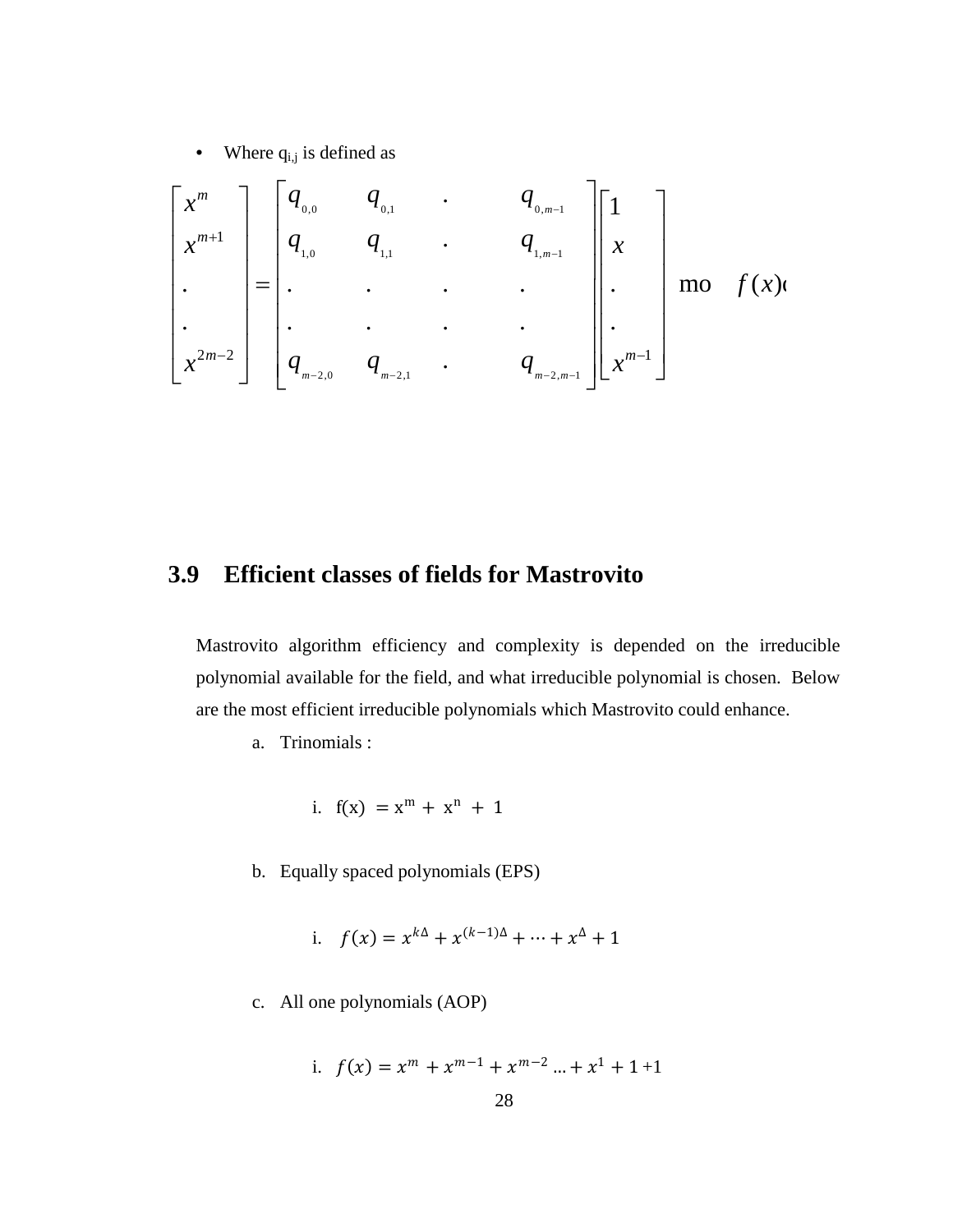• Where  $q_{i,j}$  is defined as

$$
\begin{bmatrix} x^m \\ x^{m+1} \\ \vdots \\ x^{2m-2} \end{bmatrix} = \begin{bmatrix} q_{_{0,0}} & q_{_{0,1}} & \cdot & q_{_{0,m-1}} \\ q_{_{1,0}} & q_{_{1,1}} & \cdot & q_{_{1,m-1}} \\ \vdots & \vdots & \vdots & \vdots \\ q_{_{m-2,0}} & q_{_{m-2,1}} & \cdot & q_{_{m-2,m-1}} \end{bmatrix} \begin{bmatrix} 1 \\ x \\ \vdots \\ x^{m-1} \end{bmatrix} \text{mo } f(x)
$$

### **3.9 Efficient classes of fields for Mastrovito**

Mastrovito algorithm efficiency and complexity is depended on the irreducible polynomial available for the field, and what irreducible polynomial is chosen. Below are the most efficient irreducible polynomials which Mastrovito could enhance.

a. Trinomials :

i. 
$$
f(x) = x^m + x^n + 1
$$

b. Equally spaced polynomials (EPS)

i. 
$$
f(x) = x^{k\Delta} + x^{(k-1)\Delta} + \dots + x^{\Delta} + 1
$$

c. All one polynomials (AOP)

i. 
$$
f(x) = x^m + x^{m-1} + x^{m-2} + \dots + x^1 + 1 + 1
$$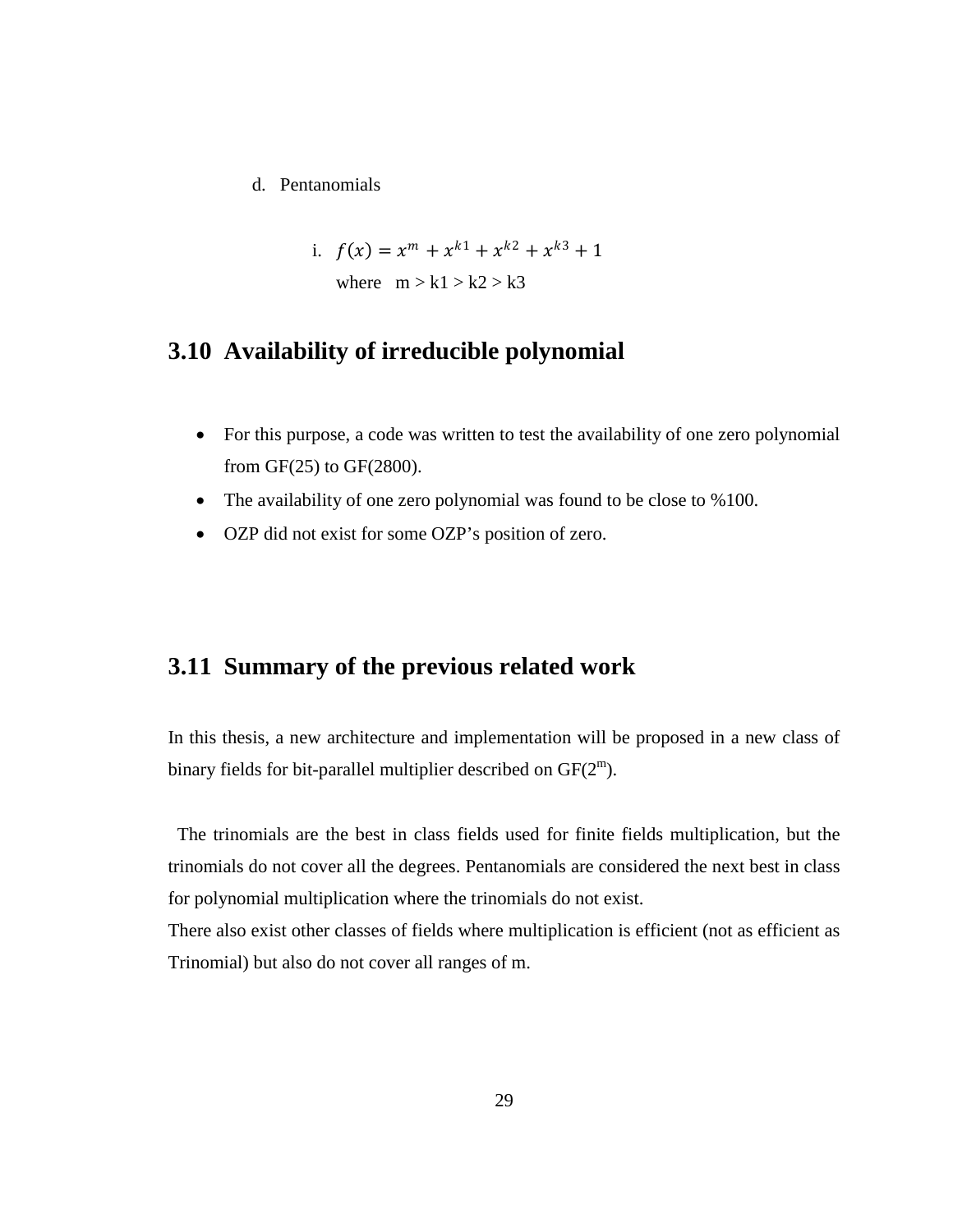d. Pentanomials

i. 
$$
f(x) = x^m + x^{k_1} + x^{k_2} + x^{k_3} + 1
$$
  
where  $m > k_1 > k_2 > k_3$ 

#### **3.10 Availability of irreducible polynomial**

- For this purpose, a code was written to test the availability of one zero polynomial from GF(25) to GF(2800).
- The availability of one zero polynomial was found to be close to %100.
- OZP did not exist for some OZP's position of zero.

#### **3.11 Summary of the previous related work**

In this thesis, a new architecture and implementation will be proposed in a new class of binary fields for bit-parallel multiplier described on  $GF(2^m)$ .

 The trinomials are the best in class fields used for finite fields multiplication, but the trinomials do not cover all the degrees. Pentanomials are considered the next best in class for polynomial multiplication where the trinomials do not exist.

There also exist other classes of fields where multiplication is efficient (not as efficient as Trinomial) but also do not cover all ranges of m.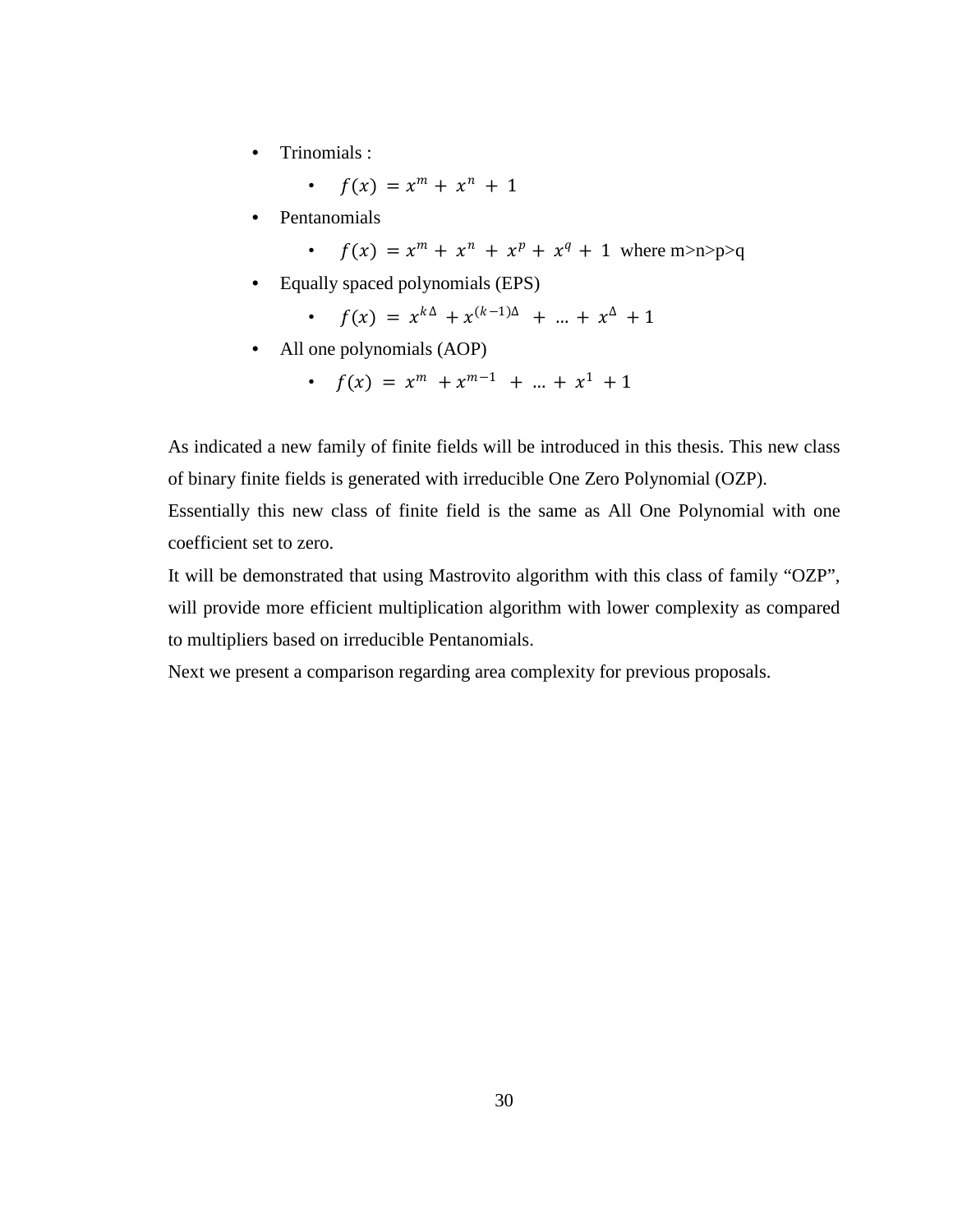- Trinomials :
	- $f(x) = x^m + x^n + 1$
- Pentanomials

•  $f(x) = x^m + x^n + x^p + x^q + 1$  where m>n>p>q

• Equally spaced polynomials (EPS)

• 
$$
f(x) = x^{k\Delta} + x^{(k-1)\Delta} + \dots + x^{\Delta} + 1
$$

- All one polynomials (AOP)
	- $f(x) = x^m + x^{m-1} + ... + x^1 + 1$

As indicated a new family of finite fields will be introduced in this thesis. This new class of binary finite fields is generated with irreducible One Zero Polynomial (OZP).

Essentially this new class of finite field is the same as All One Polynomial with one coefficient set to zero.

It will be demonstrated that using Mastrovito algorithm with this class of family "OZP", will provide more efficient multiplication algorithm with lower complexity as compared to multipliers based on irreducible Pentanomials.

Next we present a comparison regarding area complexity for previous proposals.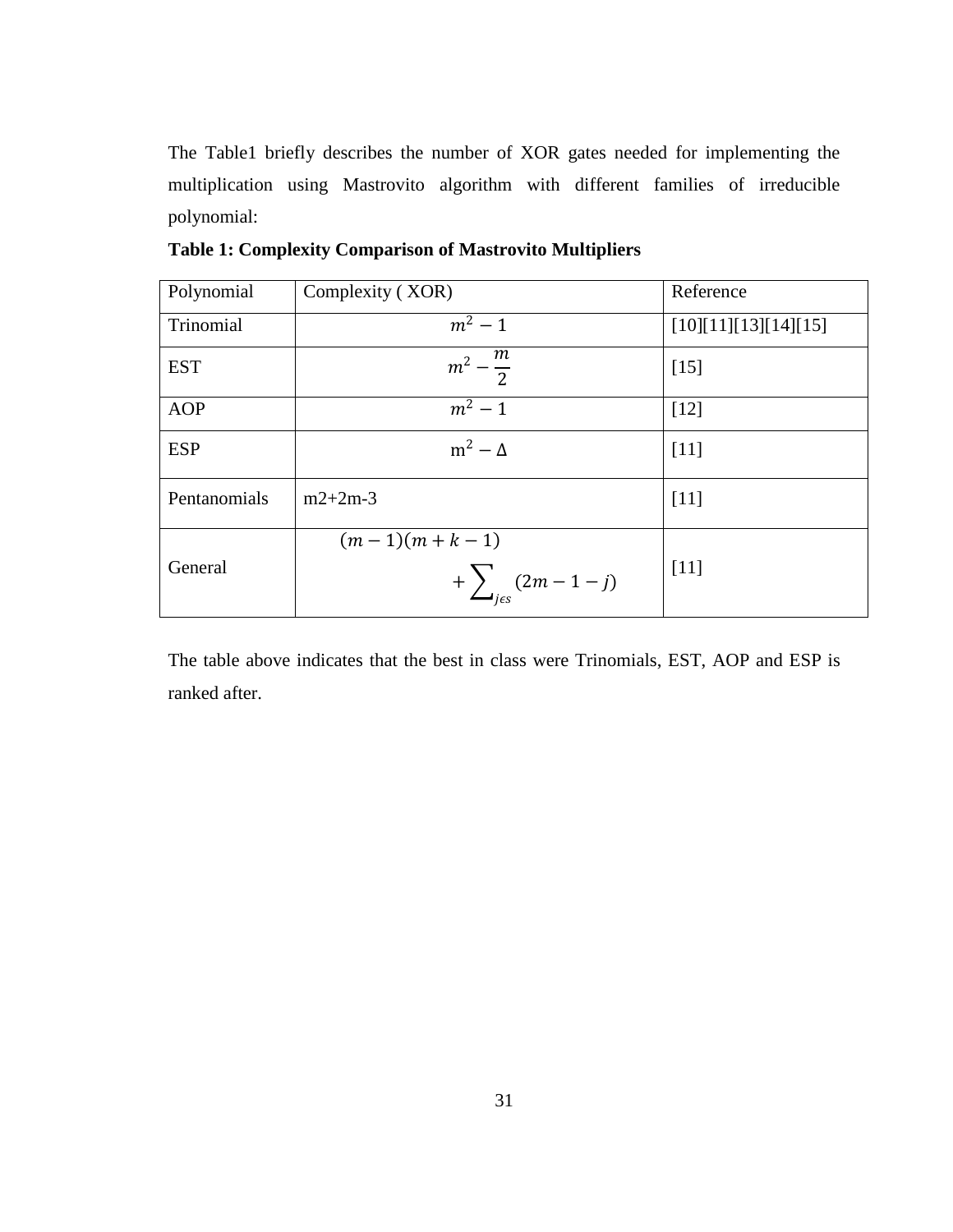The Table1 briefly describes the number of XOR gates needed for implementing the multiplication using Mastrovito algorithm with different families of irreducible polynomial:

| Polynomial   | Complexity (XOR)                | Reference            |
|--------------|---------------------------------|----------------------|
| Trinomial    | $m^2 - 1$                       | [10][11][13][14][15] |
| <b>EST</b>   | $m^2 - \frac{m}{2}$             | $[15]$               |
| AOP          | $m^2-1$                         | $[12]$               |
| <b>ESP</b>   | $m^2 - \Delta$                  | $[11]$               |
| Pentanomials | $m2+2m-3$                       | [11]                 |
|              | $(m-1)(m+k-1)$                  |                      |
| General      | + $\sum_{i \in S} (2m - 1 - j)$ | $[11]$               |

**Table 1: Complexity Comparison of Mastrovito Multipliers**

The table above indicates that the best in class were Trinomials, EST, AOP and ESP is ranked after.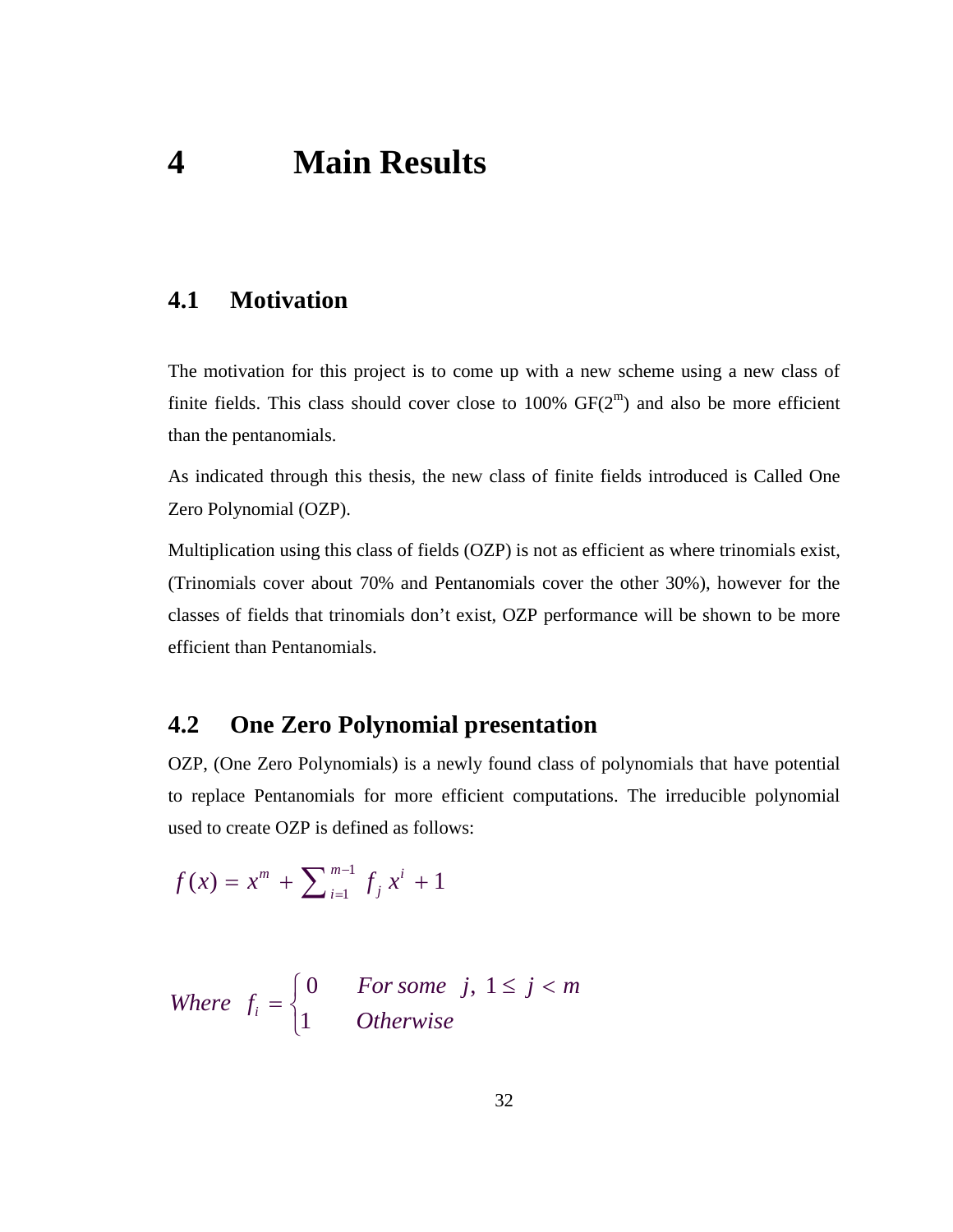## **4 Main Results**

#### **4.1 Motivation**

The motivation for this project is to come up with a new scheme using a new class of finite fields. This class should cover close to 100%  $GF(2<sup>m</sup>)$  and also be more efficient than the pentanomials.

As indicated through this thesis, the new class of finite fields introduced is Called One Zero Polynomial (OZP).

Multiplication using this class of fields (OZP) is not as efficient as where trinomials exist, (Trinomials cover about 70% and Pentanomials cover the other 30%), however for the classes of fields that trinomials don't exist, OZP performance will be shown to be more efficient than Pentanomials.

#### **4.2 One Zero Polynomial presentation**

OZP, (One Zero Polynomials) is a newly found class of polynomials that have potential to replace Pentanomials for more efficient computations. The irreducible polynomial used to create OZP is defined as follows:

$$
f(x) = x^m + \sum_{i=1}^{m-1} f_j x^i + 1
$$

Where 
$$
f_i = \begin{cases} 0 & \text{For some } j, 1 \le j < m \\ 1 & \text{Otherwise} \end{cases}
$$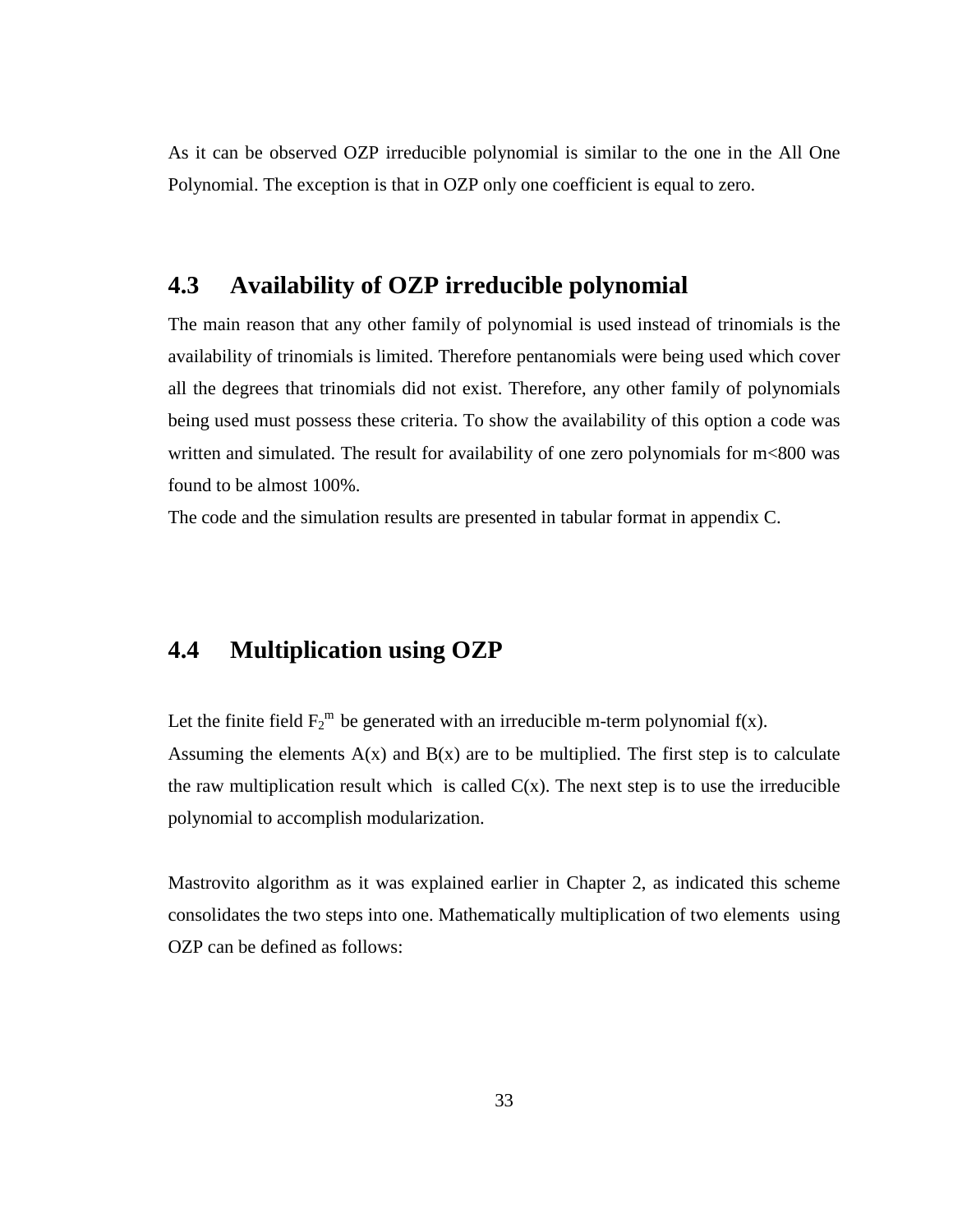As it can be observed OZP irreducible polynomial is similar to the one in the All One Polynomial. The exception is that in OZP only one coefficient is equal to zero.

#### **4.3 Availability of OZP irreducible polynomial**

The main reason that any other family of polynomial is used instead of trinomials is the availability of trinomials is limited. Therefore pentanomials were being used which cover all the degrees that trinomials did not exist. Therefore, any other family of polynomials being used must possess these criteria. To show the availability of this option a code was written and simulated. The result for availability of one zero polynomials for m<800 was found to be almost 100%.

The code and the simulation results are presented in tabular format in appendix C.

#### **4.4 Multiplication using OZP**

Let the finite field  $F_2^m$  be generated with an irreducible m-term polynomial f(x). Assuming the elements  $A(x)$  and  $B(x)$  are to be multiplied. The first step is to calculate the raw multiplication result which is called  $C(x)$ . The next step is to use the irreducible polynomial to accomplish modularization.

Mastrovito algorithm as it was explained earlier in Chapter 2, as indicated this scheme consolidates the two steps into one. Mathematically multiplication of two elements using OZP can be defined as follows: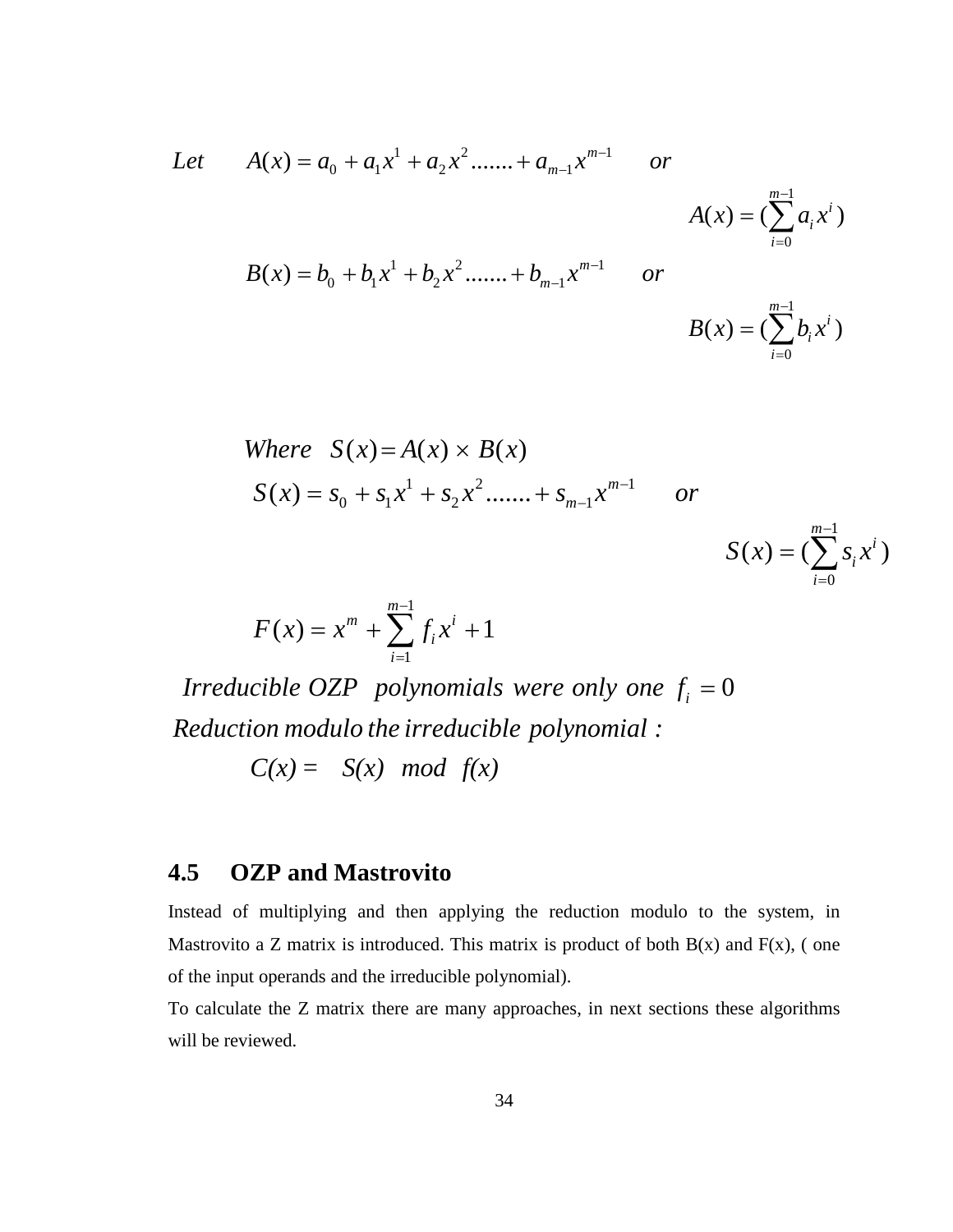Let 
$$
A(x) = a_0 + a_1 x^1 + a_2 x^2 + \dots + a_{m-1} x^{m-1}
$$
 or  
\n
$$
A(x) = \left(\sum_{i=0}^{m-1} a_i x^i\right)
$$
\n
$$
B(x) = b_0 + b_1 x^1 + b_2 x^2 + \dots + b_{m-1} x^{m-1}
$$
 or  
\n
$$
B(x) = \left(\sum_{i=0}^{m-1} b_i x^i\right)
$$

Where 
$$
S(x) = A(x) \times B(x)
$$
  
\n
$$
S(x) = s_0 + s_1 x^1 + s_2 x^2 \dots + s_{m-1} x^{m-1} \qquad or
$$
\n
$$
S(x) = (\sum_{i=0}^{m-1} s_i x^i)
$$

$$
F(x) = x^m + \sum_{i=1}^{m-1} f_i x^i + 1
$$

*Irreducible OZP polynomials were only one*  $f_i = 0$ *Reduction modulo the irreducible polynomial :*

 $C(x) = S(x) \mod f(x)$ 

### **4.5 OZP and Mastrovito**

Instead of multiplying and then applying the reduction modulo to the system, in Mastrovito a Z matrix is introduced. This matrix is product of both  $B(x)$  and  $F(x)$ , (one of the input operands and the irreducible polynomial).

To calculate the Z matrix there are many approaches, in next sections these algorithms will be reviewed.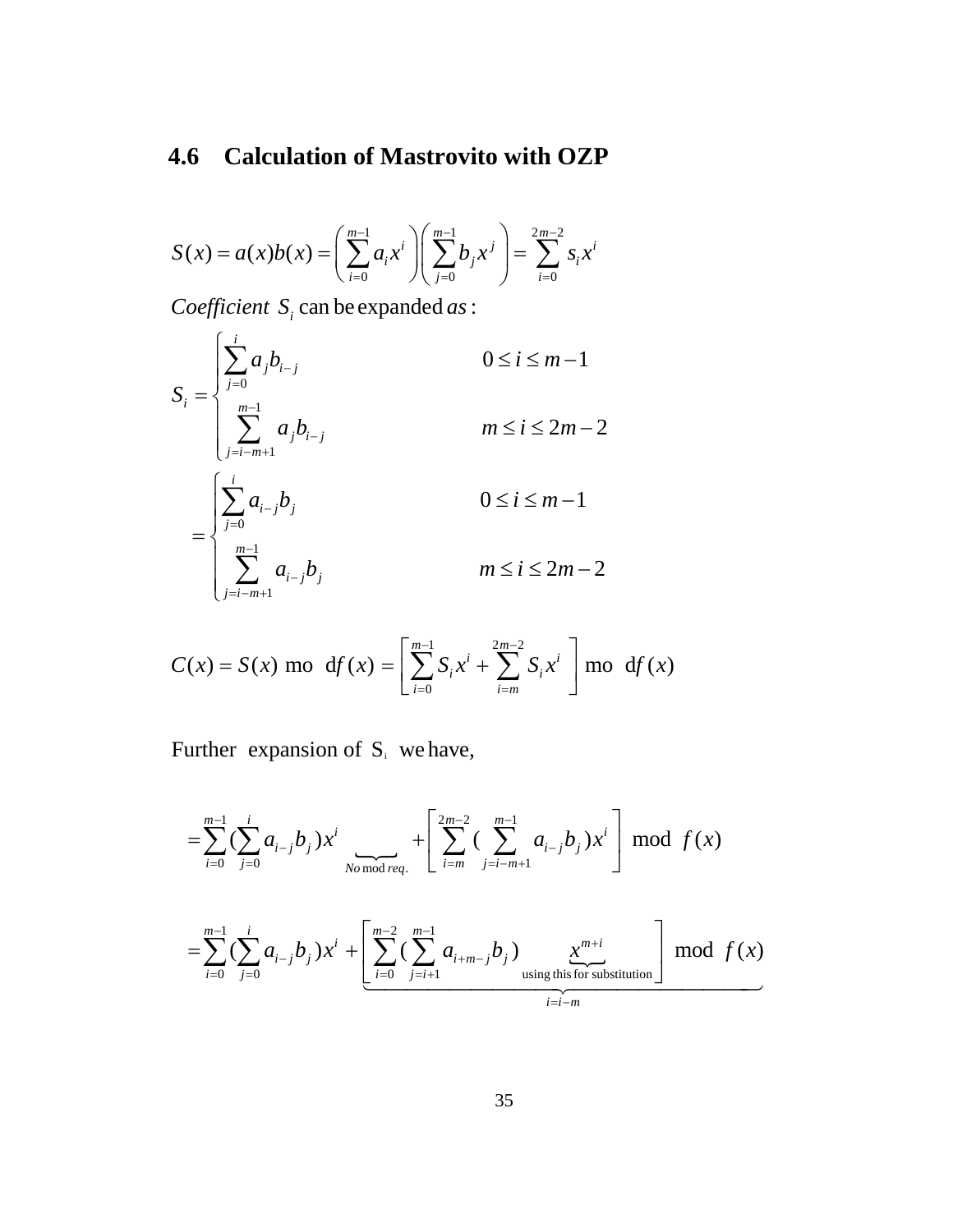## **4.6 Calculation of Mastrovito with OZP**

$$
S(x) = a(x)b(x) = \left(\sum_{i=0}^{m-1} a_i x^i\right) \left(\sum_{j=0}^{m-1} b_j x^j\right) = \sum_{i=0}^{2m-2} s_i x^i
$$

*Coefficient*  $S_i$  can be expanded *as*:

$$
S_{i} = \begin{cases} \sum_{j=0}^{i} a_{j}b_{i-j} & 0 \leq i \leq m-1\\ \sum_{j=i-m+1}^{m-1} a_{j}b_{i-j} & m \leq i \leq 2m-2\\ \sum_{j=0}^{i} a_{i-j}b_{j} & 0 \leq i \leq m-1\\ \sum_{j=i-m+1}^{m-1} a_{i-j}b_{j} & m \leq i \leq 2m-2 \end{cases}
$$

$$
C(x) = S(x) \text{ mo } df(x) = \left[ \sum_{i=0}^{m-1} S_i x^i + \sum_{i=m}^{2m-2} S_i x^i \right] \text{mo } df(x)
$$

Further expansion of  $S_i$  we have,

$$
= \sum_{i=0}^{m-1} \left( \sum_{j=0}^{i} a_{i-j} b_j \right) x^i \bigg\{ \sum_{N \text{ of } n \text{ of } n \neq i}^{2m-2} \left( \sum_{i=m}^{m-1} a_{i-j} b_j \right) x^i \right\} \mod f(x)
$$
  

$$
= \sum_{i=0}^{m-1} \left( \sum_{j=0}^{i} a_{i-j} b_j \right) x^i + \left[ \sum_{i=0}^{m-2} \left( \sum_{j=i+1}^{m-1} a_{i+m-j} b_j \right) \underbrace{x^{m+i}}_{\text{using this for substitution}} \right] \mod f(x)
$$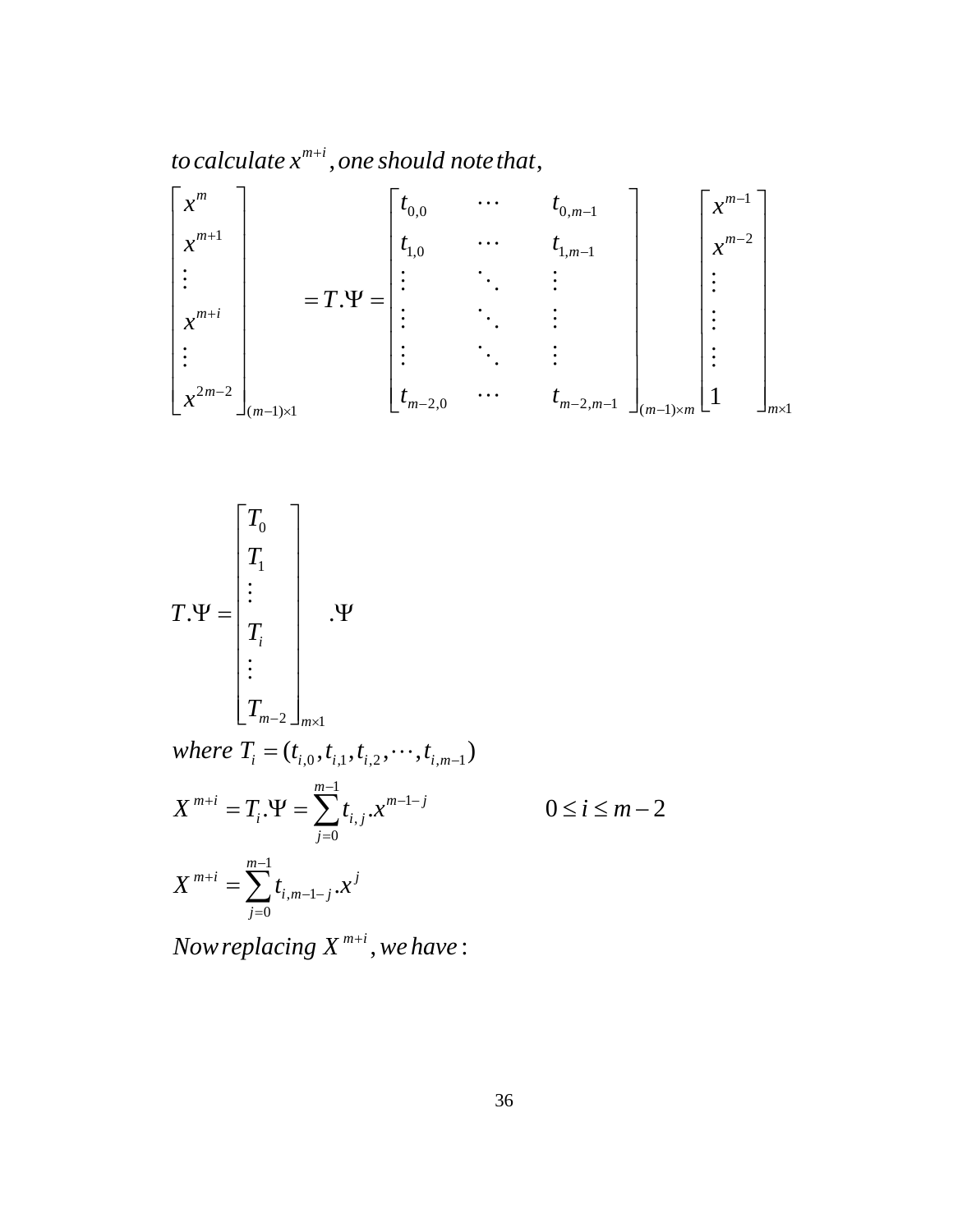to calculate  $x^{m+i}$  , one should note that ,



$$
T.\Psi = \begin{bmatrix} T_0 \\ T_1 \\ \vdots \\ T_i \\ \vdots \\ T_{m-2} \end{bmatrix} \qquad .\Psi
$$

*where*  $T_i = (t_{i,0}, t_{i,1}, t_{i,2}, \cdots, t_{i,m-1})$ 1 1 , 0 1  $,m-1$ 0 .  $\Psi = \sum t_{i,j} x^{m-1-j}$   $0 \le i \le m-2$ .  $a^{m+i} = T \text{ } \mathbf{U}$   $=$   $\sum_{m=1}^{m-1}$   $\mathbf{V}$   $=$   $\sum_{m=1}^{m-1}$  $i \cdot$  **i**  $\rightarrow$   $\angle$   $\iota_{i,j}$ *j*  $m+i$   $\sum_{m=1}^{m-1}$  *j*  $i,m-1-j$ *j*  $X^{m+i} = T_i \Psi = \sum t_{i,j} x^{m-i-j}$   $0 \le i \le m$  $X^{m+i} = \sum t_{i,m-1-i}$ .x  $f^{+i} = T M L \frac{m-1}{m}$ =  $+i$   $\frac{m}{\sqrt{}}$  $-1-$ =  $=T_i.\Psi = \sum t_{i,j} x^{m-1-j}$   $0 \le i \le m-1$ = ∑

*Now replacing*  $X^{m+i}$ , we have :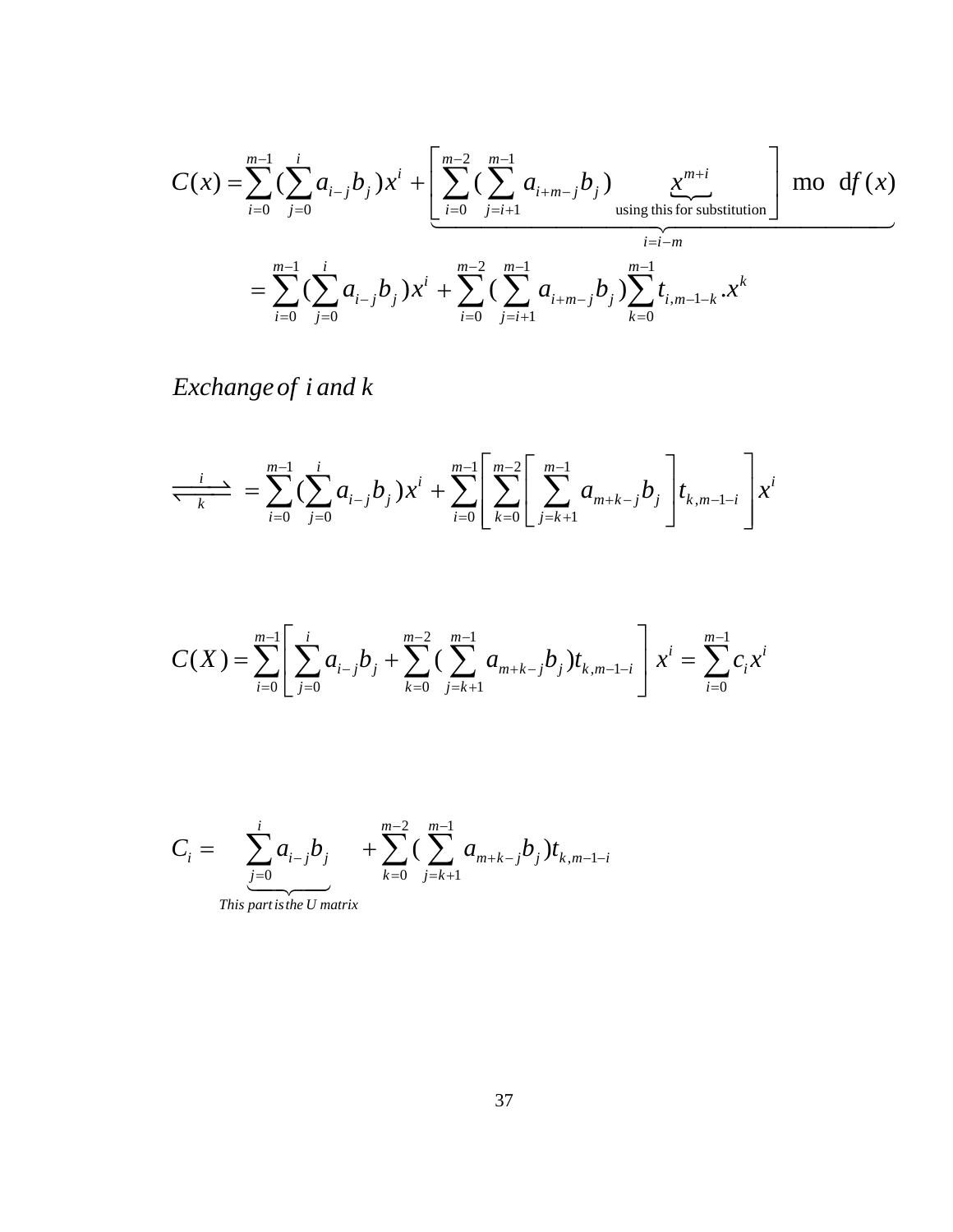$$
C(x) = \sum_{i=0}^{m-1} \left( \sum_{j=0}^{i} a_{i-j} b_j \right) x^i + \left[ \sum_{i=0}^{m-2} \left( \sum_{j=i+1}^{m-1} a_{i+m-j} b_j \right)_{\text{using this for substitution}} \right] \text{ mod } f(x)
$$
  
= 
$$
\sum_{i=0}^{m-1} \left( \sum_{j=0}^{i} a_{i-j} b_j \right) x^i + \sum_{i=0}^{m-2} \left( \sum_{j=i+1}^{m-1} a_{i+m-j} b_j \right) \sum_{k=0}^{m-1} t_{i,m-1-k} x^k
$$

*Exchangeof i a nd k*

$$
\frac{i}{\sum_{k=0}^{k}} = \sum_{i=0}^{m-1} \left( \sum_{j=0}^{i} a_{i-j} b_j \right) x^i + \sum_{i=0}^{m-1} \left[ \sum_{k=0}^{m-2} \left[ \sum_{j=k+1}^{m-1} a_{m+k-j} b_j \right] t_{k,m-1-i} \right] x^i
$$

$$
C(X) = \sum_{i=0}^{m-1} \left[ \sum_{j=0}^{i} a_{i-j} b_j + \sum_{k=0}^{m-2} \left( \sum_{j=k+1}^{m-1} a_{m+k-j} b_j \right) t_{k,m-1-i} \right] x^i = \sum_{i=0}^{m-1} c_i x^i
$$

$$
C_{i} = \sum_{\substack{j=0 \ j \text{ this part is the } U \text{ matrix}}}^{i} b_{j} + \sum_{k=0}^{m-2} \left( \sum_{j=k+1}^{m-1} a_{m+k-j} b_{j} \right) t_{k,m-1-i}
$$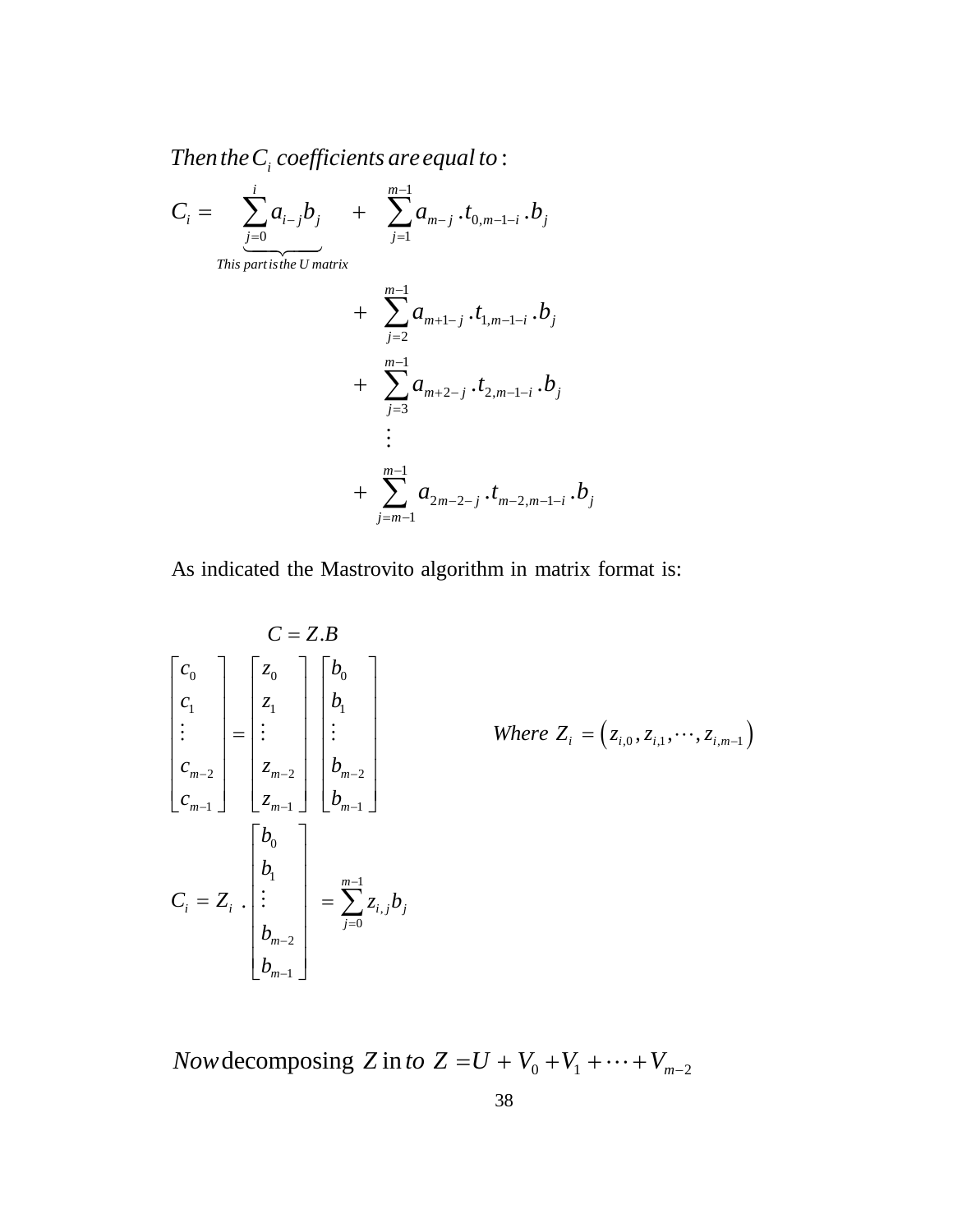Then the  $C_i$  coefficients are equal to :

$$
C_{i} = \sum_{\substack{j=0 \ j=0}}^{i} a_{i-j} b_{j} + \sum_{j=1}^{m-1} a_{m-j} \cdot t_{0,m-1-i} \cdot b_{j} + \sum_{j=2}^{m-1} a_{m+1-j} \cdot t_{1,m-1-i} \cdot b_{j} + \sum_{j=3}^{m-1} a_{m+2-j} \cdot t_{2,m-1-i} \cdot b_{j} + \sum_{j=m-1}^{m-1} a_{2m-2-j} \cdot t_{m-2,m-1-i} \cdot b_{j}
$$

As indicated the Mastrovito algorithm in matrix format is:

$$
C = Z.B
$$
\n
$$
\begin{bmatrix}\nc_0 \\
c_1 \\
\vdots \\
c_{m-2} \\
c_{m-1}\n\end{bmatrix} = \begin{bmatrix}\nz_0 \\
z_1 \\
\vdots \\
z_{m-2} \\
z_{m-1}\n\end{bmatrix} \begin{bmatrix}\nb_0 \\
b_1 \\
\vdots \\
b_{m-2} \\
b_{m-1}\n\end{bmatrix}
$$
\nWhere  $Z_i = (z_{i,0}, z_{i,1}, \dots, z_{i,m-1})$   
\n
$$
C_i = Z_i \cdot \begin{bmatrix}\nb_0 \\
b_1 \\
\vdots \\
b_{m-2} \\
b_{m-1}\n\end{bmatrix} = \sum_{j=0}^{m-1} z_{i,j} b_j
$$

Now decomposing  $Z$  in to  $Z = U + V_0 + V_1 + \cdots + V_{m-2}$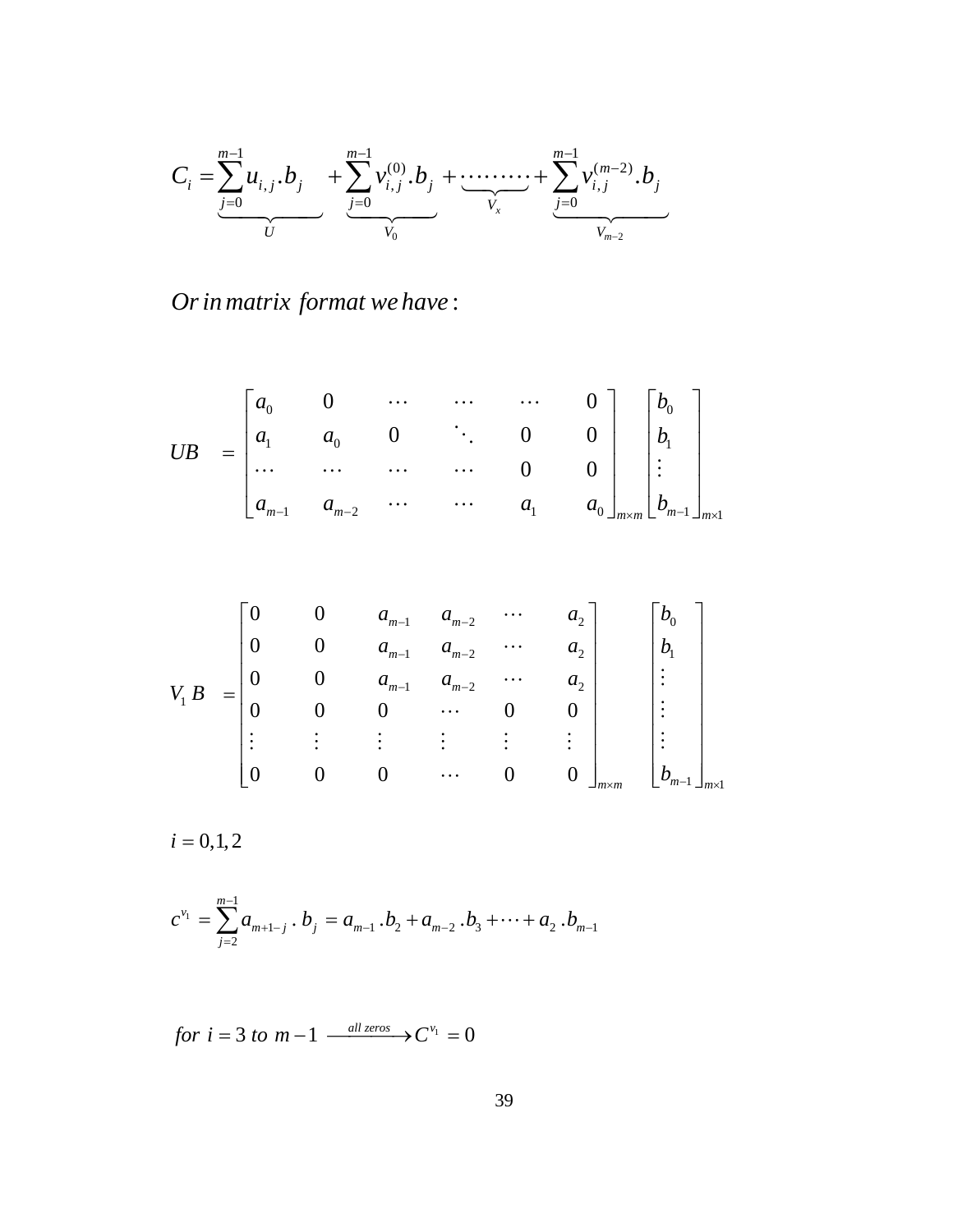$$
C_i = \underbrace{\sum_{j=0}^{m-1} u_{i,j} b_j}_{U} + \underbrace{\sum_{j=0}^{m-1} v_{i,j}^{(0)} b_j}_{V_0} + \underbrace{\cdots \cdots}_{V_x} + \underbrace{\sum_{j=0}^{m-1} v_{i,j}^{(m-2)} b_j}_{V_{m-2}}
$$

: *Or in matrix format we have*

$$
UB = \begin{bmatrix} a_0 & 0 & \cdots & \cdots & 0 \\ a_1 & a_0 & 0 & \ddots & 0 & 0 \\ \cdots & \cdots & \cdots & \cdots & 0 & 0 \\ a_{m-1} & a_{m-2} & \cdots & \cdots & a_1 & a_0 \end{bmatrix} \begin{bmatrix} b_0 \\ b_1 \\ \vdots \\ b_{m-1} \end{bmatrix}_{m \times n}
$$

$$
V_{1} B = \begin{bmatrix} 0 & 0 & a_{m-1} & a_{m-2} & \cdots & a_{2} \\ 0 & 0 & a_{m-1} & a_{m-2} & \cdots & a_{2} \\ 0 & 0 & a_{m-1} & a_{m-2} & \cdots & a_{2} \\ 0 & 0 & 0 & \cdots & 0 & 0 \\ \vdots & \vdots & \vdots & \vdots & \vdots & \vdots \\ 0 & 0 & 0 & \cdots & 0 & 0 \end{bmatrix}_{m \times m} \begin{bmatrix} b_{0} \\ b_{1} \\ \vdots \\ b_{m-1} \end{bmatrix}_{m \times 1}
$$

$$
i=0,1,2
$$

$$
c^{v_1} = \sum_{j=2}^{m-1} a_{m+1-j} \cdot b_j = a_{m-1} \cdot b_2 + a_{m-2} \cdot b_3 + \dots + a_2 \cdot b_{m-1}
$$

for 
$$
i = 3
$$
 to  $m-1$   $\xrightarrow{all zeros} C^{\nu_1} = 0$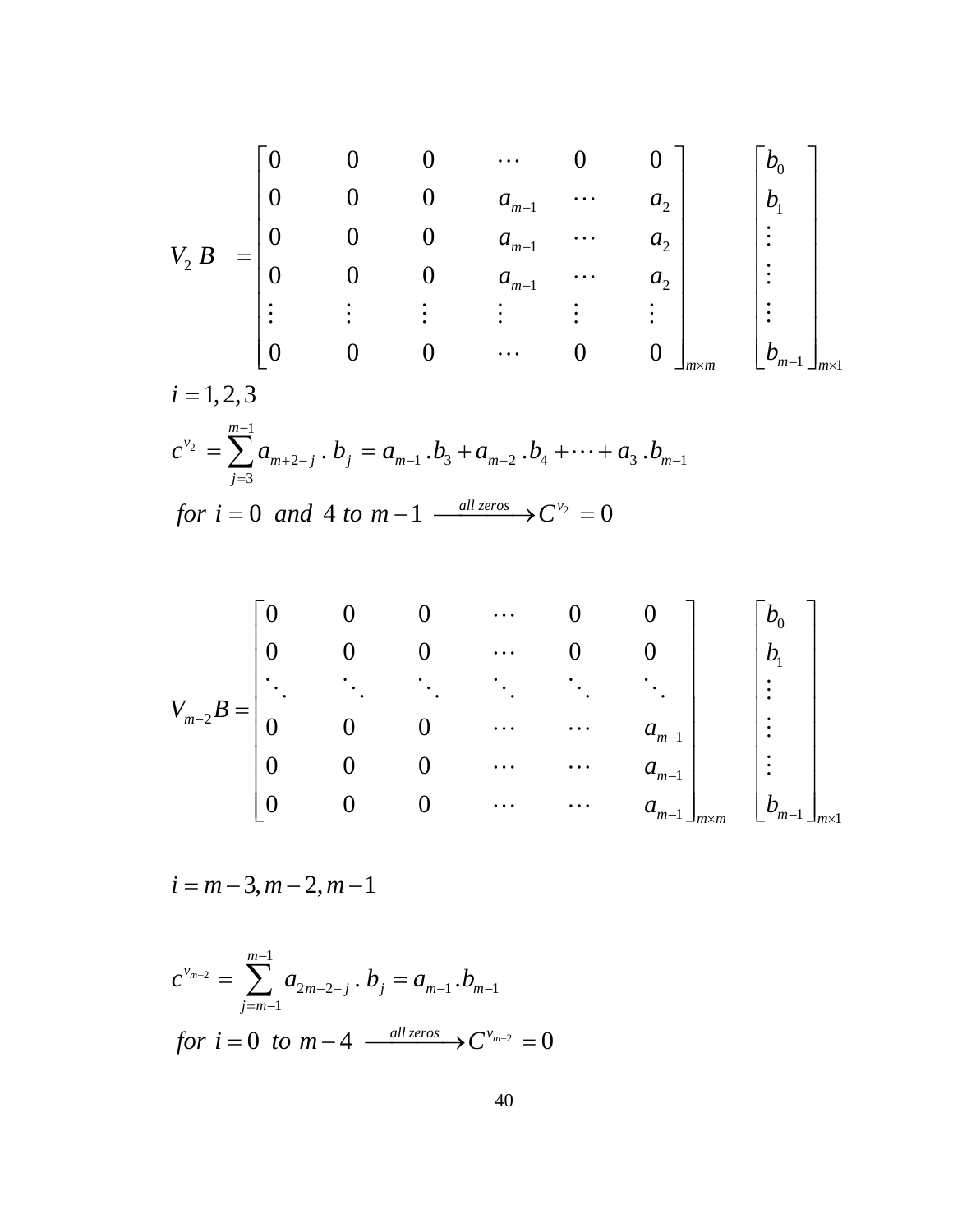$$
V_2 B = \begin{bmatrix} 0 & 0 & 0 & \cdots & 0 & 0 \\ 0 & 0 & 0 & a_{m-1} & \cdots & a_2 \\ 0 & 0 & 0 & a_{m-1} & \cdots & a_2 \\ 0 & 0 & 0 & a_{m-1} & \cdots & a_2 \\ \vdots & \vdots & \vdots & \vdots & \vdots & \vdots \\ 0 & 0 & 0 & \cdots & 0 & 0 \end{bmatrix}_{m \times m} \begin{bmatrix} b_0 \\ b_1 \\ \vdots \\ b_m \end{bmatrix}_{m \times 1}
$$
  
 $i = 1, 2, 3$ 

$$
c^{v_2} = \sum_{j=3}^{m-1} a_{m+2-j} \cdot b_j = a_{m-1} \cdot b_3 + a_{m-2} \cdot b_4 + \dots + a_3 \cdot b_{m-1}
$$
  
for  $i = 0$  and 4 to  $m-1$   $\xrightarrow{all zeros} C^{v_2} = 0$ 

$$
V_{m-2}B = \begin{bmatrix} 0 & 0 & 0 & \cdots & 0 & 0 \\ 0 & 0 & 0 & \cdots & 0 & 0 \\ \vdots & \vdots & \ddots & \vdots & \ddots & \vdots \\ 0 & 0 & 0 & \cdots & \cdots & a_{m-1} \\ 0 & 0 & 0 & \cdots & \cdots & a_{m-1} \\ 0 & 0 & 0 & \cdots & \cdots & a_{m-1} \end{bmatrix} \begin{bmatrix} b_0 \\ b_1 \\ \vdots \\ b_m \end{bmatrix}
$$

 $i = m-3, m-2, m-1$ 

$$
c^{v_{m-2}} = \sum_{j=m-1}^{m-1} a_{2m-2-j} \cdot b_j = a_{m-1} \cdot b_{m-1}
$$
  
for  $i = 0$  to  $m-4$   $\xrightarrow{all zeros} C^{v_{m-2}} = 0$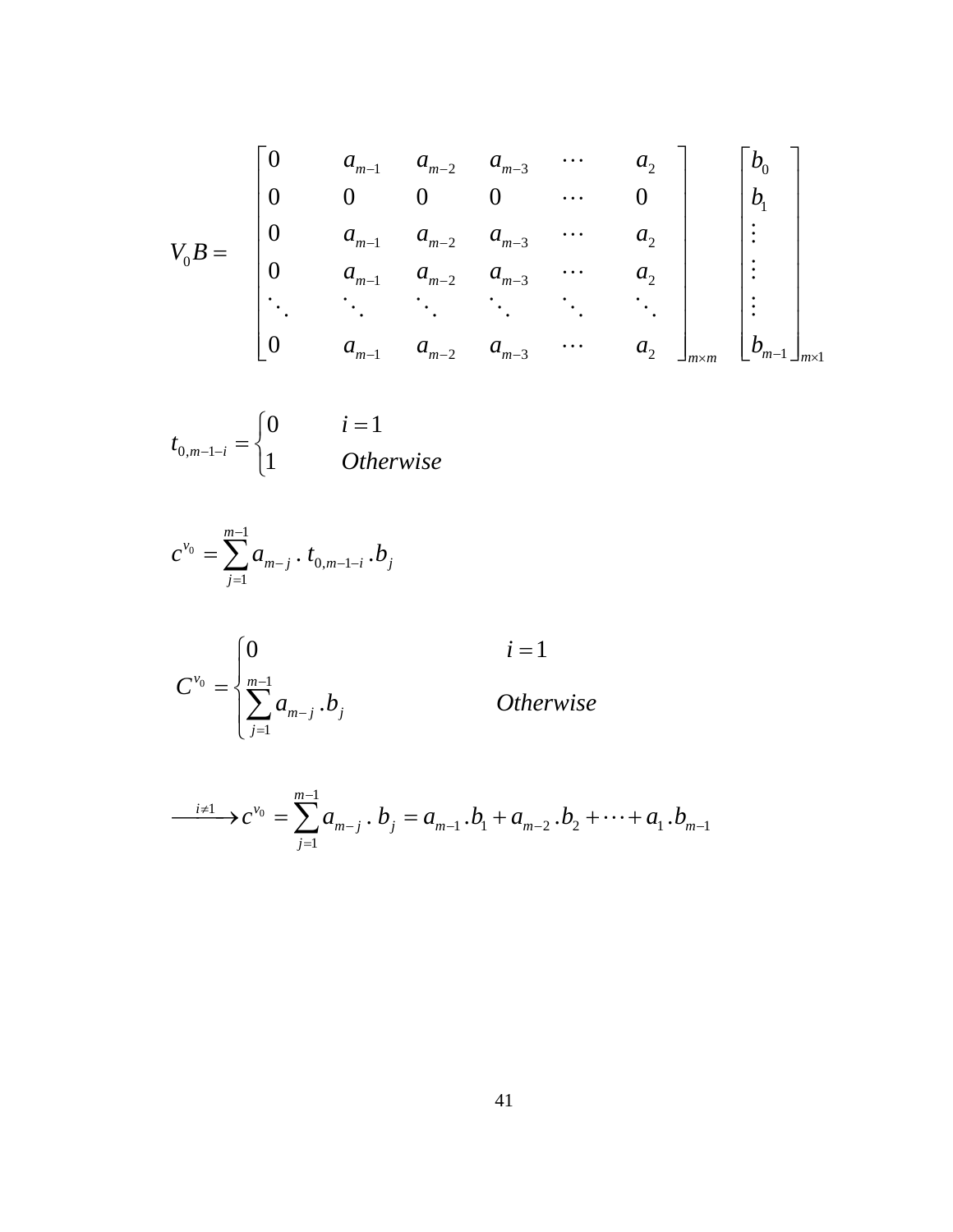$$
V_0B = \begin{bmatrix} 0 & a_{m-1} & a_{m-2} & a_{m-3} & \cdots & a_2 \\ 0 & 0 & 0 & 0 & \cdots & 0 \\ 0 & a_{m-1} & a_{m-2} & a_{m-3} & \cdots & a_2 \\ 0 & a_{m-1} & a_{m-2} & a_{m-3} & \cdots & a_2 \\ \vdots & \vdots & \vdots & \ddots & \vdots & \vdots & \vdots \\ 0 & a_{m-1} & a_{m-2} & a_{m-3} & \cdots & a_2 \end{bmatrix} \begin{bmatrix} b_0 \\ b_1 \\ \vdots \\ b_m \end{bmatrix}
$$

$$
t_{0,m-1-i} = \begin{cases} 0 & i=1\\ 1 & Otherwise \end{cases}
$$

$$
c^{v_0} = \sum_{j=1}^{m-1} a_{m-j} \cdot t_{0,m-1-i} \cdot b_j
$$

$$
C^{v_0} = \begin{cases} 0 & i = 1\\ \sum_{j=1}^{m-1} a_{m-j} \cdot b_j & Otherwise \end{cases}
$$

$$
\underbrace{\qquad \qquad }_{i\neq 1} C^{v_0} = \sum_{j=1}^{m-1} a_{m-j} \, . \, b_j = a_{m-1} \, . b_1 + a_{m-2} \, . b_2 + \cdots + a_1 \, . b_{m-1}
$$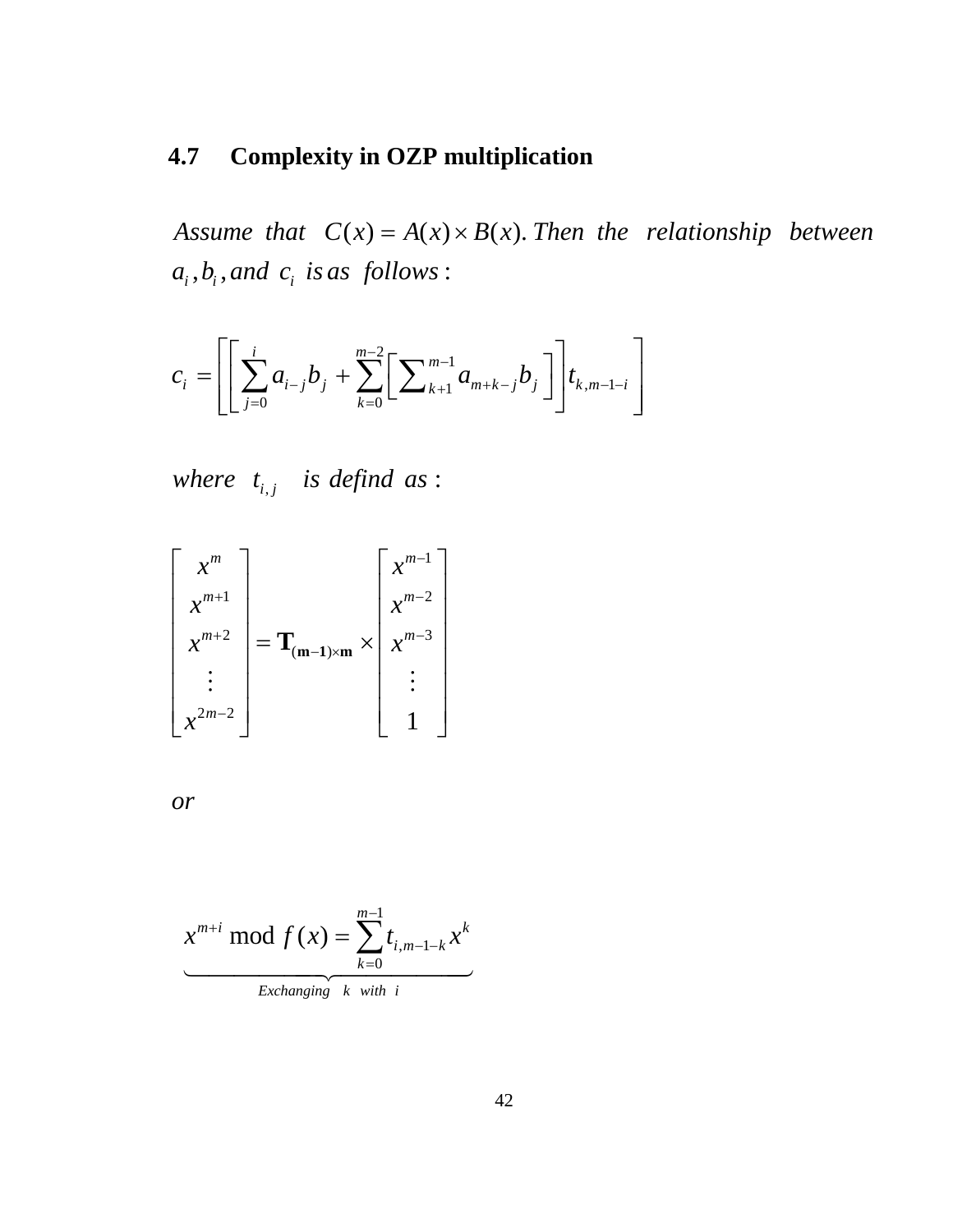### **4.7 Complexity in OZP multiplication**

Assume that  $C(x) = A(x) \times B(x)$ . Then the relationship between  $a_i$ , $b_i$ , and  $c_i$  is as follows:

$$
c_i = \left[ \left[ \sum_{j=0}^{i} a_{i-j} b_j + \sum_{k=0}^{m-2} \left[ \sum_{k=1}^{m-1} a_{m+k-j} b_j \right] \right] t_{k,m-1-i} \right]
$$

where  $t_{i,j}$  is defind as:



*or*

$$
x^{m+i} \mod f(x) = \sum_{k=0}^{m-1} t_{i,m-1-k} x^k
$$
  
Exchanging k with i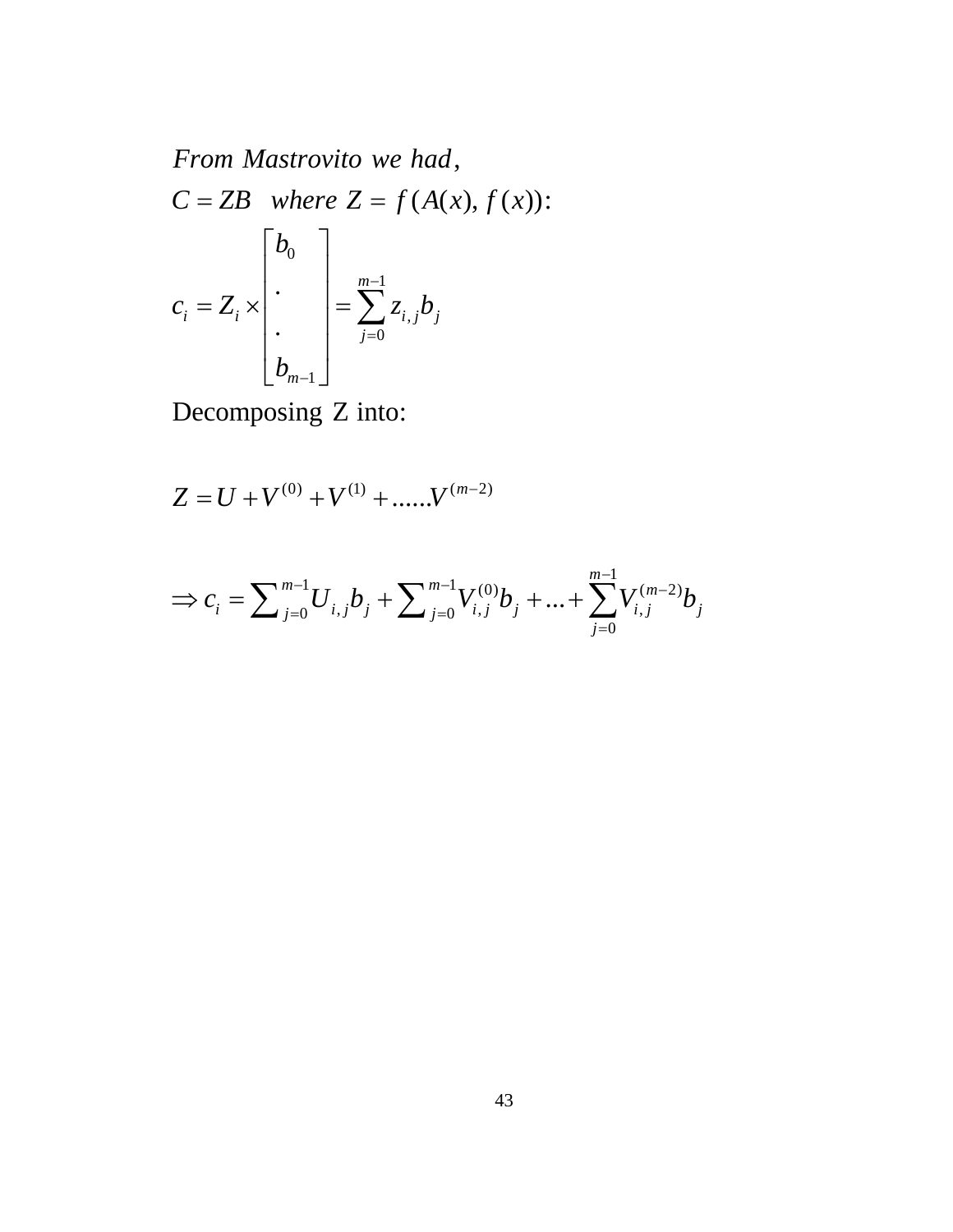$\overline{0}$ 1 , 0 1 , *From Mastrovito we had*  $C = ZB$  where  $Z = f(A(x), f(x))$ : . . *m*  $i = \sum_i \wedge$  |  $\sum_i \sum_{i,j}$ *j m b*  $c_i = Z_i \times$   $\vert$   $\vert$   $=$   $\sum_{i} z_{i,j} b_i$ *b* − = −  $\mid b_{_{0}}\mid$   $=Z_i \times \begin{vmatrix} \cdot & \cdot \\ \cdot & \cdot \end{vmatrix} =$  $\boxed{b_{_{m-1}}}$ ∑

Decomposing Z into:

$$
Z = U + V^{(0)} + V^{(1)} + \dots V^{(m-2)}
$$

$$
\Rightarrow c_i = \sum\nolimits_{j=0}^{m-1} U_{i,j} b_j + \sum\nolimits_{j=0}^{m-1} V_{i,j}^{(0)} b_j + \dots + \sum_{j=0}^{m-1} V_{i,j}^{(m-2)} b_j
$$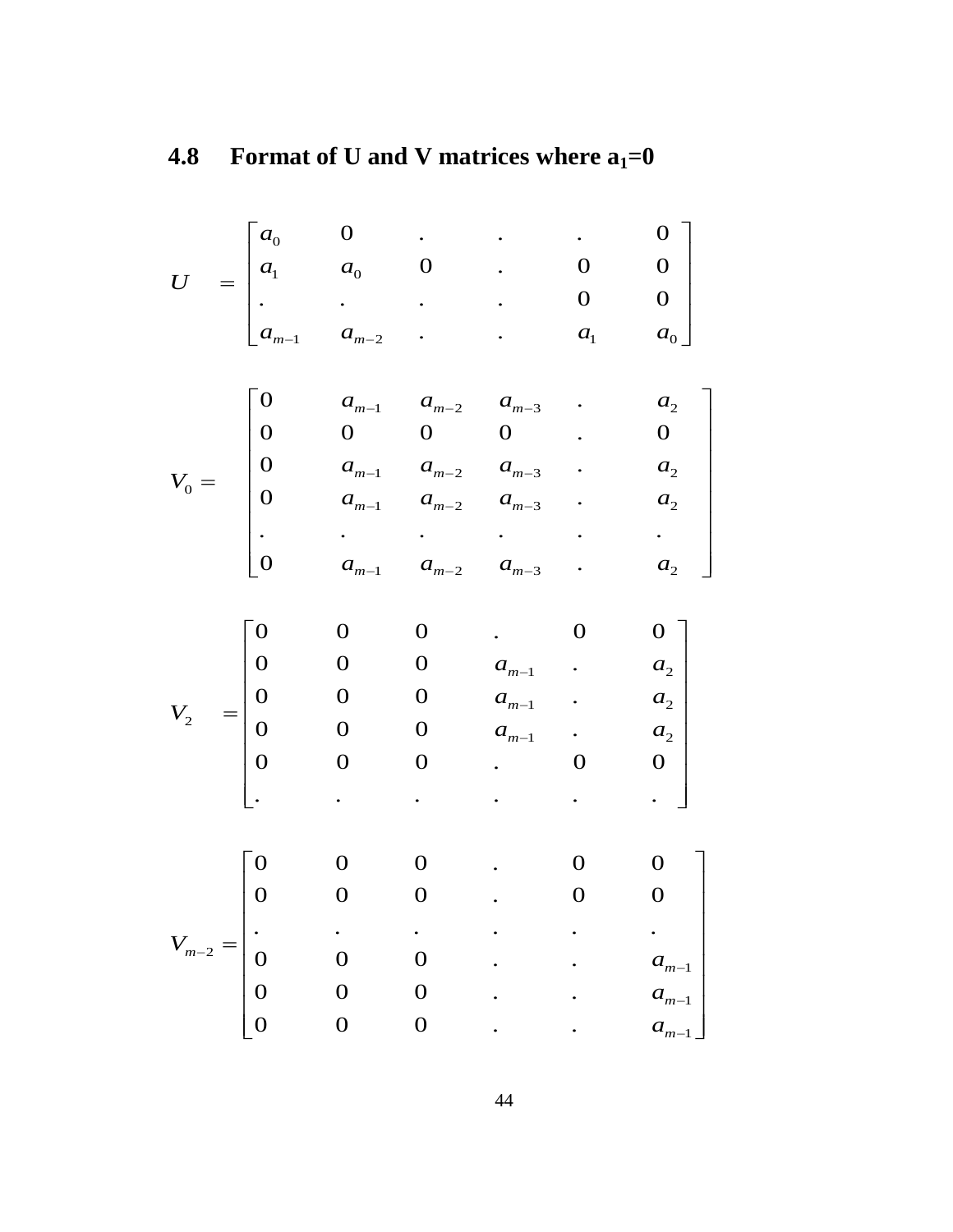# **4.8 Format of U and V matrices where**  $a_1=0$

$$
U = \begin{bmatrix} a_0 & 0 & \cdots & \cdots & 0 \\ a_1 & a_0 & 0 & \cdots & 0 & 0 \\ \vdots & \vdots & \ddots & \vdots & 0 & 0 \\ a_{m-1} & a_{m-2} & \cdots & \cdots & a_1 & a_0 \end{bmatrix}
$$

$$
V_0 = \begin{bmatrix} 0 & a_{m-1} & a_{m-2} & a_{m-3} & \cdots & a_2 \\ 0 & 0 & 0 & 0 & \cdots & 0 \\ 0 & a_{m-1} & a_{m-2} & a_{m-3} & \cdots & a_2 \\ 0 & a_{m-1} & a_{m-2} & a_{m-3} & \cdots & a_2 \\ \vdots & \vdots & \vdots & \vdots & \ddots & \vdots & \vdots \\ 0 & a_{m-1} & a_{m-2} & a_{m-3} & \cdots & a_2 \end{bmatrix}
$$

$$
V_2 = \begin{bmatrix} 0 & 0 & 0 & \dots & 0 & 0 \\ 0 & 0 & 0 & a_{m-1} & \dots & a_2 \\ 0 & 0 & 0 & a_{m-1} & \dots & a_2 \\ 0 & 0 & 0 & a_{m-1} & \dots & a_2 \\ 0 & 0 & 0 & \dots & 0 & 0 \\ \vdots & \vdots & \vdots & \vdots & \vdots & \vdots & \vdots \end{bmatrix}
$$

$$
V_{m-2} = \begin{bmatrix} 0 & 0 & 0 & \cdot & 0 & 0 \\ 0 & 0 & 0 & \cdot & 0 & 0 \\ \cdot & \cdot & \cdot & \cdot & \cdot & \cdot \\ 0 & 0 & 0 & \cdot & \cdot & a_{m-1} \\ 0 & 0 & 0 & \cdot & \cdot & a_{m-1} \\ 0 & 0 & 0 & \cdot & \cdot & a_{m-1} \end{bmatrix}
$$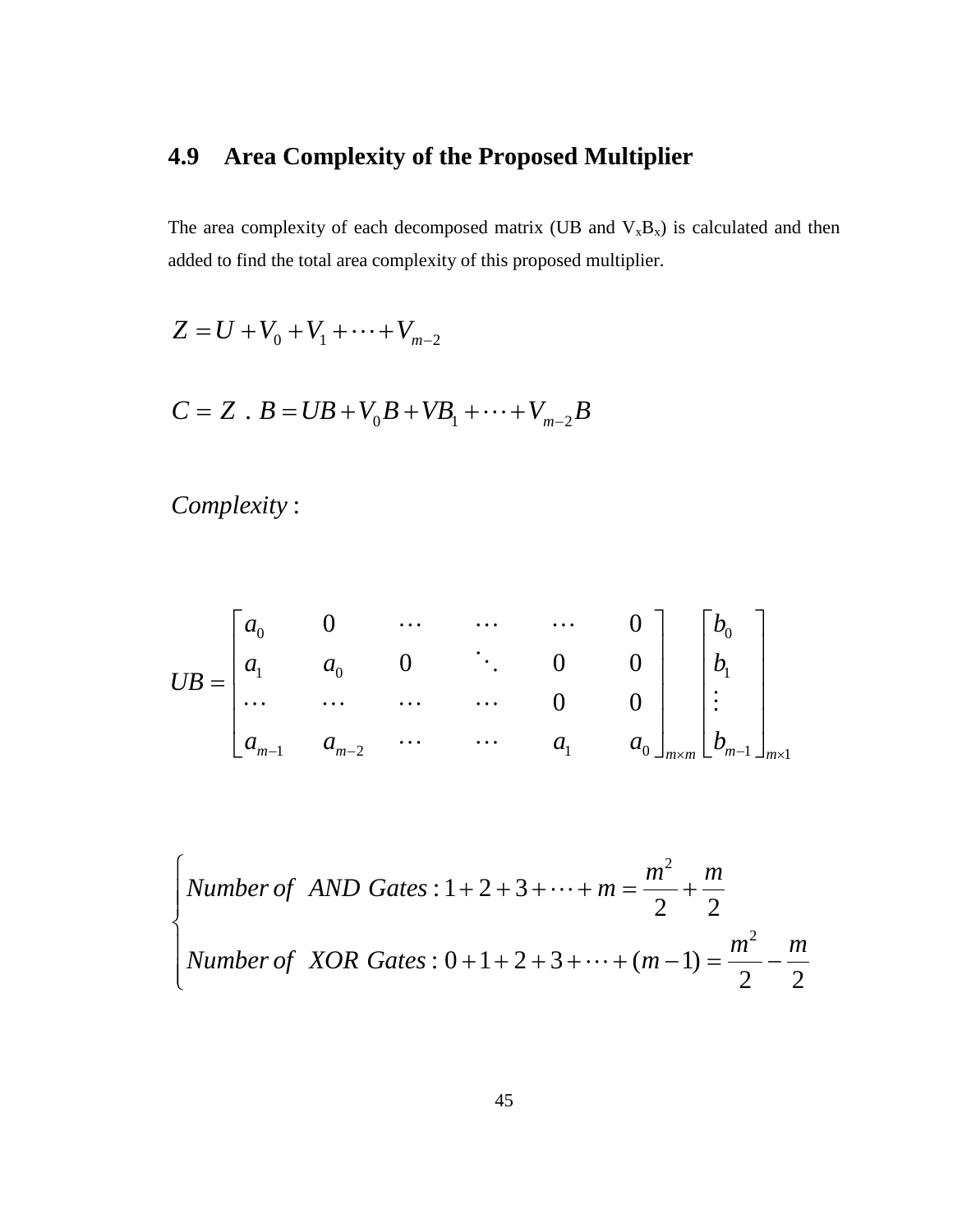## **4.9 Area Complexity of the Proposed Multiplier**

The area complexity of each decomposed matrix (UB and  $V_xB_x$ ) is calculated and then added to find the total area complexity of this proposed multiplier.

$$
Z = U + V_0 + V_1 + \dots + V_{m-2}
$$

$$
C = Z \cdot B = UB + V_0B + VB_1 + \cdots + V_{m-2}B
$$

: *Complexity*

$$
UB = \begin{bmatrix} a_0 & 0 & \cdots & \cdots & 0 \\ a_1 & a_0 & 0 & \ddots & 0 & 0 \\ \cdots & \cdots & \cdots & \cdots & 0 & 0 \\ a_{m-1} & a_{m-2} & \cdots & \cdots & a_1 & a_0 \end{bmatrix}_{m \times m} \begin{bmatrix} b_0 \\ b_1 \\ \vdots \\ b_{m-1} \end{bmatrix}_{m \times 1}
$$

Number of AND Gates : 1 + 2 + 3 + ... + 
$$
m = \frac{m^2}{2} + \frac{m}{2}
$$
  
\nNumber of XOR Gates : 0 + 1 + 2 + 3 + ... +  $(m - 1) = \frac{m^2}{2} - \frac{m}{2}$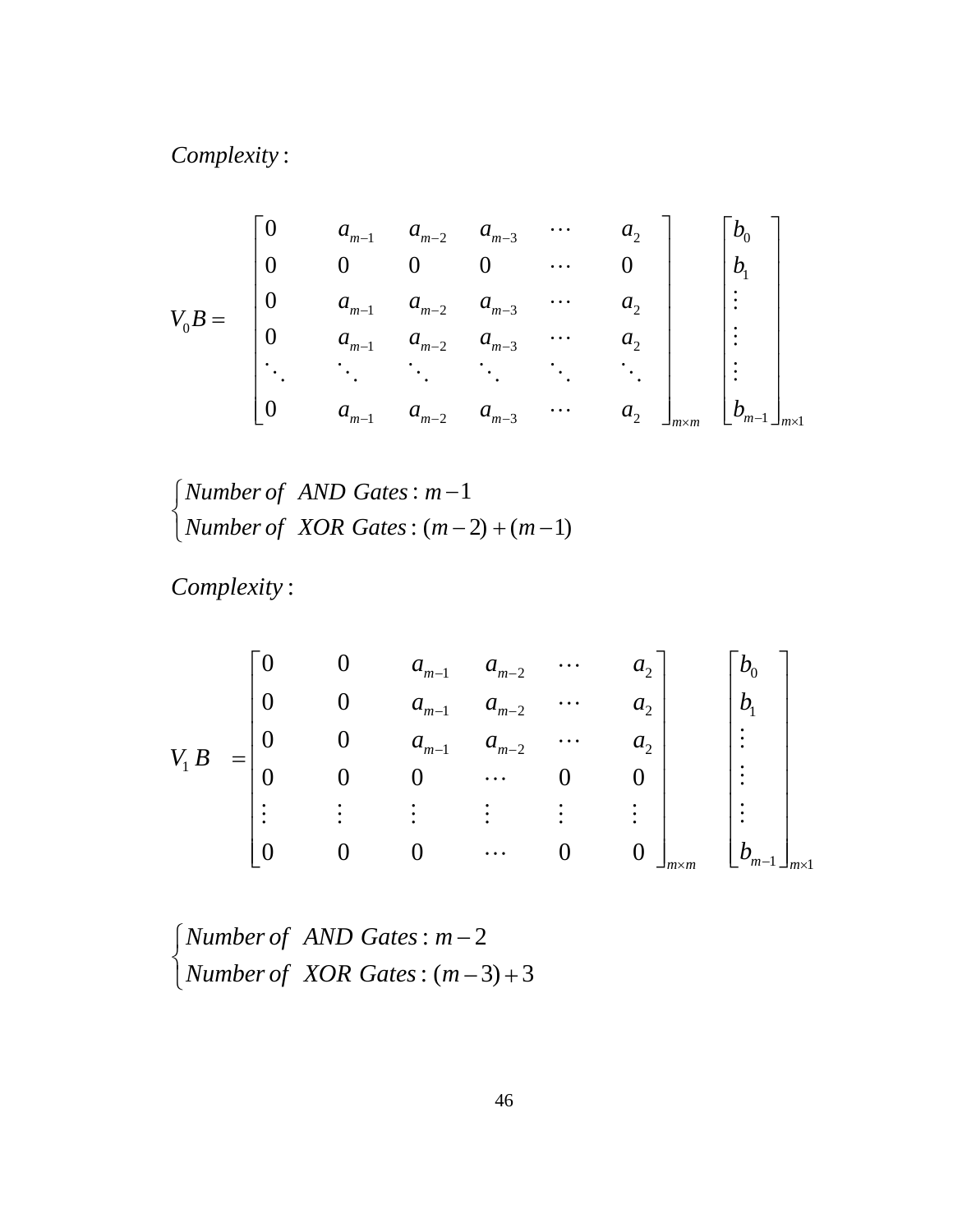: *Complexity*

$$
V_0B = \begin{bmatrix} 0 & a_{m-1} & a_{m-2} & a_{m-3} & \cdots & a_2 \\ 0 & 0 & 0 & 0 & \cdots & 0 \\ 0 & a_{m-1} & a_{m-2} & a_{m-3} & \cdots & a_2 \\ 0 & a_{m-1} & a_{m-2} & a_{m-3} & \cdots & a_2 \\ \vdots & \vdots & \vdots & \ddots & \vdots & \vdots \\ 0 & a_{m-1} & a_{m-2} & a_{m-3} & \cdots & a_2 \end{bmatrix} \begin{bmatrix} b_0 \\ b_1 \\ \vdots \\ b_m \end{bmatrix}
$$

:  $m-1$ :  $(m-2) + (m-1)$ *Number of AND Gates: m*  $Number of XOR Gates : (m-2) + (m-1)$  $\begin{cases} Number\ of\ AND\ Gates : m-\ \end{cases}$  $\lfloor$  Number of XOR Gates :  $(m-2) + (m-$ 

: *Complexity*

$$
V_{1}B = \begin{bmatrix} 0 & 0 & a_{m-1} & a_{m-2} & \cdots & a_{2} \\ 0 & 0 & a_{m-1} & a_{m-2} & \cdots & a_{2} \\ 0 & 0 & a_{m-1} & a_{m-2} & \cdots & a_{2} \\ 0 & 0 & 0 & \cdots & 0 & 0 \\ \vdots & \vdots & \vdots & \vdots & \vdots & \vdots \\ 0 & 0 & 0 & \cdots & 0 & 0 \end{bmatrix}_{m \times m} \begin{bmatrix} b_{0} \\ b_{1} \\ \vdots \\ b_{m-1} \end{bmatrix}_{m \times 1}
$$

:  $m-2$ :  $(m-3)+3$ *Number of AND Gates: m Number of XOR Gates*: (m  $\int Number\ of\ AND\ Gates: m \lfloor$  Number of XOR Gates :  $(m-3)$  +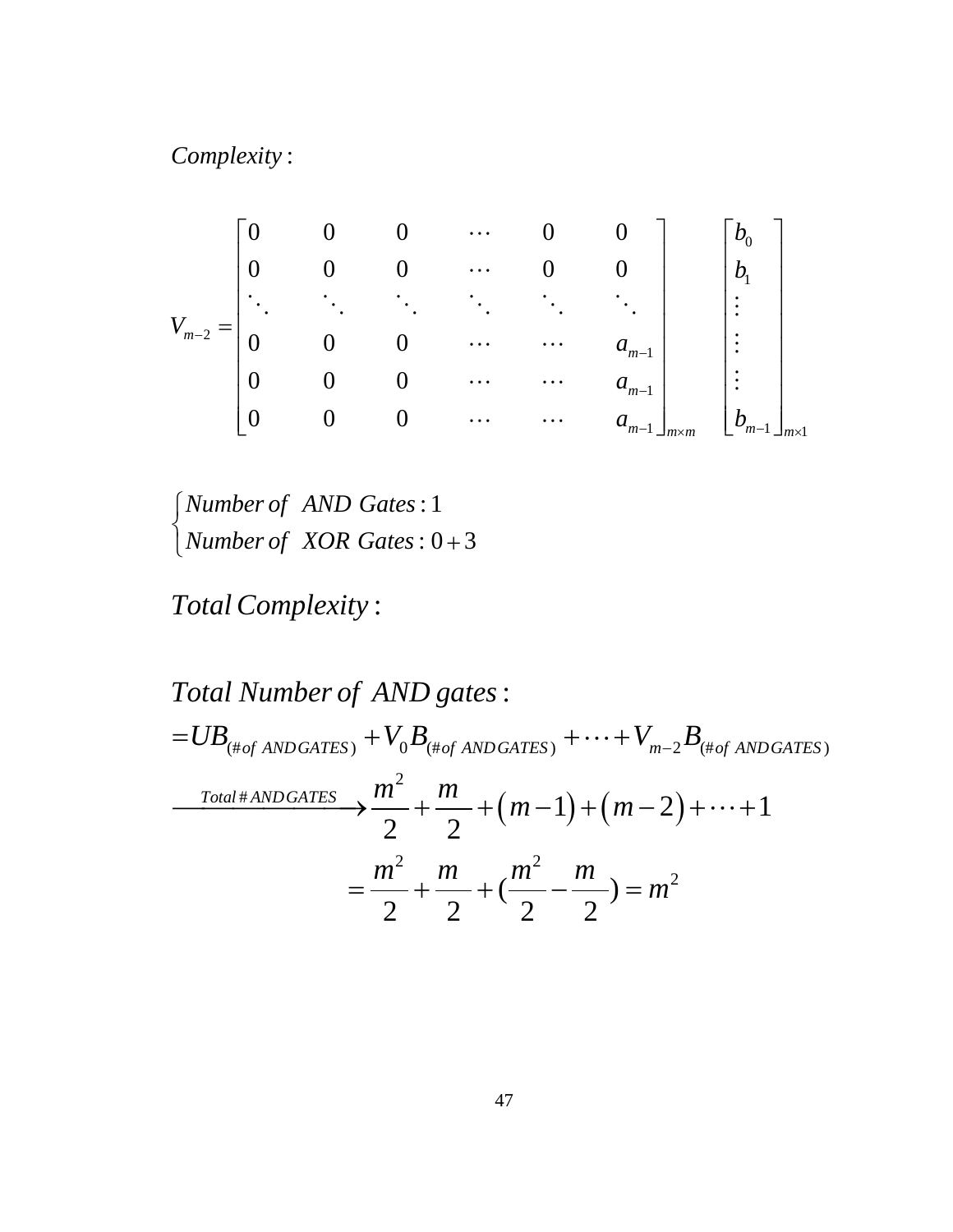: *Complexity*

$$
V_{m-2} = \begin{bmatrix} 0 & 0 & 0 & \cdots & 0 & 0 \\ 0 & 0 & 0 & \cdots & 0 & 0 \\ \vdots & \vdots & \ddots & \vdots & \ddots & \vdots \\ 0 & 0 & 0 & \cdots & \cdots & a_{m-1} \\ 0 & 0 & 0 & \cdots & \cdots & a_{m-1} \\ 0 & 0 & 0 & \cdots & \cdots & a_{m-1} \end{bmatrix}_{m \times m} \begin{bmatrix} b_0 \\ b_1 \\ \vdots \\ b_{m-1} \end{bmatrix}_{m \times 1}
$$

: 1  $: 0 + 3$ *Number of AND Gates Number of XOR Gates*  $\int$  $\left\{ \right.$  $\big\lvert$  Number of XOR Gates : 0+

: *Total Complexity*

Total Number of AND gates :  
\n= 
$$
UB_{(\text{#of ANDGATES})} + V_0B_{(\text{#of ANDGATES})} + \cdots + V_{m-2}B_{(\text{#of ANDGATES})}
$$
  
\nTotal # ANDGATES  $\longrightarrow \frac{m^2}{2} + \frac{m}{2} + (m-1) + (m-2) + \cdots + 1$   
\n
$$
= \frac{m^2}{2} + \frac{m}{2} + (\frac{m^2}{2} - \frac{m}{2}) = m^2
$$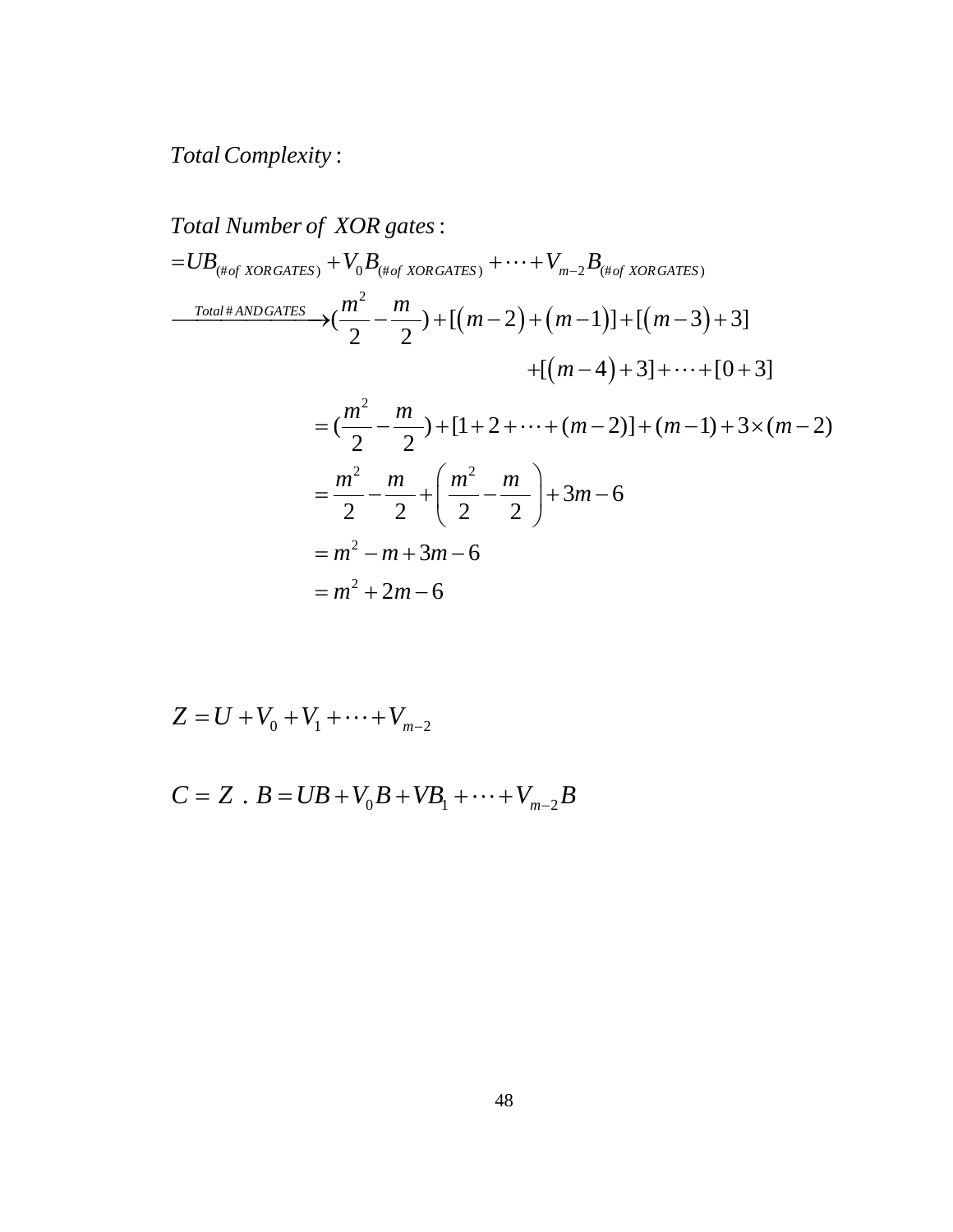#### : *Total Complexity*

Total Number of XOR gates :  
\n= 
$$
UB_{(\# of XOR GATES)} + V_0B_{(\# of XOR GATES)} + \cdots + V_{m-2}B_{(\# of XOR GATES)}
$$
  
\n
$$
\frac{Total#ANDGATES}{2} \times (\frac{m^2}{2} - \frac{m}{2}) + [(m-2) + (m-1)] + [(m-3) + 3]
$$
\n
$$
+ [(m-4) + 3] + \cdots + [0+3]
$$
\n
$$
= (\frac{m^2}{2} - \frac{m}{2}) + [1 + 2 + \cdots + (m-2)] + (m-1) + 3 \times (m-2)
$$
\n
$$
= \frac{m^2}{2} - \frac{m}{2} + \left(\frac{m^2}{2} - \frac{m}{2}\right) + 3m - 6
$$
\n
$$
= m^2 - m + 3m - 6
$$
\n
$$
= m^2 + 2m - 6
$$

$$
Z = U + V_0 + V_1 + \dots + V_{m-2}
$$

$$
C = Z \cdot B = UB + V_0B + VB_1 + \cdots + V_{m-2}B
$$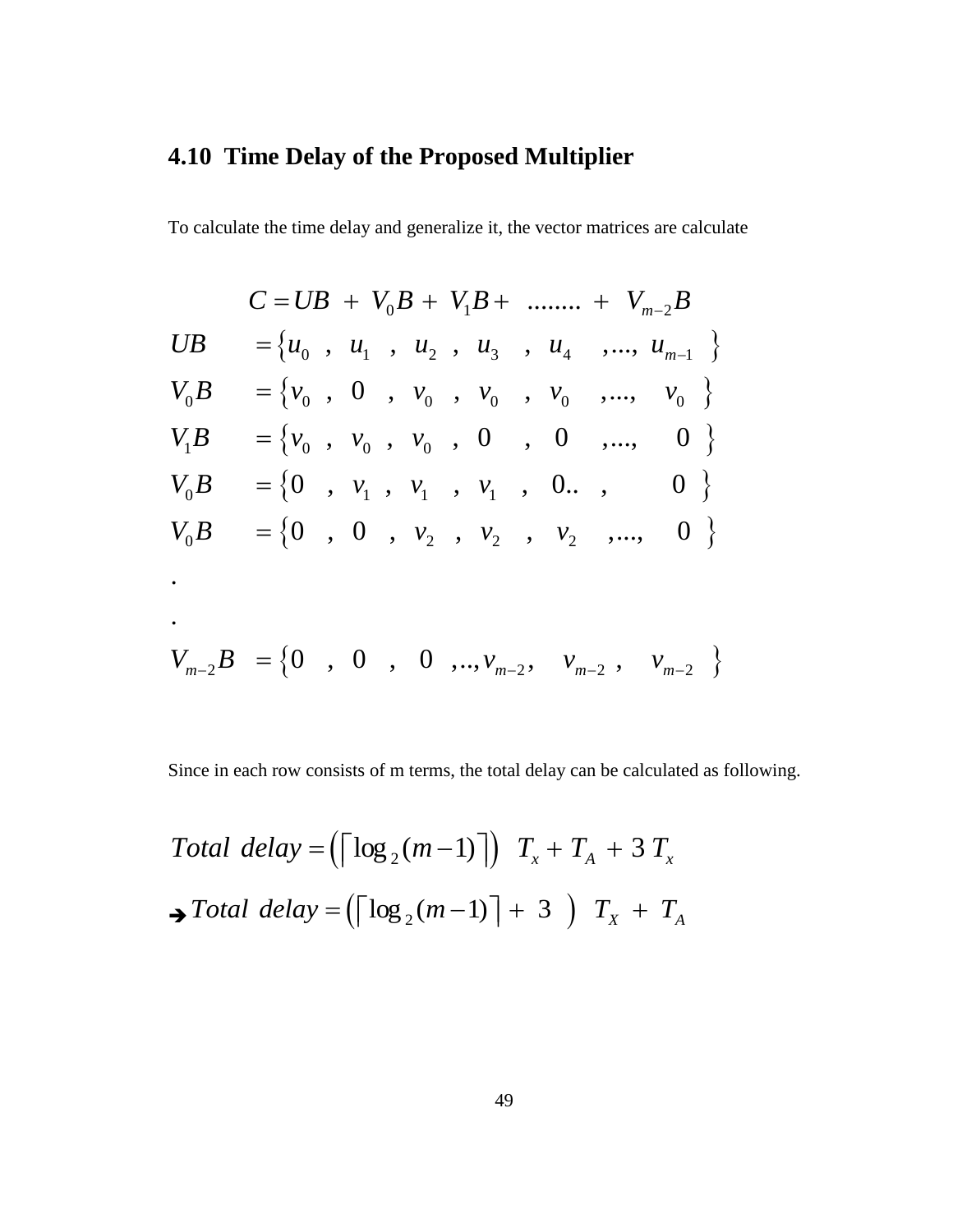## **4.10 Time Delay of the Proposed Multiplier**

To calculate the time delay and generalize it, the vector matrices are calculate

|                      | $C = UB + V_0B + V_1B + \dots + V_{m-2}B$                                           |  |  |  |  |                                  |  |
|----------------------|-------------------------------------------------------------------------------------|--|--|--|--|----------------------------------|--|
| UB                   | $=\begin{cases}u_0, u_1, u_2, u_3, u_4, , u_{m-1}\end{cases}$                       |  |  |  |  |                                  |  |
| $V_0 B$              | $=\begin{cases} v_0, 0, v_0, v_0, v_0, v_0, , v_0 \end{cases}$                      |  |  |  |  |                                  |  |
| $V_1B$               | $=\begin{Bmatrix} v_0 & , & v_0 & , & v_0 & , & 0 & , & 0 & ,  , & 0 \end{Bmatrix}$ |  |  |  |  |                                  |  |
| $V_0 B$              | $=\{0, v_1, v_1, v_1, v_1, 0$                                                       |  |  |  |  | $\begin{matrix}0\\0\end{matrix}$ |  |
| $V_0 B$              | $= \begin{cases} 0, & 0, \nu_2, & \nu_2, \nu_1, & \cdots, \nu_n \end{cases}$        |  |  |  |  | $0 \left\}$                      |  |
| $\ddot{\phantom{0}}$ |                                                                                     |  |  |  |  |                                  |  |

$$
V_{m-2}B = \left\{0 \quad , \quad 0 \quad , \quad 0 \quad , \ldots, \nu_{m-2}, \quad \nu_{m-2} \quad , \quad \nu_{m-2} \quad \right\}
$$

.

Since in each row consists of m terms, the total delay can be calculated as following.

Total delay = 
$$
(\lceil \log_2(m-1) \rceil)
$$
  $T_x + T_A + 3 T_x$   
\n $\rightarrow$  Total delay =  $(\lceil \log_2(m-1) \rceil + 3)$   $T_x + T_A$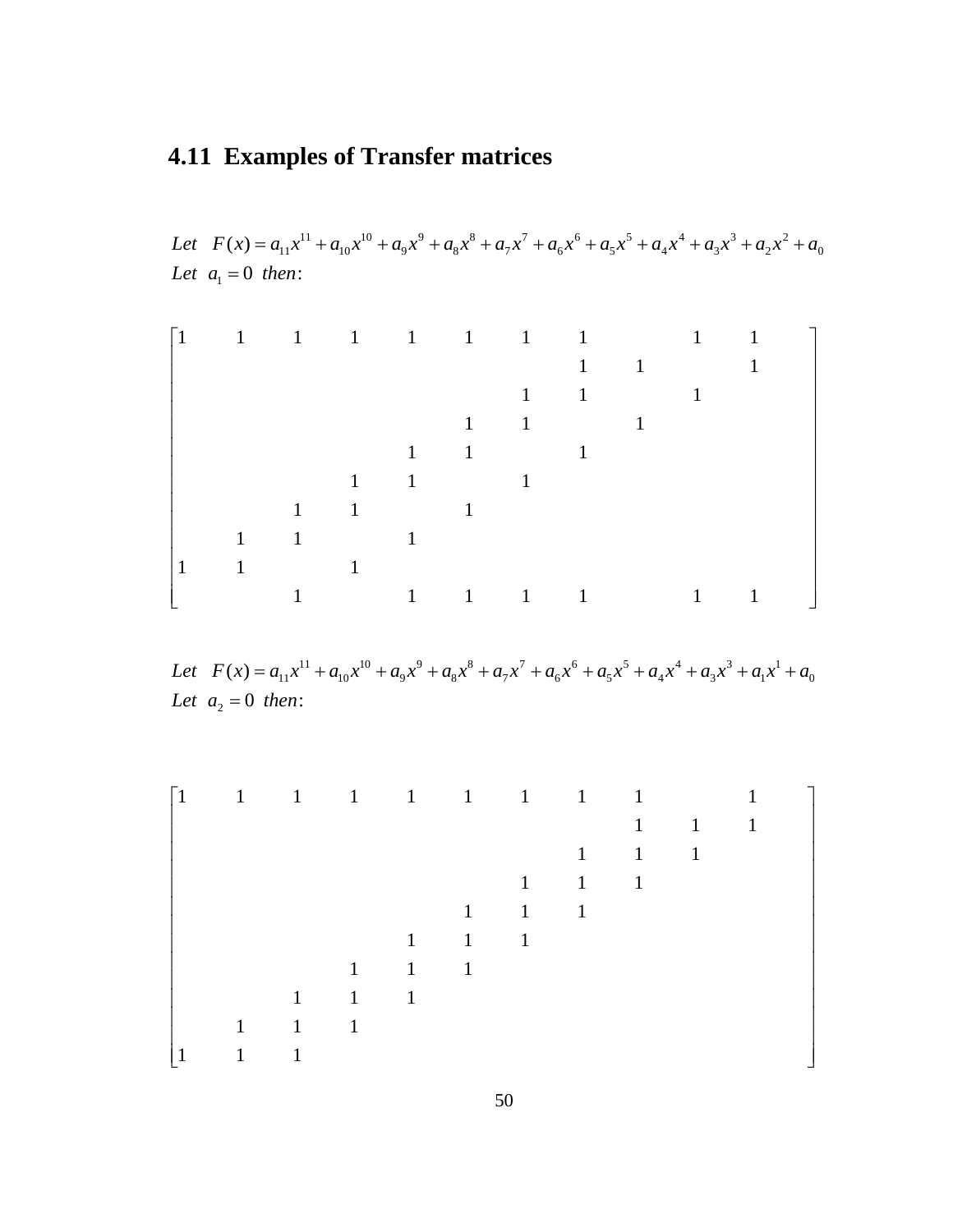## **4.11 Examples of Transfer matrices**

 $^{11}$  10  $^{10}$  10  $^{10}$  10  $^{10}$  10  $^{10}$  10  $^{10}$  10  $^{10}$  10  $^{10}$  10  $^{10}$  10  $^{10}$  10  $^{10}$  10  $^{10}$  10  $^{10}$  10  $^{10}$  10  $^{10}$ Let  $F(x) = a_{11}x^{11} + a_{10}x^{10} + a_9x^9 + a_8x^8 + a_7x^7 + a_6x^6 + a_5x^5 + a_4x^4 + a_3x^3 + a_2x^2 + a_0$ Let  $a_1 = 0$  then:

| $\lceil 1 \rceil$ | 1 1 1 1 1 1 1 1 1 1 |              |                        |                        |              |                             |             |              |              |  |
|-------------------|---------------------|--------------|------------------------|------------------------|--------------|-----------------------------|-------------|--------------|--------------|--|
|                   |                     |              |                        |                        |              |                             | $1 \quad 1$ |              | $\mathbf{1}$ |  |
|                   |                     |              |                        |                        |              | $1 \quad \blacksquare$      | $1$ and $1$ | $\mathbf{1}$ |              |  |
|                   |                     |              |                        |                        |              | $1 \quad 1 \quad 1$         |             |              |              |  |
|                   |                     |              |                        |                        | $1 \quad 1$  |                             |             |              |              |  |
|                   |                     |              | $1 \quad \blacksquare$ | $\sim 1$ and $\sim 10$ |              | $\sim$ 1                    |             |              |              |  |
|                   |                     | $\mathbf{1}$ | $\frac{1}{1}$          |                        | $\mathbf{1}$ |                             |             |              |              |  |
|                   |                     | $1 \quad 1$  |                        |                        |              |                             |             |              |              |  |
| -1                | $\vert 1 \vert$     |              |                        |                        |              |                             |             |              |              |  |
|                   |                     |              |                        |                        |              | $1 \quad 1 \quad 1 \quad 1$ |             | $\mathbf{1}$ |              |  |

 $^{11}$  10  $^{10}$  10  $^{10}$  10  $^{10}$  10  $^{10}$  10  $^{18}$  10  $^{10}$  10  $^{10}$  10  $^{10}$  10  $^{10}$  10  $^{10}$  10  $^{10}$  10  $^{10}$  10  $^{11}$ Let  $F(x) = a_{11}x^{11} + a_{10}x^{10} + a_9x^9 + a_8x^8 + a_7x^7 + a_6x^6 + a_5x^5 + a_4x^4 + a_3x^3 + a_1x^1 + a_0$ Let  $a_2 = 0$  then:

| $\mathbf{1}$ |              |                     |             |                     |                     |                     | 1 1 1 1 1 1 1 1 1   |                     |                     |  |
|--------------|--------------|---------------------|-------------|---------------------|---------------------|---------------------|---------------------|---------------------|---------------------|--|
|              |              |                     |             |                     |                     |                     |                     |                     | $1 \quad 1 \quad 1$ |  |
|              |              |                     |             |                     |                     |                     |                     | $1 \quad 1 \quad 1$ |                     |  |
|              |              |                     |             |                     |                     |                     | $1 \quad 1 \quad 1$ |                     |                     |  |
|              |              |                     |             |                     |                     | $1 \quad 1 \quad 1$ |                     |                     |                     |  |
|              |              |                     |             |                     | $1 \quad 1 \quad 1$ |                     |                     |                     |                     |  |
|              |              |                     |             | $1 \quad 1 \quad 1$ |                     |                     |                     |                     |                     |  |
|              |              | $\mathbf{1}$        | $1 \quad 1$ |                     |                     |                     |                     |                     |                     |  |
|              |              | $1 \quad 1 \quad 1$ |             |                     |                     |                     |                     |                     |                     |  |
|              | $\mathbf{1}$ |                     |             |                     |                     |                     |                     |                     |                     |  |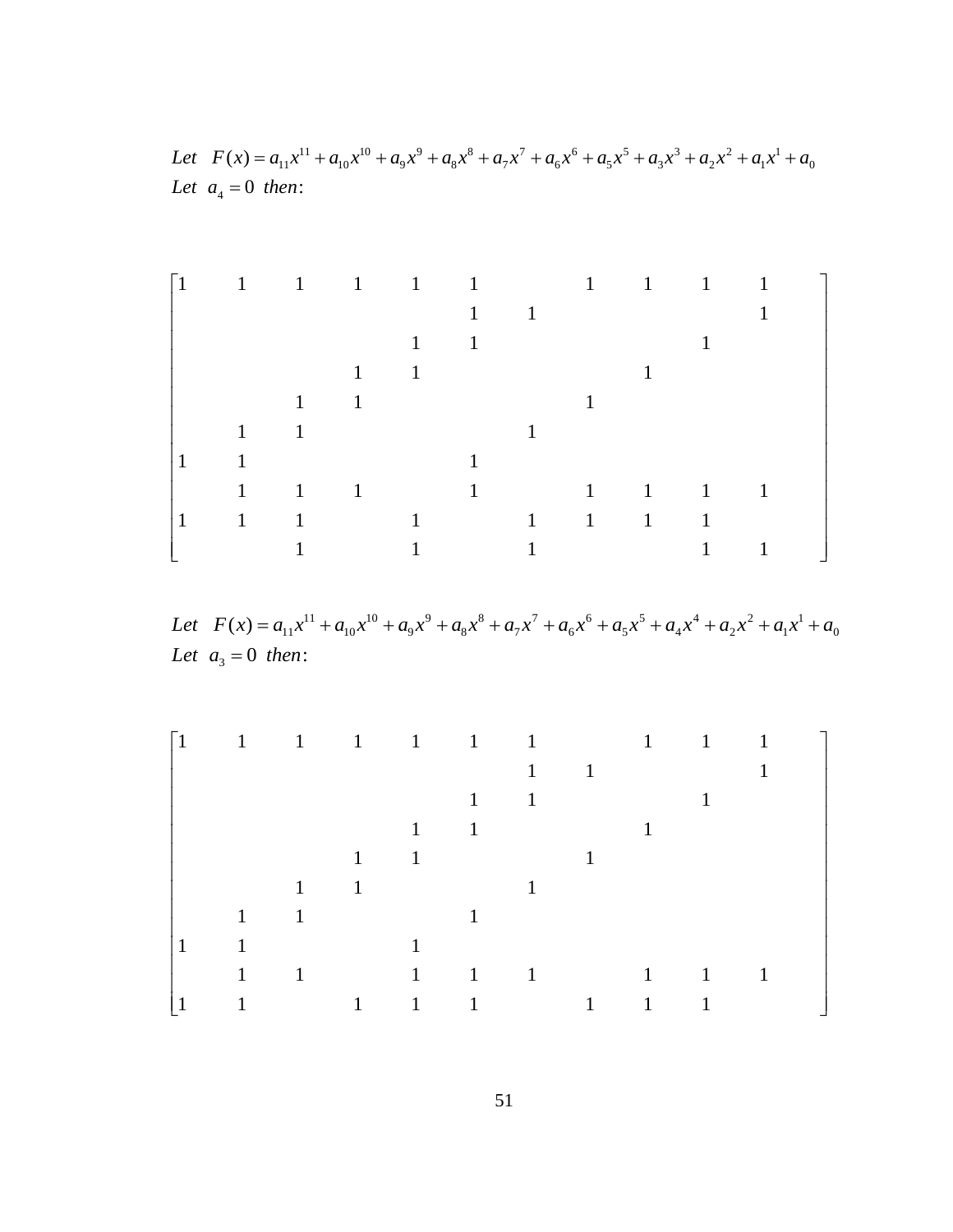Let 
$$
F(x) = a_{11}x^{11} + a_{10}x^{10} + a_9x^9 + a_8x^8 + a_7x^7 + a_6x^6 + a_5x^5 + a_3x^3 + a_2x^2 + a_1x^1 + a_0
$$
  
Let  $a_4 = 0$  then:

| $ 1\rangle$ | 1 1 1 1 1 1 1 1 1 1 |              |              |              |                   |                                                             |  |  |  |
|-------------|---------------------|--------------|--------------|--------------|-------------------|-------------------------------------------------------------|--|--|--|
|             |                     |              |              |              |                   | $\begin{array}{ccc} \hline \end{array}$                     |  |  |  |
|             |                     |              |              | $\mathbf{1}$ | $\sim$ 1 $\sim$ 1 |                                                             |  |  |  |
|             |                     |              | $\mathbf{1}$ | $\sim$ 1     |                   |                                                             |  |  |  |
|             |                     | $\mathbf{1}$ | $\sim$ 1     |              |                   |                                                             |  |  |  |
|             | $1 \quad 1$         |              |              |              |                   |                                                             |  |  |  |
|             | $\sim$ 1            |              |              |              |                   |                                                             |  |  |  |
|             |                     |              |              |              |                   | $1 \quad 1 \quad 1 \quad 1 \quad 1 \quad 1 \quad 1 \quad 1$ |  |  |  |
| 1           | 1 1 1 1 1 1 1 1     |              |              |              |                   |                                                             |  |  |  |
|             |                     |              |              |              |                   |                                                             |  |  |  |

 $11^{11}$  10  $10^{10}$  10  $x^9$  10  $x^8$  10  $x^7$  10  $x^6$  10  $x^5$  10  $x^4$  10  $x^2$  10  $x^1$ Let  $F(x) = a_{11}x^{11} + a_{10}x^{10} + a_9x^9 + a_8x^8 + a_7x^7 + a_6x^6 + a_5x^5 + a_4x^4 + a_2x^2 + a_1x^1 + a_0$ Let  $a_3 = 0$  then:

| $\lceil 1 \rceil$ |                |              |              |                                      |             |              | 1 1 1 1 1 1 1 1 1 1                                                 |              |  |
|-------------------|----------------|--------------|--------------|--------------------------------------|-------------|--------------|---------------------------------------------------------------------|--------------|--|
|                   |                |              |              |                                      |             | $\mathbf{1}$ | $\sim$ 1                                                            |              |  |
|                   |                |              |              |                                      |             | $1 \qquad 1$ |                                                                     |              |  |
|                   |                |              |              |                                      | $1 \quad 1$ |              |                                                                     |              |  |
|                   |                |              | $\mathbf{1}$ | $\begin{array}{ccc} & 1 \end{array}$ |             |              |                                                                     |              |  |
|                   |                | $\mathbf{1}$ | $\sim$ 1     |                                      |             |              |                                                                     |              |  |
|                   | $1 \quad 1$    |              |              |                                      |             |              |                                                                     |              |  |
|                   | $\overline{1}$ |              |              |                                      |             |              |                                                                     |              |  |
|                   |                |              |              |                                      |             |              | $1 \quad 1 \quad 1 \quad 1 \quad 1 \quad 1 \quad 1 \quad 1 \quad 1$ |              |  |
|                   |                |              |              |                                      |             |              | $1 \t 1 \t 1 \t 1 \t 1 \t 1$                                        | $\mathbf{1}$ |  |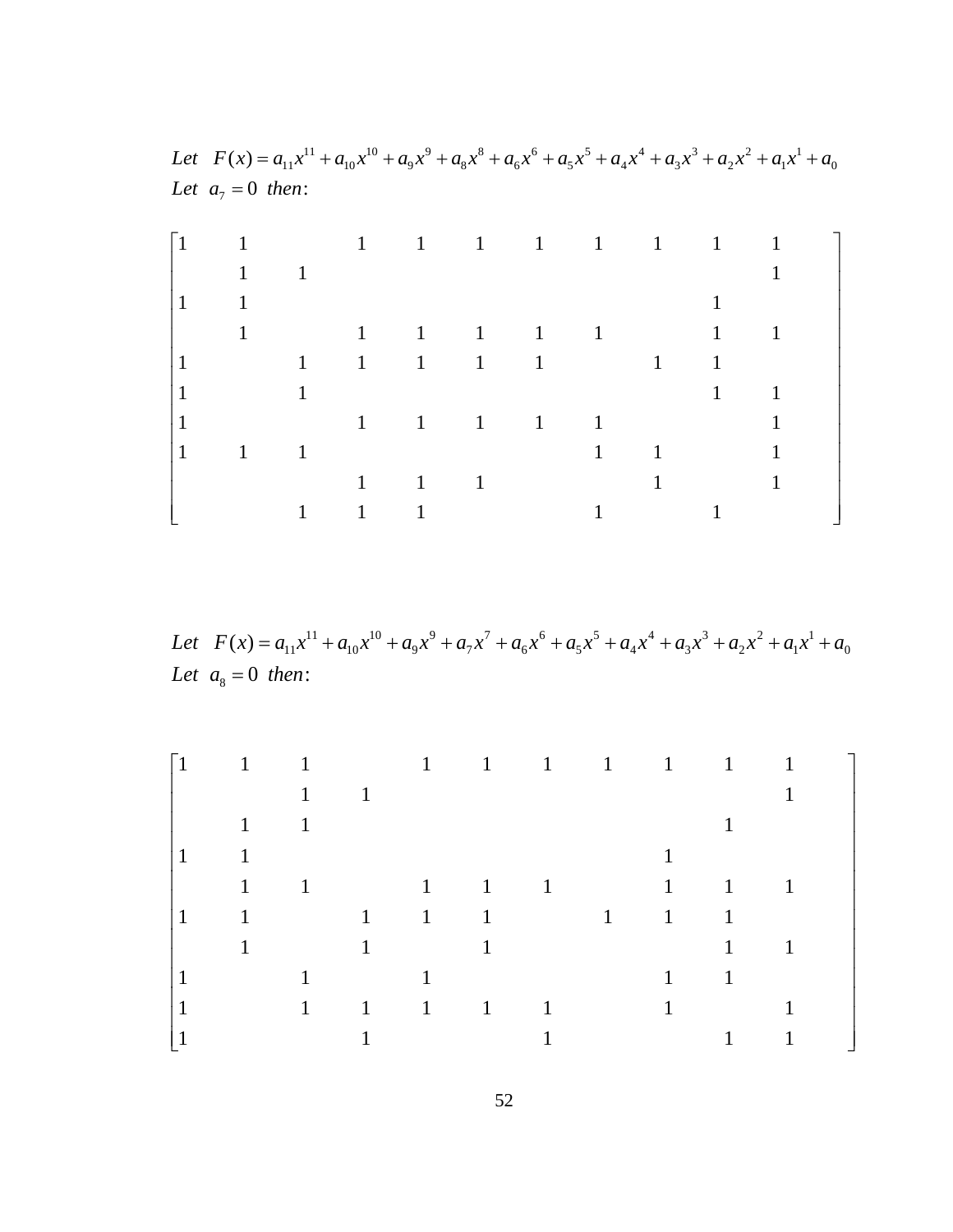| $\vert$ 1 | 1 1 1 1 1 1 1 1 1 |                |              |                     |                         |                        |                                                             |              |  |
|-----------|-------------------|----------------|--------------|---------------------|-------------------------|------------------------|-------------------------------------------------------------|--------------|--|
|           | 1                 | $\overline{1}$ |              |                     |                         |                        |                                                             |              |  |
| 1         | $\overline{1}$    |                |              |                     |                         |                        |                                                             |              |  |
|           | $1$ and $1$       |                |              |                     |                         |                        | $1 \t 1 \t 1 \t 1 \t 1$                                     | $\mathbf{1}$ |  |
|           |                   |                |              |                     |                         |                        | $1 \quad 1 \quad 1 \quad 1 \quad 1 \quad 1 \quad 1 \quad 1$ |              |  |
|           |                   |                |              |                     |                         |                        |                                                             | $\mathbf{1}$ |  |
|           |                   |                |              |                     | $1 \t 1 \t 1 \t 1 \t 1$ |                        |                                                             |              |  |
| -1        | $\overline{1}$    | $\sim$ 1       |              |                     |                         | $1 \quad \blacksquare$ | 1                                                           |              |  |
|           |                   |                |              | $1 \quad 1 \quad 1$ |                         |                        |                                                             |              |  |
|           |                   |                | $\mathbf{1}$ |                     |                         |                        |                                                             |              |  |

 $11^{11}$  10  $1 \times 10^{10}$  10  $1 \times 10^{10}$  10  $10^{8}$  10  $10^{6}$  10  $10^{7}$   $10^{7}$   $10^{4}$  10  $10^{3}$  10  $10^{2}$  10  $10^{1}$ Let  $F(x) = a_{11}x^{11} + a_{10}x^{10} + a_9x^9 + a_8x^8 + a_6x^6 + a_5x^5 + a_4x^4 + a_3x^3 + a_2x^2 + a_1x^1 + a_0$ Let  $a_7 = 0$  then:

 $^{11}$  10  $^{10}$  10  $^{10}$  10  $^{10}$  10  $^{10}$  10  $^{10}$  10  $^{10}$  10  $^{10}$  10  $^{10}$  10  $^{10}$  10  $^{10}$  10  $^{10}$  10  $^{11}$ Let  $F(x) = a_{11}x^{11} + a_{10}x^{10} + a_9x^9 + a_7x^7 + a_6x^6 + a_5x^5 + a_4x^4 + a_3x^3 + a_2x^2 + a_1x^1 + a_0$ Let  $a_8 = 0$  then:

| $ 1\rangle$  | 1 1 1 1 1 1 1 1 1            |                                         |                |  |                                                             |   |                   |    |  |
|--------------|------------------------------|-----------------------------------------|----------------|--|-------------------------------------------------------------|---|-------------------|----|--|
|              |                              | $\mathbf{1}$                            | $\overline{1}$ |  |                                                             |   |                   |    |  |
|              | 1                            | $\begin{array}{ccc} \hline \end{array}$ |                |  |                                                             |   |                   |    |  |
| -1           | $\mathbf{1}$                 |                                         |                |  |                                                             |   |                   |    |  |
|              |                              |                                         |                |  | $1 \quad 1 \quad 1 \quad 1 \quad 1 \quad 1 \quad 1 \quad 1$ |   |                   | -1 |  |
| $\mathbf{1}$ | $1 \t 1 \t 1 \t 1 \t 1 \t 1$ |                                         |                |  |                                                             |   | $\vert 1 \vert$   |    |  |
|              |                              | $1 \qquad \qquad$                       | $\mathbf{1}$   |  |                                                             |   | $\mathbf{1}$      | -1 |  |
|              |                              | $\mathbf{1}$                            |                |  |                                                             | 1 | $\mathbf{1}$      |    |  |
|              |                              |                                         |                |  | $1 \t 1 \t 1 \t 1 \t 1$                                     |   | $1 \qquad \qquad$ |    |  |
|              |                              |                                         |                |  |                                                             |   |                   |    |  |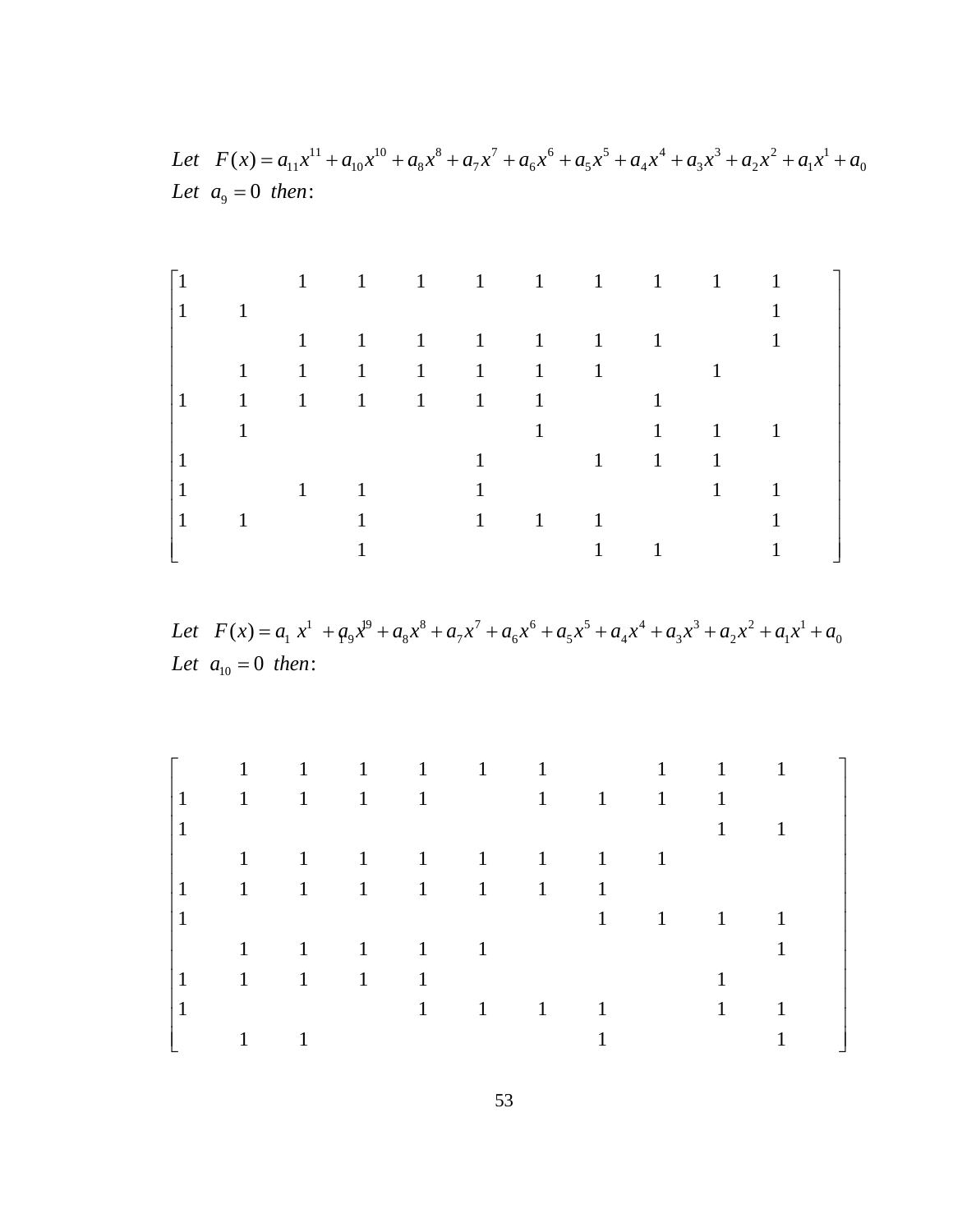Let 
$$
F(x) = a_{11}x^{11} + a_{10}x^{10} + a_8x^8 + a_7x^7 + a_6x^6 + a_5x^5 + a_4x^4 + a_3x^3 + a_2x^2 + a_1x^1 + a_0
$$
  
Let  $a_9 = 0$  then:

| $\vert$ 1 |              |             |              |  | 1 1 1 1 1 1 1 1 1 1                                 |                |   |                   |    |  |
|-----------|--------------|-------------|--------------|--|-----------------------------------------------------|----------------|---|-------------------|----|--|
|           | $\mathbf{1}$ |             |              |  |                                                     |                |   |                   |    |  |
|           |              |             |              |  | $1 \quad 1 \quad 1 \quad 1 \quad 1 \quad 1 \quad 1$ |                |   |                   | 1  |  |
|           |              |             |              |  | $1 \quad 1 \quad 1 \quad 1 \quad 1 \quad 1 \quad 1$ |                |   |                   |    |  |
| 1         | 1 1 1 1 1 1  |             |              |  |                                                     |                |   |                   |    |  |
|           |              |             |              |  | $\mathbf{1}$                                        |                |   | $1 \quad 1 \quad$ | -1 |  |
|           |              |             |              |  |                                                     | $1 \quad$      | 1 | $\mathbf{1}$      |    |  |
|           |              | $1 \quad 1$ |              |  |                                                     |                |   |                   | 1  |  |
|           | $\mathbf{1}$ |             | $\mathbf{1}$ |  | $1 \quad 1$                                         | $\overline{1}$ |   |                   |    |  |
|           |              |             |              |  |                                                     |                |   |                   |    |  |

 $1^{1}$  19  $1^{9}$  19  $3^{8}$  19  $3^{1}$  19  $3^{10}$  19  $3^{10}$  19  $3^{10}$  19  $3^{10}$  19  $3^{10}$  19  $3^{10}$  19  $3^{11}$ Let  $F(x) = a_1 x^1 + a_9 x^9 + a_8 x^8 + a_7 x^7 + a_6 x^6 + a_5 x^5 + a_4 x^4 + a_3 x^3 + a_2 x^2 + a_1 x^1 + a_0$ *Let*  $a_{10} = 0$  *then*:

|              |  |                         |  | 1 1 1 1 1 1 1 1 1 1                                 |                   |              |                |  |
|--------------|--|-------------------------|--|-----------------------------------------------------|-------------------|--------------|----------------|--|
| 1            |  |                         |  | 1 1 1 1 1 1 1 1                                     |                   |              | -1             |  |
|              |  |                         |  |                                                     |                   |              | 1              |  |
|              |  |                         |  | $1 \quad 1 \quad 1 \quad 1 \quad 1 \quad 1 \quad 1$ |                   | $\mathbf{1}$ |                |  |
| $\mathbf{1}$ |  |                         |  | 1 1 1 1 1 1 1 1                                     |                   |              |                |  |
|              |  |                         |  |                                                     | $1 \qquad \qquad$ |              | $1 \quad 1$    |  |
|              |  | $1 \t 1 \t 1 \t 1 \t 1$ |  |                                                     |                   |              |                |  |
| $\mathbf{1}$ |  | 1 1 1 1                 |  |                                                     |                   |              |                |  |
|              |  |                         |  | $1 \quad 1 \quad 1 \quad 1$                         |                   |              | $\overline{1}$ |  |
|              |  |                         |  |                                                     |                   |              |                |  |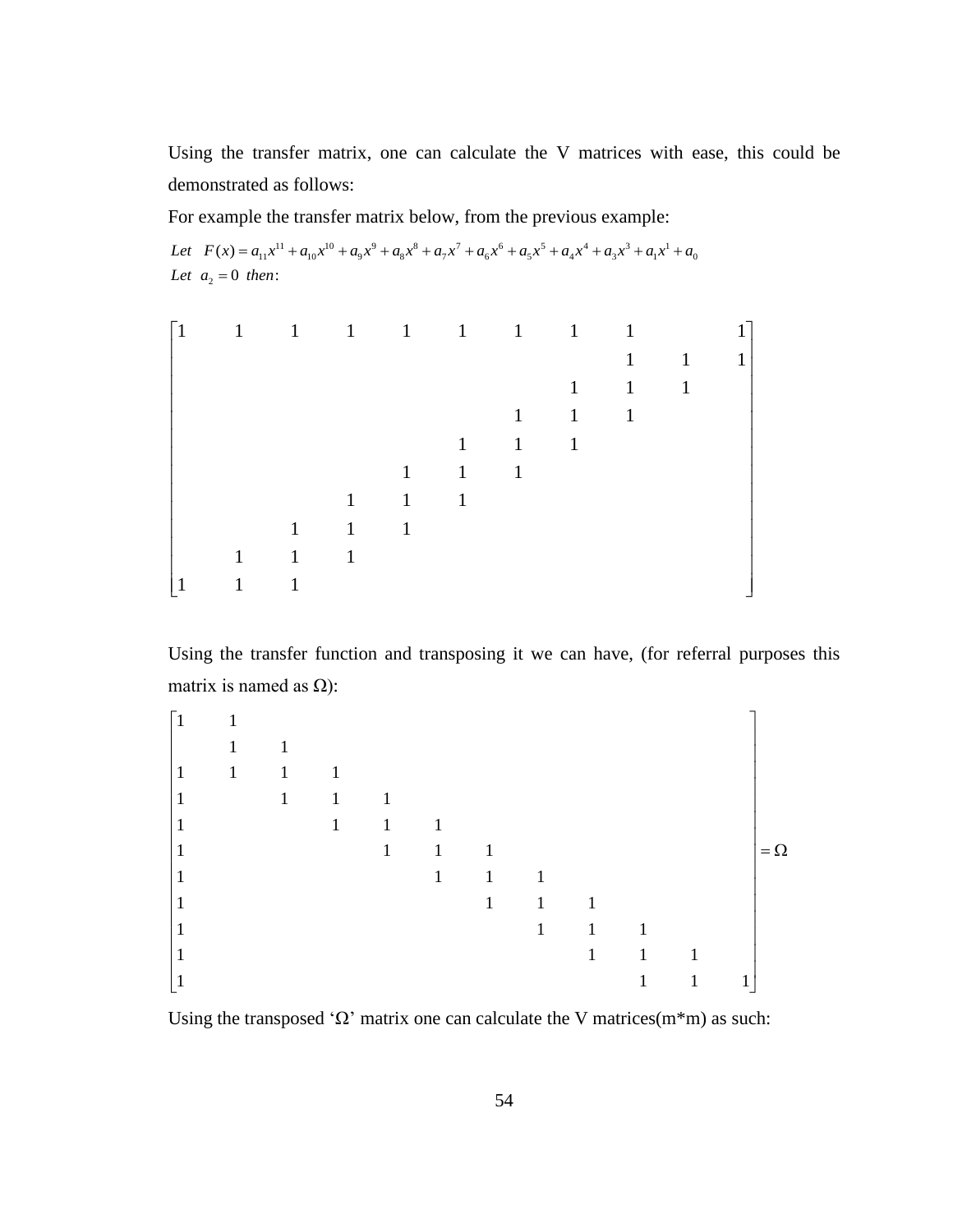Using the transfer matrix, one can calculate the V matrices with ease, this could be demonstrated as follows:

For example the transfer matrix below, from the previous example:

Let  $F(x) = a_{11}x^{11} + a_{10}x^{10} + a_9x^9 + a_8x^8 + a_7x^7 + a_6x^6 + a_5x^5 + a_4x^4 + a_3x^3 + a_1x^1 + a_0$ Let  $a_2 = 0$  then:

| $\lceil 1 \rceil$ | 1 1 1 1 1 1 1 1 1 |                        |                |              |              |             |                     |              |              |              |
|-------------------|-------------------|------------------------|----------------|--------------|--------------|-------------|---------------------|--------------|--------------|--------------|
|                   |                   |                        |                |              |              |             |                     | $\mathbf{1}$ | $\mathbf{1}$ | $\mathbf{1}$ |
|                   |                   |                        |                |              |              |             | $1 -$               | 1            | $\mathbf{1}$ |              |
|                   |                   |                        |                |              |              |             | $1 \qquad 1 \qquad$ | $\mathbf{1}$ |              |              |
|                   |                   |                        |                |              | $\mathbf{1}$ | $1 \quad 1$ |                     |              |              |              |
|                   |                   |                        |                | 1            |              | $1 \quad 1$ |                     |              |              |              |
|                   |                   |                        | $\mathbf{1}$   | 1            | $\mathbf{1}$ |             |                     |              |              |              |
|                   |                   | $\mathbf{1}$           | 1              | $\mathbf{1}$ |              |             |                     |              |              |              |
|                   | $\mathbf{1}$      | $1 \quad \blacksquare$ | $\overline{1}$ |              |              |             |                     |              |              |              |
|                   | 1                 |                        |                |              |              |             |                     |              |              |              |

Using the transfer function and transposing it we can have, (for referral purposes this matrix is named as  $\Omega$ ):

| $\lceil 1 \rceil$ |                |                |                |              |              |                |                                        |                |              |              |           |
|-------------------|----------------|----------------|----------------|--------------|--------------|----------------|----------------------------------------|----------------|--------------|--------------|-----------|
|                   | $\overline{1}$ | $\overline{1}$ |                |              |              |                |                                        |                |              |              |           |
| $\mathbf{1}$      | $1 \quad 1$    |                | $\overline{1}$ |              |              |                |                                        |                |              |              |           |
|                   |                |                | $1 \quad 1$    | $\mathbf{1}$ |              |                |                                        |                |              |              |           |
|                   |                |                | $\mathbf{1}$   | $\mathbf{1}$ |              |                |                                        |                |              |              |           |
|                   |                |                |                | 1            | 1            | $\mathbf{1}$   |                                        |                |              |              | $=\Omega$ |
|                   |                |                |                |              | $\mathbf{1}$ | $\overline{1}$ | $\mathbf{1}$                           |                |              |              |           |
|                   |                |                |                |              |              | $\mathbf{1}$   | $\begin{array}{cc} \hline \end{array}$ | $\mathbf{1}$   |              |              |           |
|                   |                |                |                |              |              |                | $\mathbf{1}$                           | $\overline{1}$ | $\mathbf{1}$ |              |           |
|                   |                |                |                |              |              |                |                                        | $\mathbf{1}$   | $\mathbf{1}$ | $\mathbf{1}$ |           |
|                   |                |                |                |              |              |                |                                        |                | $\mathbf{1}$ | $\mathbf{1}$ |           |

Using the transposed ' $\Omega$ ' matrix one can calculate the V matrices(m\*m) as such: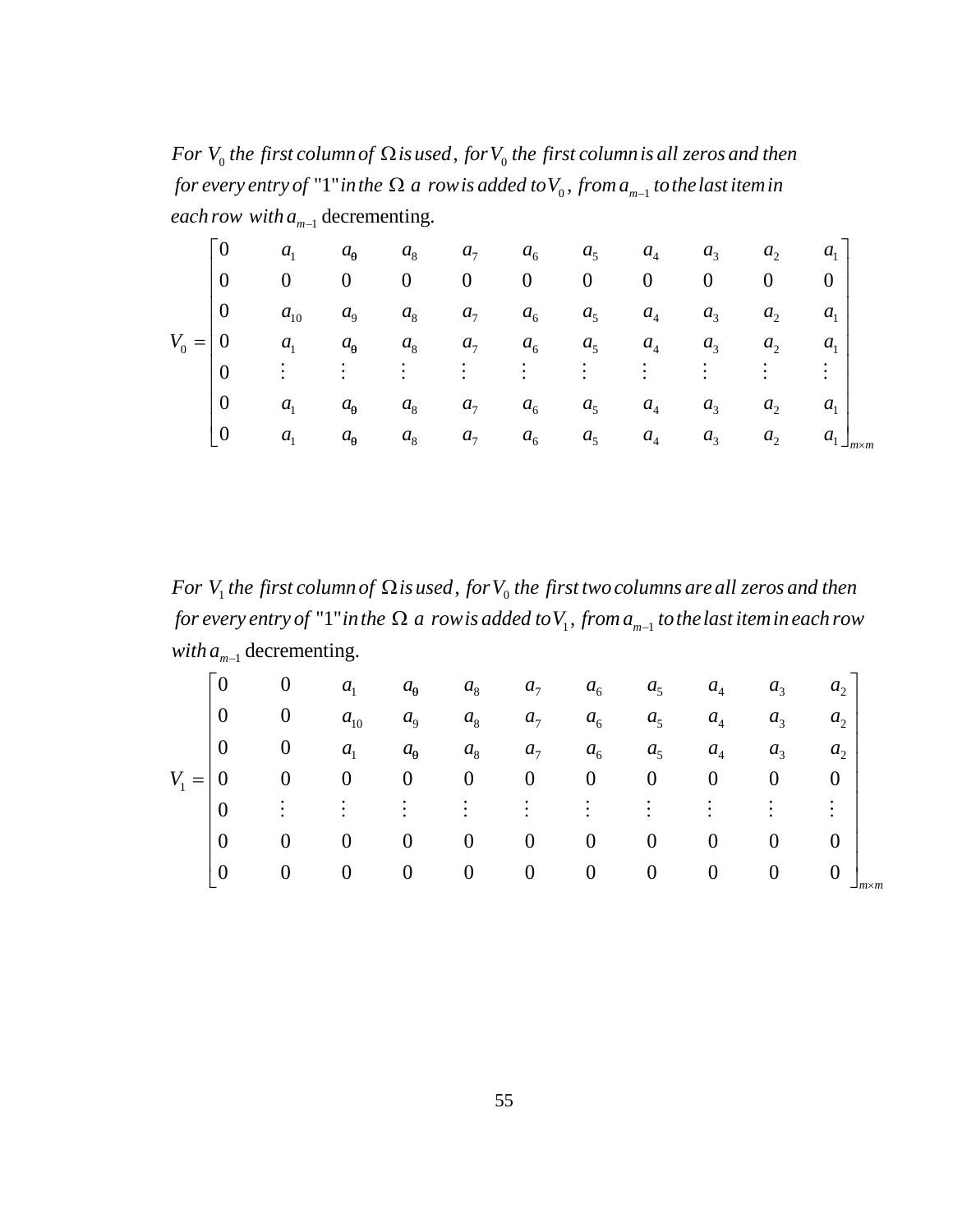For  $V_{\rm o}$  the first column of  $\Omega$  is used , for  $V_{\rm o}$  the first column is all zeros and then for every entry of "1" in the  $\Omega$  a row is added to  $V_{_0},$  from  $a_{_{m-1}}$  to the last item in *each row with*  $a_{m-1}$  decrementing.

|         | $\overline{0}$                    | $a_{1}$       | $a_{0}$        | $a_{8}$        | a <sub>7</sub> | $a_{6}$ , $a_{7}$ | $a_5$          | $a_4$ | $a_3$          | a <sub>2</sub> | $a_{1}$        |
|---------|-----------------------------------|---------------|----------------|----------------|----------------|-------------------|----------------|-------|----------------|----------------|----------------|
|         | $\overline{0}$                    | $\theta$      | $\overline{0}$ | $\overline{0}$ | $\overline{0}$ | $\overline{0}$    | $\overline{0}$ | 0     | $\overline{0}$ | $\overline{0}$ | $\mathbf{0}$   |
|         | $\overline{0}$                    | $a_{10}$      | $a_{\rm o}$    | $a_{8}$        | a <sub>7</sub> | $a_{6}$           | $a_5$          | $a_4$ | a <sub>3</sub> | a <sub>2</sub> | a <sub>1</sub> |
| $V_0 =$ | $\overline{0}$                    | $a_{1}$       | $a_{\rm o}$    | $a_{8}$        | $a_{7}$        | $a_{6}$           | $a_5$          | $a_4$ | a <sub>3</sub> | a <sub>2</sub> | $a_{1}$        |
|         | $\overline{0}$                    | $\frac{1}{2}$ |                |                |                |                   |                |       |                |                |                |
|         | $\overline{0}$                    | $a_{1}$       | $a_{\rm o}$    | $a_{8}$        | $a_{\tau}$     | $a_{6}$           | a <sub>5</sub> | $a_4$ | $a_{3}$        | $a_{\gamma}$   |                |
|         | $\begin{bmatrix} 0 \end{bmatrix}$ | $a_{1}$       | $a_{0}$        | $a_{8}$        | a <sub>7</sub> | $a_{6}$           | a <sub>5</sub> | $a_4$ | a <sub>3</sub> | $a_{2}$        | $a_{1}$        |

For  $V_1$  the first column of  $\Omega$  is used , for  $V_0$  the first two columns are all zeros and then for every entry of "1" in the  $\Omega$  a row is added to  $V_1$  , from  $a_{_{m-1}}$  to the last item in each row *with*  $a_{m-1}$  decrementing.

|         | $\overline{0}$ | $\overline{0}$ | $a_{1}$        | $a_{0}$        | $a_8$ ,        | a <sub>7</sub>  | $a_{6}$ ,      | $a_5$                            |                | $a_4$ $a_3$                 | a <sub>2</sub> |
|---------|----------------|----------------|----------------|----------------|----------------|-----------------|----------------|----------------------------------|----------------|-----------------------------|----------------|
|         | 0              | $\overline{0}$ | $a_{10}$       | $a_{\rm o}$    | $a_{8}$        | $a_{7}$         | $a_{6}$        | a <sub>5</sub>                   | $a_4$          | $a_{\scriptscriptstyle{2}}$ | a <sub>2</sub> |
|         | $\overline{0}$ | $\overline{0}$ | a <sub>1</sub> | $a_{\rm o}$    | $a_{8}$        | $a_{\tau}$      | $a_{6}$        | $a_5$                            | $a_4$          | $a_{3}$                     | a <sub>2</sub> |
| $V_1 =$ |                | $\overline{0}$ | $\theta$       | $0\qquad 0$    |                | $\overline{0}$  | $\overline{0}$ | $\overline{0}$                   | $\overline{0}$ | $\vert 0 \vert$             | $\theta$       |
|         | $\overline{0}$ |                |                |                |                |                 |                |                                  |                |                             |                |
|         | $\overline{0}$ | $\overline{0}$ | $\theta$       | $\overline{0}$ | $\overline{0}$ | $\overline{0}$  | $\overline{0}$ | $\overline{0}$                   | $\overline{0}$ | $\overline{0}$              | $\theta$       |
|         | $\mathbf{0}$   | $\overline{0}$ | $\overline{0}$ | $\overline{0}$ | $\overline{0}$ | $\vert 0 \vert$ | $\overline{0}$ | $\begin{array}{c} 0 \end{array}$ | $\overline{0}$ | $\mathbf{0}$                | $\theta$       |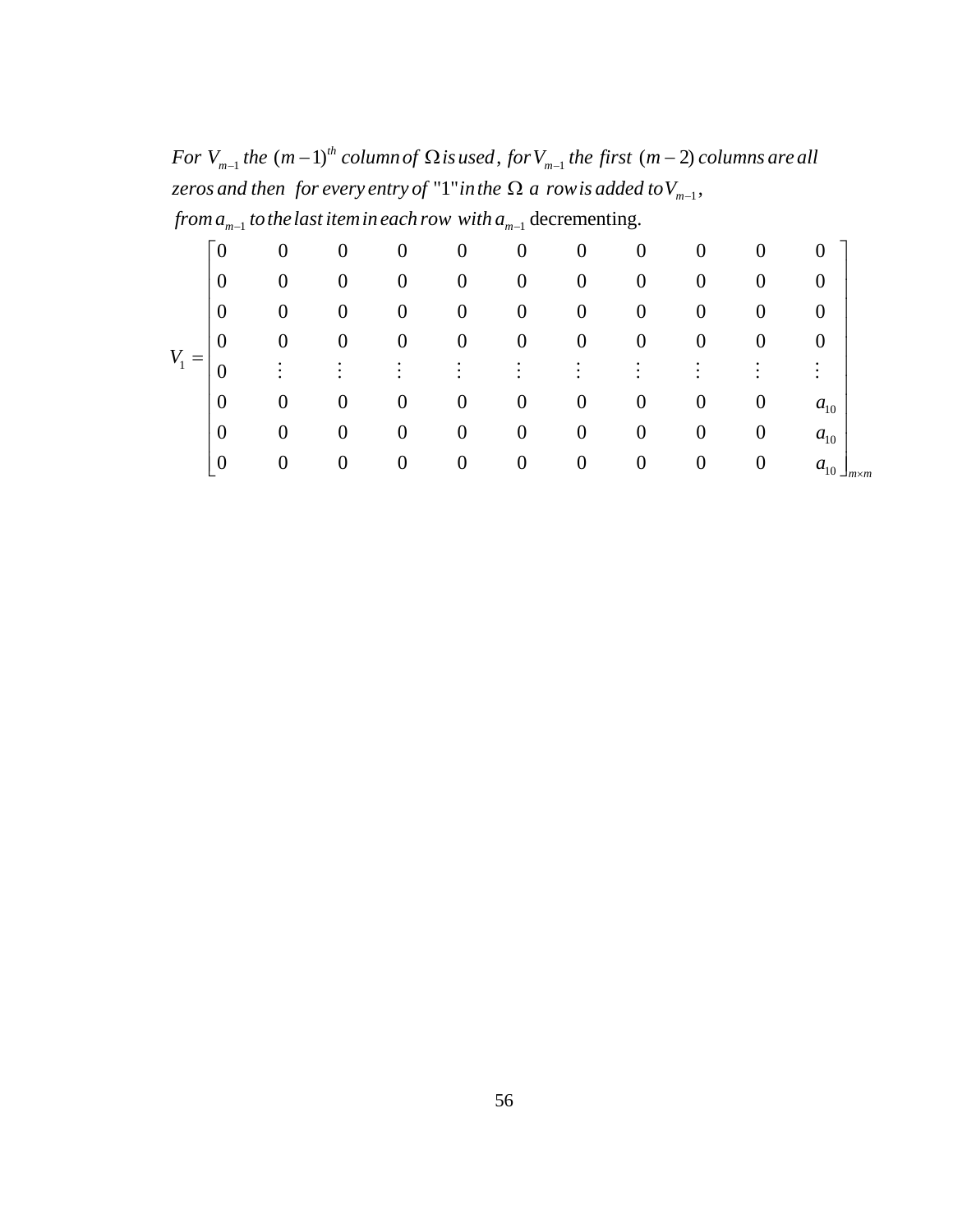$_1$  the  $(m-1)^{th}$  column of  $\Omega$  is used, for  $V_{m-1}$  the first  $(m-2)$ zeros and then for every entry of "1" in the  $\Omega$  a row is added to  $V_{_{m-1}},$ *from*  $a_{m-1}$  *to the last item in each row with*  $a_{m-1}$  *decrementing.* For  $V_{_{m-1}}$  the  $\left(m - 1\right)^{th}$  column of  $\Omega$  is used , for  $V_{_{m-1}}$  the first  $\left(m - 2\right)$  columns are all

|       | $\theta$       | O              | $\theta$       | $\overline{0}$   | $\mathbf 0$      | $\theta$                    | $\theta$         | U                | $\theta$         |                  | $\theta$                        |
|-------|----------------|----------------|----------------|------------------|------------------|-----------------------------|------------------|------------------|------------------|------------------|---------------------------------|
|       | $\theta$       | $\theta$       | $\overline{0}$ | $\theta$         | $\overline{0}$   | $\theta$                    | $\boldsymbol{0}$ | $\theta$         | $\theta$         | $\overline{0}$   | 0                               |
|       | $\theta$       | $\overline{0}$ | $\theta$       | $\theta$         | $\boldsymbol{0}$ | $\boldsymbol{0}$            | $\theta$         | $\boldsymbol{0}$ | $\theta$         | $\overline{0}$   | $\overline{0}$                  |
|       | $\overline{0}$ | $\theta$       | $\overline{0}$ | $\boldsymbol{0}$ | $\boldsymbol{0}$ | $\boldsymbol{0}$            | $\boldsymbol{0}$ | $\boldsymbol{0}$ | $\overline{0}$   | $\boldsymbol{0}$ | 0                               |
| $V_1$ | 0              |                |                |                  | $\bullet$        | ٠<br>$\bullet$<br>$\bullet$ | $\bullet$        | $\bullet$        |                  |                  | ٠                               |
|       | $\mathbf{0}$   | $\overline{0}$ | $\overline{0}$ | $\boldsymbol{0}$ | $\boldsymbol{0}$ | $\boldsymbol{0}$            | $\theta$         | $\boldsymbol{0}$ | $\theta$         | $\theta$         | $a_{10}$                        |
|       | $\overline{0}$ | $\theta$       | $\overline{0}$ | $\theta$         | $\boldsymbol{0}$ | $\boldsymbol{0}$            | $\theta$         | $\boldsymbol{0}$ | $\boldsymbol{0}$ | $\boldsymbol{0}$ | $a_{10}$                        |
|       | $\overline{0}$ | $\theta$       | $\theta$       | $\theta$         | $\boldsymbol{0}$ | $\boldsymbol{0}$            | $\overline{0}$   | $\boldsymbol{0}$ | $\theta$         | $\theta$         | $a_{10}$ $\perp$ <sub>m×r</sub> |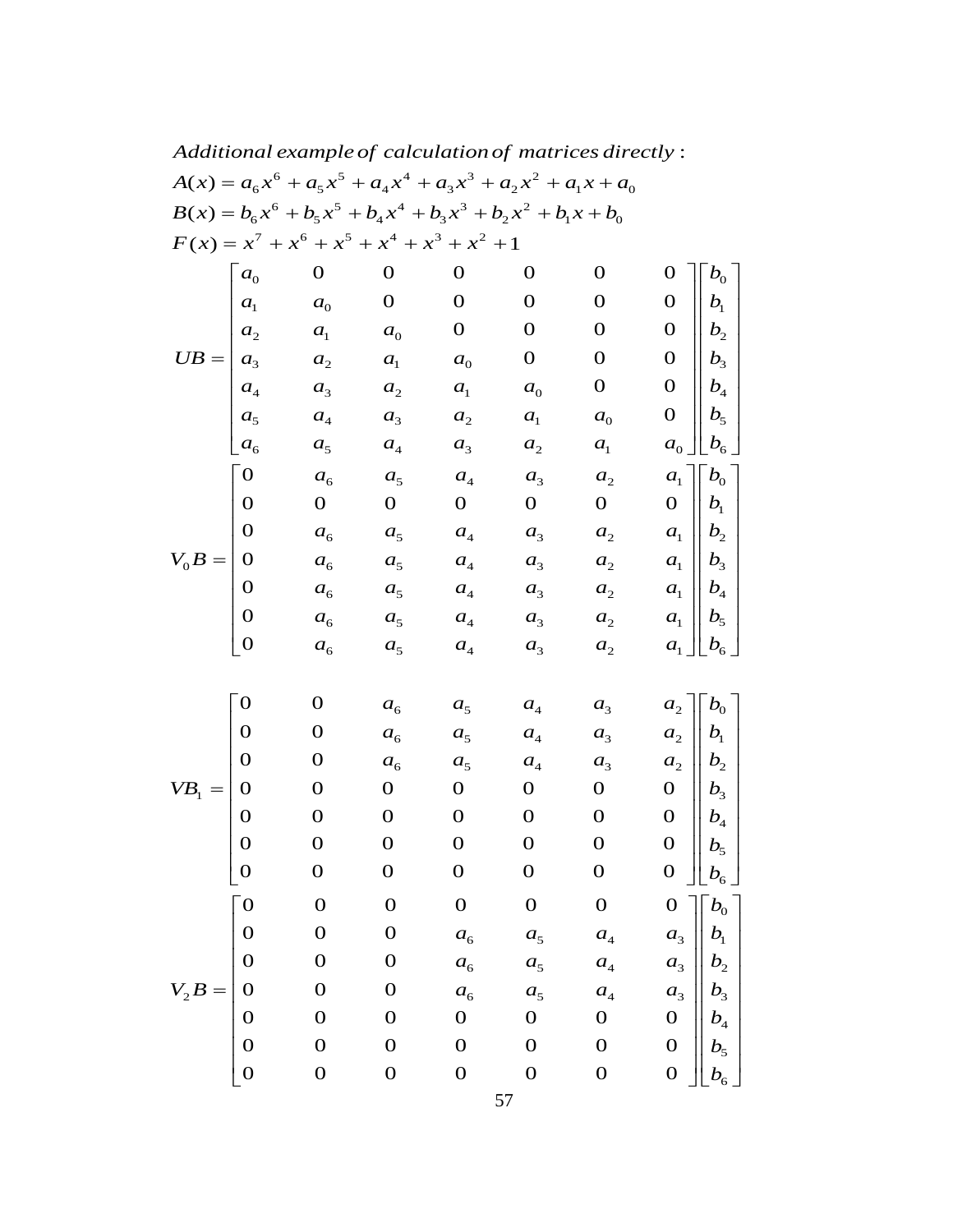|                                                                        | Additional example of calculation of matrices directly:                                                                |                  |                    |                  |                  |                    |                   |                                                                                                                                                                   |
|------------------------------------------------------------------------|------------------------------------------------------------------------------------------------------------------------|------------------|--------------------|------------------|------------------|--------------------|-------------------|-------------------------------------------------------------------------------------------------------------------------------------------------------------------|
|                                                                        | $A(x) = a_6x^6 + a_5x^5 + a_4x^4 + a_3x^3 + a_2x^2 + a_1x + a_0$                                                       |                  |                    |                  |                  |                    |                   |                                                                                                                                                                   |
|                                                                        | $B(x) = b_6 x^6 + b_5 x^5 + b_4 x^4 + b_3 x^3 + b_2 x^2 + b_1 x + b_0$                                                 |                  |                    |                  |                  |                    |                   |                                                                                                                                                                   |
|                                                                        | $F(x) = x7 + x6 + x5 + x4 + x3 + x2 + 1$                                                                               |                  |                    |                  |                  |                    |                   |                                                                                                                                                                   |
|                                                                        | $UB = \begin{bmatrix} a_0 & 0 \\ a_1 & a_0 & 0 \\ a_2 & a_1 & a_0 \\ a_3 & a_2 & a_1 \\ a_4 & a_3 & a_2 \end{bmatrix}$ |                  |                    | $\mathbf 0$      | $\mathbf{O}$     | $\mathbf{0}$       |                   | $b_{\scriptscriptstyle 0}^{}$                                                                                                                                     |
|                                                                        |                                                                                                                        |                  |                    | $\mathbf{O}$     | $\mathbf{O}$     | $\boldsymbol{0}$   | $\mathbf{O}$      | $b_{\!\scriptscriptstyle 1}^{}$                                                                                                                                   |
|                                                                        |                                                                                                                        |                  |                    | $\mathbf{O}$     | $\mathbf{O}$     | $\mathbf 0$        | 0 <sup>1</sup>    | $b_{2}$                                                                                                                                                           |
|                                                                        |                                                                                                                        |                  |                    | $a_0$            | $\mathbf{O}$     | $\boldsymbol{0}$   | $0$               | b <sub>3</sub>                                                                                                                                                    |
| $\begin{vmatrix} a_4 \\ a_5 \end{vmatrix}$                             |                                                                                                                        |                  |                    | a <sub>1</sub>   | a <sub>0</sub>   | $\boldsymbol{0}$   | 0 <sup>1</sup>    | $b_4\,$                                                                                                                                                           |
|                                                                        |                                                                                                                        | $a_4$            | $a_3$              | a <sub>2</sub>   | a <sub>1</sub>   | a <sub>0</sub>     | $\boldsymbol{0}$  | b <sub>5</sub>                                                                                                                                                    |
|                                                                        | a <sub>6</sub>                                                                                                         | a <sub>5</sub>   | $\boldsymbol{a}_4$ | a <sub>3</sub>   | a <sub>2</sub>   | $a_{1}$            | $a_{0}$           | $\lfloor b_6 \rfloor$                                                                                                                                             |
|                                                                        | $\mid 0$                                                                                                               | $a_{6}$          | a <sub>5</sub>     | $a_{4}$          | a <sub>3</sub>   | $a_{2}$            | a <sub>1</sub>    | $b_0$                                                                                                                                                             |
|                                                                        | $\boldsymbol{0}$                                                                                                       | $\mathbf{O}$     | $\mathbf{0}$       | $\mathbf{0}$     | $\mathbf{0}$     | 0                  | $\boldsymbol{0}$  | $b_{\!\scriptscriptstyle 1}^{}$                                                                                                                                   |
|                                                                        | $\mathbf 0$                                                                                                            | $a_{6}$          | a <sub>5</sub>     | a <sub>4</sub>   | a <sub>3</sub>   | a <sub>2</sub>     | $a_{1}$           | $b_{2}$                                                                                                                                                           |
|                                                                        |                                                                                                                        | $a_{6}$          | a <sub>5</sub>     | $a_4$            | a <sub>3</sub>   | a <sub>2</sub>     | $a_{1}$           | b <sub>3</sub>                                                                                                                                                    |
| $V_0 B = \begin{bmatrix} 0 \\ 0 \\ 0 \end{bmatrix}$                    | $\Big \begin{smallmatrix} 0 \ 0 \ 0 \end{smallmatrix}$                                                                 | $a_{6}$          | a <sub>5</sub>     | $a_4$            | a <sub>3</sub>   | a <sub>2</sub>     | a <sub>1</sub>    | $b_4$                                                                                                                                                             |
|                                                                        |                                                                                                                        | $a_{6}$          | a <sub>5</sub>     | a <sub>4</sub>   | a <sub>3</sub>   | $a_{2}$            | $a_{1}$           | b <sub>5</sub>                                                                                                                                                    |
|                                                                        | $\mathbf 0$                                                                                                            | $a_{6}$          | a <sub>5</sub>     | $a_4$            | a <sub>3</sub>   | $a_{2}$            | $a_{1}$           | $\lfloor b_6\rfloor$                                                                                                                                              |
|                                                                        |                                                                                                                        |                  |                    |                  |                  |                    |                   |                                                                                                                                                                   |
|                                                                        | $\boldsymbol{0}$                                                                                                       | $\mathbf 0$      | $a_{6}$            | a <sub>5</sub>   | $a_4$            | $a_{3}$            | $a_{2}$           | $b_{\scriptscriptstyle 0}^{}$                                                                                                                                     |
|                                                                        | $\boldsymbol{0}$                                                                                                       | $\boldsymbol{0}$ | $a_{6}$            | a <sub>5</sub>   | $a_4$            | a <sub>3</sub>     | a <sub>2</sub>    | $b_{\!\scriptscriptstyle 1}^{}$                                                                                                                                   |
|                                                                        | $\mid 0 \mid$                                                                                                          | $\boldsymbol{0}$ | $a_{6}$            | a <sub>5</sub>   | a <sub>4</sub>   | a <sub>3</sub>     | $a_{2}$           | $b_{2}$                                                                                                                                                           |
| $VB_1 =$                                                               | $\boldsymbol{0}$                                                                                                       | $\bf{0}$         | $\mathbf{O}$       | $\mathbf{0}$     | $\mathbf{O}$     | $\mathbf{O}$       | $0 \parallel b_3$ |                                                                                                                                                                   |
|                                                                        | $\boldsymbol{0}$                                                                                                       | $\boldsymbol{0}$ | $\boldsymbol{0}$   | $\boldsymbol{0}$ | 0                | $\boldsymbol{0}$   | $0 \parallel b_4$ |                                                                                                                                                                   |
|                                                                        | $\begin{matrix}0\\0\end{matrix}$                                                                                       | $\mathbf 0$      | $\mathbf 0$        | $\mathbf 0$      | $\boldsymbol{0}$ | $\mathbf 0$        | $\mathbf 0$       | $b_{\scriptscriptstyle 5}$                                                                                                                                        |
|                                                                        |                                                                                                                        | $\mathbf 0$      | $\mathbf 0$        | $\mathbf 0$      | $\boldsymbol{0}$ | $\mathbf 0$        | $\mathbf 0$       | $b_{\scriptscriptstyle 6}^{}$ $\rfloor$                                                                                                                           |
|                                                                        |                                                                                                                        | $\boldsymbol{0}$ | $\mathbf 0$        | $\boldsymbol{0}$ | $\mathbf{O}$     | $\boldsymbol{0}$   | $\mathbf 0$       | $\begin{bmatrix} b_0 \end{bmatrix}$                                                                                                                               |
|                                                                        |                                                                                                                        | $\boldsymbol{0}$ | $\mathbf 0$        | $a_{6}$          | a <sub>5</sub>   | $a_4$              |                   |                                                                                                                                                                   |
|                                                                        |                                                                                                                        | $\boldsymbol{0}$ | $\mathbf 0$        | $a_{6}$          | a <sub>5</sub>   | $a_{4}$            |                   |                                                                                                                                                                   |
|                                                                        |                                                                                                                        | $\mathbf{O}$     | $\boldsymbol{0}$   | $a_{6}$          | a <sub>5</sub>   | $\boldsymbol{a}_4$ |                   | $\begin{bmatrix} a_3 \ a_4 \ a_3 \ a_4 \end{bmatrix}$ $\begin{bmatrix} b_1 \ b_2 \ b_3 \ b_4 \ b_5 \end{bmatrix}$ $\begin{bmatrix} b_4 \ b_5 \ b_6 \end{bmatrix}$ |
|                                                                        |                                                                                                                        | $\mathbf{O}$     | $\mathbf 0$        | $\mathbf 0$      | $\boldsymbol{0}$ | $\boldsymbol{0}$   |                   |                                                                                                                                                                   |
|                                                                        |                                                                                                                        | $\mathbf{O}$     | $\boldsymbol{0}$   | $\boldsymbol{0}$ | $\boldsymbol{0}$ | $\boldsymbol{0}$   |                   |                                                                                                                                                                   |
| $V_2B = \begin{bmatrix} 0 \\ 0 \\ 0 \\ 0 \\ 0 \\ 0 \\ 0 \end{bmatrix}$ |                                                                                                                        | $\mathbf 0$      | $\mathbf 0$        | $\boldsymbol{0}$ | $\boldsymbol{0}$ | $\boldsymbol{0}$   |                   |                                                                                                                                                                   |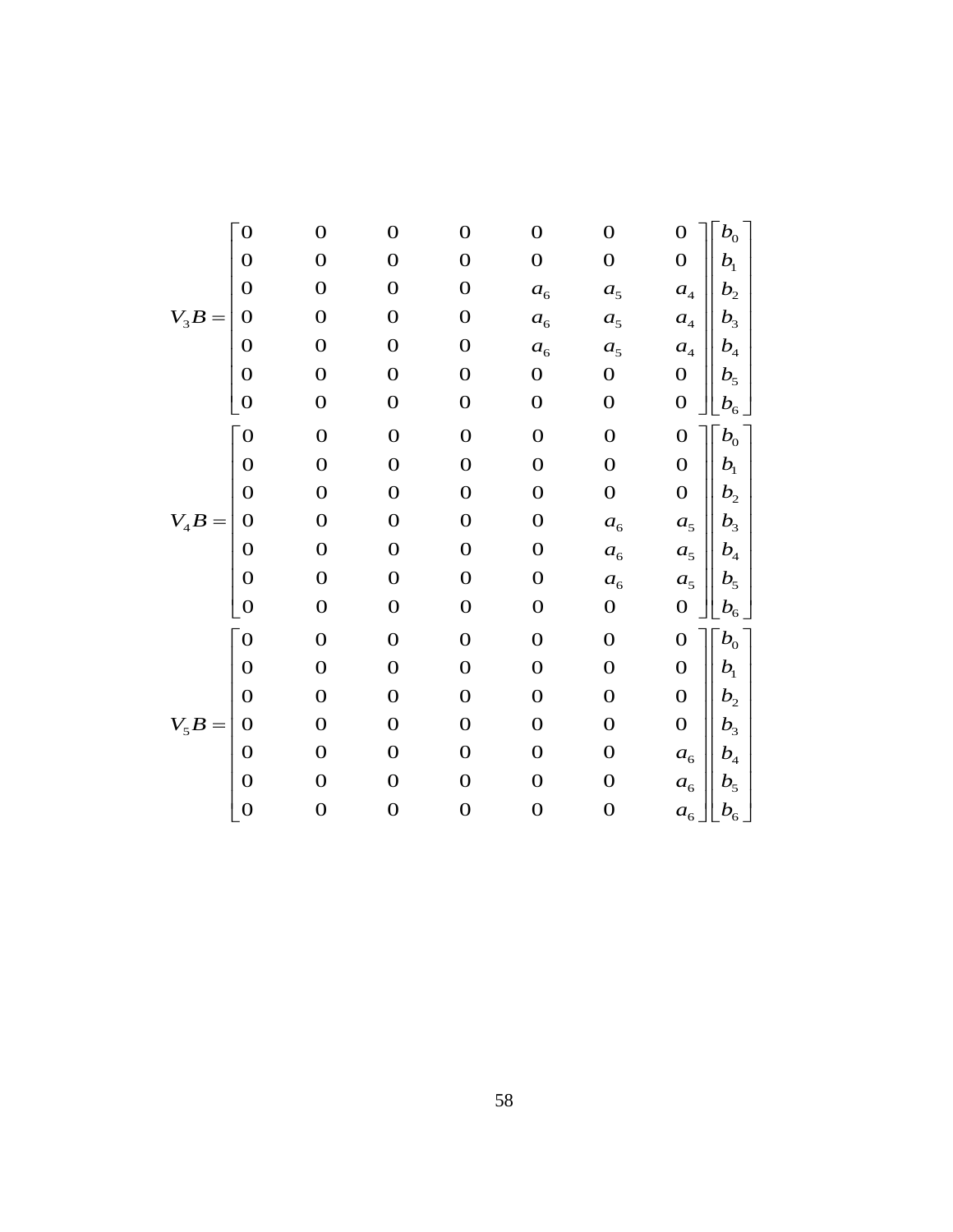|            | $\bar{0}$        | $\boldsymbol{0}$ | $\mathbf 0$      | $\mathbf 0$      | $\boldsymbol{0}$   | $\mathbf 0$              | $\overline{0}$   | $b_{0}$                       |
|------------|------------------|------------------|------------------|------------------|--------------------|--------------------------|------------------|-------------------------------|
|            | $\mathbf 0$      | $\boldsymbol{0}$ | $\mathbf 0$      | $\boldsymbol{0}$ | $\boldsymbol{0}$   | $\boldsymbol{0}$         | $\boldsymbol{0}$ | b <sub>1</sub>                |
|            | $\mathbf 0$      | $\boldsymbol{0}$ | $\mathbf 0$      | $\mathbf 0$      | $a_{6}$            | a <sub>5</sub>           | a <sub>4</sub>   | $b_{\scriptscriptstyle 2}$    |
| $V_{3}B =$ | $\overline{0}$   | $\boldsymbol{0}$ | $\mathbf 0$      | $\mathbf 0$      | $\boldsymbol{a}_6$ | a <sub>5</sub>           | a <sub>4</sub>   | $b_{3}$                       |
|            | $\boldsymbol{0}$ | $\boldsymbol{0}$ | $\mathbf 0$      | $\mathbf 0$      | $a_{6}$            | a <sub>5</sub>           | $a_4$            | $b_{\scriptscriptstyle 4}$    |
|            | $\mathbf 0$      | $\boldsymbol{0}$ | $\overline{0}$   | $\mathbf 0$      | $\boldsymbol{0}$   | $\boldsymbol{0}$         | $\mathbf 0$      | $b_{\rm 5}$                   |
|            | $\mathbf 0$      | $\boldsymbol{0}$ | $\mathbf 0$      | $\boldsymbol{0}$ | $\boldsymbol{0}$   | $\boldsymbol{0}$         | $\mathbf 0$      | $b_{\scriptscriptstyle 6}$ .  |
|            | $\mathbf{O}$     | $\boldsymbol{0}$ | $\boldsymbol{0}$ | $\mathbf 0$      | $\mathbf 0$        | $\mathbf 0$              | $\overline{0}$   | $b_{\scriptscriptstyle 0}$    |
|            | $\mathbf 0$      | $\boldsymbol{0}$ | $\boldsymbol{0}$ | $\boldsymbol{0}$ | $\boldsymbol{0}$   | $\boldsymbol{0}$         | $\mathbf 0$      | $b_{\!\scriptscriptstyle 1}$  |
|            | $\mathbf 0$      | $\mathbf 0$      | $\overline{0}$   | $\mathbf 0$      | $\boldsymbol{0}$   | $\mathbf 0$              | $\boldsymbol{0}$ | b <sub>2</sub>                |
| $V_4B =$   | $\boldsymbol{0}$ | $\boldsymbol{0}$ | $\boldsymbol{0}$ | $\boldsymbol{0}$ | $\boldsymbol{0}$   | $a_{6}$                  | a <sub>5</sub>   | $b_{\scriptscriptstyle 3}$    |
|            | $\mathbf 0$      | $\boldsymbol{0}$ | $\boldsymbol{0}$ | $\boldsymbol{0}$ | $\boldsymbol{0}$   | $a_{6}$                  | a <sub>5</sub>   | $b_{\scriptscriptstyle 4}$    |
|            | $\overline{O}$   | $\boldsymbol{0}$ | $\boldsymbol{0}$ | $\boldsymbol{0}$ | $\boldsymbol{0}$   | $\boldsymbol{a}_{\rm 6}$ | a <sub>5</sub>   | $b_{\rm 5}$                   |
|            | $\mathbf 0$      | $\mathbf 0$      | $\boldsymbol{0}$ | $\mathbf 0$      | $\mathbf 0$        | $\mathbf 0$              | $\mathbf 0$      | $b_{\scriptscriptstyle 6}$    |
|            | $\mathbf 0$      | $\mathbf 0$      | $\overline{0}$   | $\mathbf 0$      | $\overline{0}$     | $\mathbf 0$              | $\overline{0}$   | $b_{\scriptscriptstyle 0}$    |
|            | $\mathbf 0$      | $\mathbf 0$      | $\mathbf 0$      | $\mathbf 0$      | $\boldsymbol{0}$   | $\mathbf 0$              | $\mathbf 0$      | $b_{\rm i}$                   |
|            | $\overline{0}$   | $\boldsymbol{0}$ | $\mathbf 0$      | $\boldsymbol{0}$ | $\boldsymbol{0}$   | $\boldsymbol{0}$         | $\mathbf 0$      | b <sub>2</sub>                |
| $V_5B=$    | $\overline{0}$   | $\boldsymbol{0}$ | $\mathbf 0$      | $\boldsymbol{0}$ | $\boldsymbol{0}$   | $\boldsymbol{0}$         | $\mathbf 0$      | b <sub>3</sub>                |
|            | $\boldsymbol{0}$ | $\boldsymbol{0}$ | $\boldsymbol{0}$ | $\boldsymbol{0}$ | $\boldsymbol{0}$   | $\mathbf 0$              | $a_{6}$          | b <sub>4</sub>                |
|            | $\mathbf 0$      | $\mathbf 0$      | $\mathbf 0$      | $\mathbf 0$      | $\boldsymbol{0}$   | $\mathbf 0$              | $a_{6}$          | $b_{\rm 5}$                   |
|            | $\mathbf 0$      | $\mathbf 0$      | $\mathbf 0$      | $\mathbf 0$      | $\boldsymbol{0}$   | $\mathbf 0$              | $a_{6}$          | $b_{\scriptscriptstyle 6}^{}$ |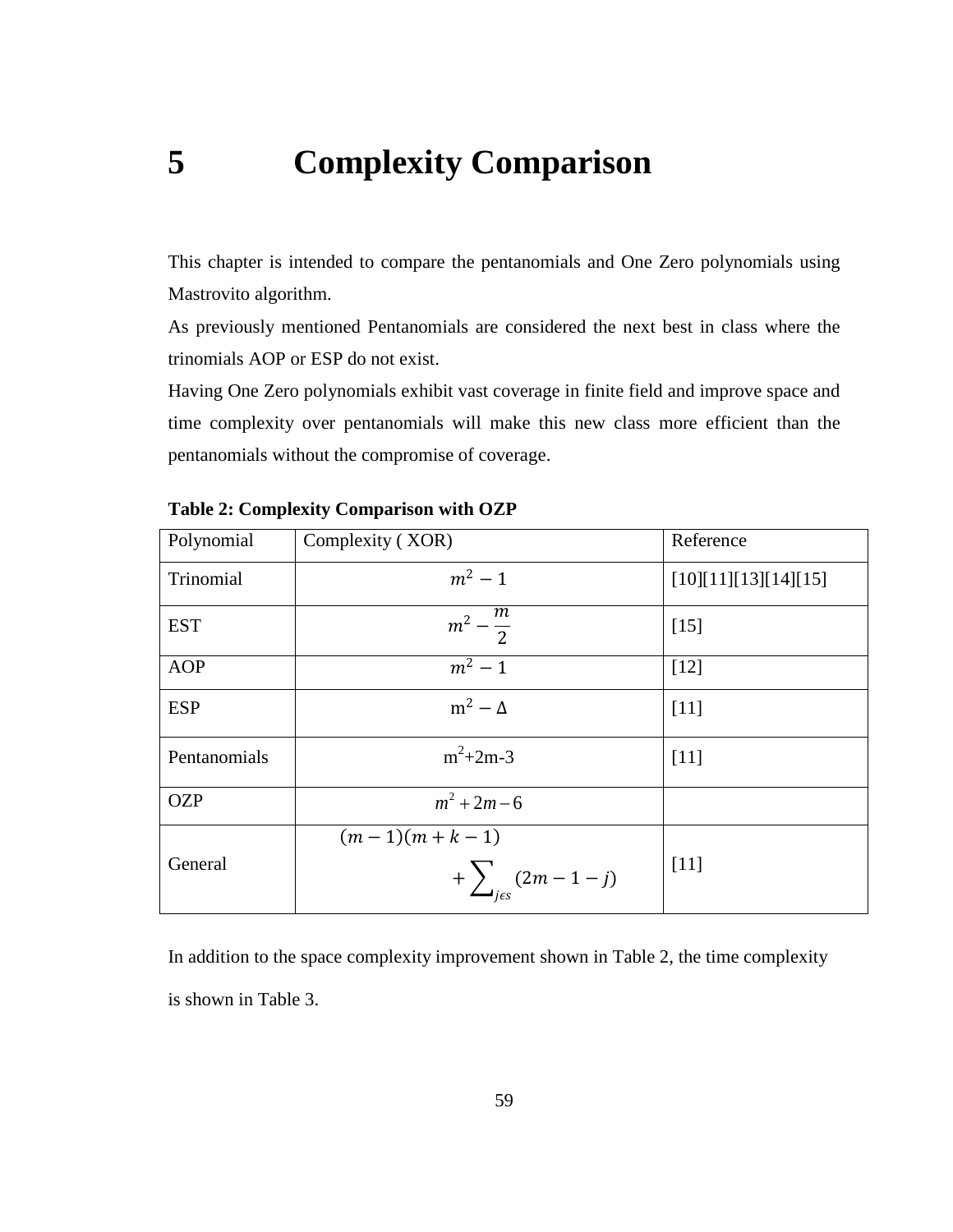# **5 Complexity Comparison**

This chapter is intended to compare the pentanomials and One Zero polynomials using Mastrovito algorithm.

As previously mentioned Pentanomials are considered the next best in class where the trinomials AOP or ESP do not exist.

Having One Zero polynomials exhibit vast coverage in finite field and improve space and time complexity over pentanomials will make this new class more efficient than the pentanomials without the compromise of coverage.

| Polynomial   | Complexity (XOR)                           | Reference            |
|--------------|--------------------------------------------|----------------------|
| Trinomial    | $m^2 - 1$                                  | [10][11][13][14][15] |
| <b>EST</b>   | $m^2 - \frac{m}{2}$                        | $[15]$               |
| <b>AOP</b>   | $m^2 - 1$                                  | $[12]$               |
| <b>ESP</b>   | $m^2 - \Delta$                             | $[11]$               |
| Pentanomials | $m^2+2m-3$                                 | $[11]$               |
| <b>OZP</b>   | $m^2 + 2m - 6$                             |                      |
| General      | $(m-1)(m+k-1)$<br>$+\sum_{i\in S}(2m-1-j)$ | $[11]$               |

| Table 2: Complexity Comparison with OZP |  |  |  |  |  |
|-----------------------------------------|--|--|--|--|--|
|-----------------------------------------|--|--|--|--|--|

In addition to the space complexity improvement shown in Table 2, the time complexity is shown in Table 3.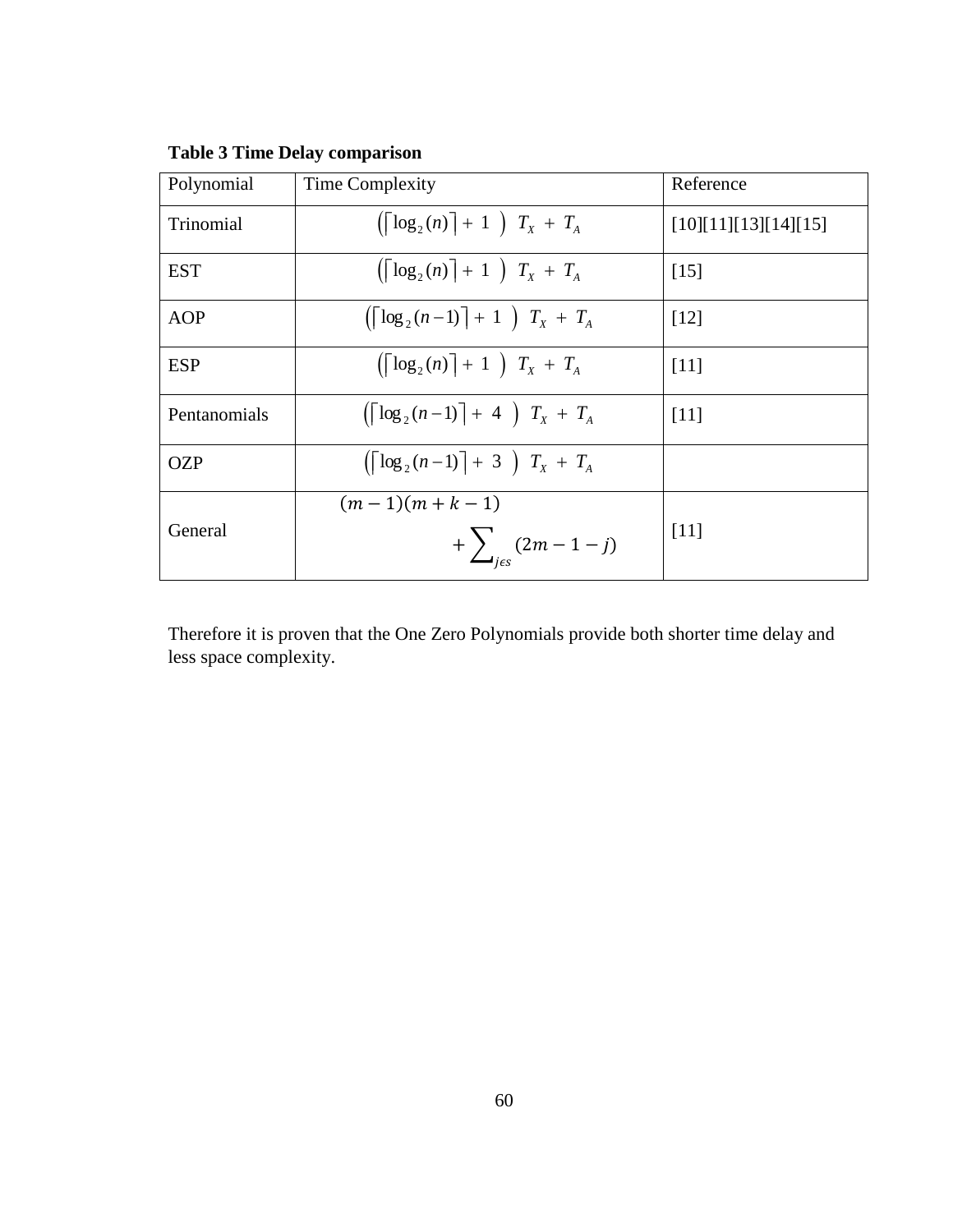| Polynomial   | Time Complexity                                   | Reference            |
|--------------|---------------------------------------------------|----------------------|
| Trinomial    | $(\lceil \log_2(n) \rceil + 1)$ $T_X + T_A$       | [10][11][13][14][15] |
| <b>EST</b>   | $(\lceil \log_2(n) \rceil + 1)$ $T_X + T_A$       | [15]                 |
| <b>AOP</b>   | $(\lceil \log_2(n-1) \rceil + 1)$ $T_X + T_A$     | [12]                 |
| <b>ESP</b>   | $(\lceil \log_2(n) \rceil + 1)$ $T_X + T_A$       | [11]                 |
| Pentanomials | $(\lceil \log_2(n-1) \rceil + 4)$ $T_X + T_A$     | [11]                 |
| <b>OZP</b>   | $(\lceil \log_2(n-1) \rceil + 3)$ $T_x + T_A$     |                      |
| General      | $(m-1)(m+k-1)$<br>+ $\sum_{i \in S} (2m - 1 - j)$ | [11]                 |

**Table 3 Time Delay comparison**

Therefore it is proven that the One Zero Polynomials provide both shorter time delay and less space complexity.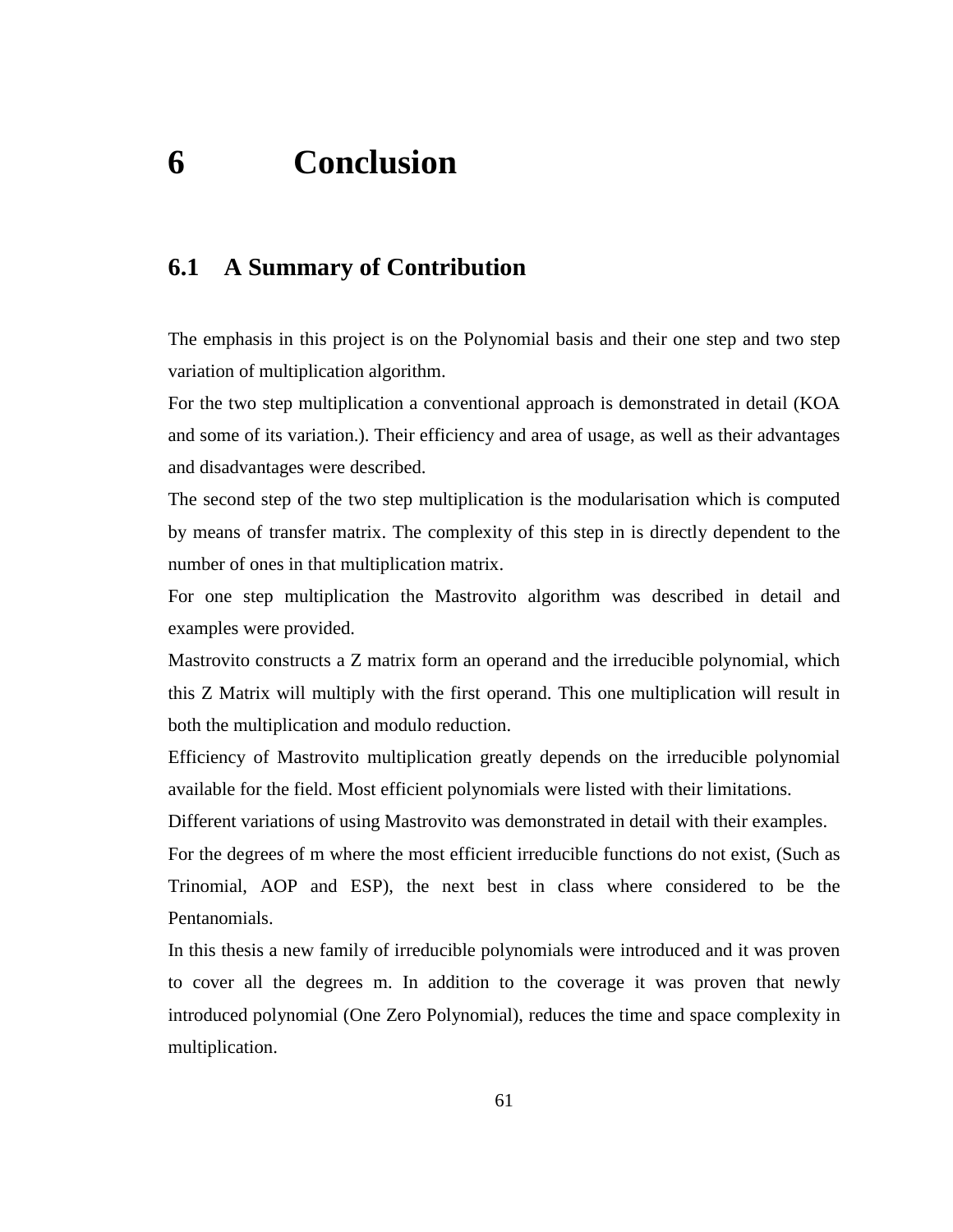### **6 Conclusion**

#### **6.1 A Summary of Contribution**

The emphasis in this project is on the Polynomial basis and their one step and two step variation of multiplication algorithm.

For the two step multiplication a conventional approach is demonstrated in detail (KOA and some of its variation.). Their efficiency and area of usage, as well as their advantages and disadvantages were described.

The second step of the two step multiplication is the modularisation which is computed by means of transfer matrix. The complexity of this step in is directly dependent to the number of ones in that multiplication matrix.

For one step multiplication the Mastrovito algorithm was described in detail and examples were provided.

Mastrovito constructs a Z matrix form an operand and the irreducible polynomial, which this Z Matrix will multiply with the first operand. This one multiplication will result in both the multiplication and modulo reduction.

Efficiency of Mastrovito multiplication greatly depends on the irreducible polynomial available for the field. Most efficient polynomials were listed with their limitations.

Different variations of using Mastrovito was demonstrated in detail with their examples.

For the degrees of m where the most efficient irreducible functions do not exist, (Such as Trinomial, AOP and ESP), the next best in class where considered to be the Pentanomials.

In this thesis a new family of irreducible polynomials were introduced and it was proven to cover all the degrees m. In addition to the coverage it was proven that newly introduced polynomial (One Zero Polynomial), reduces the time and space complexity in multiplication.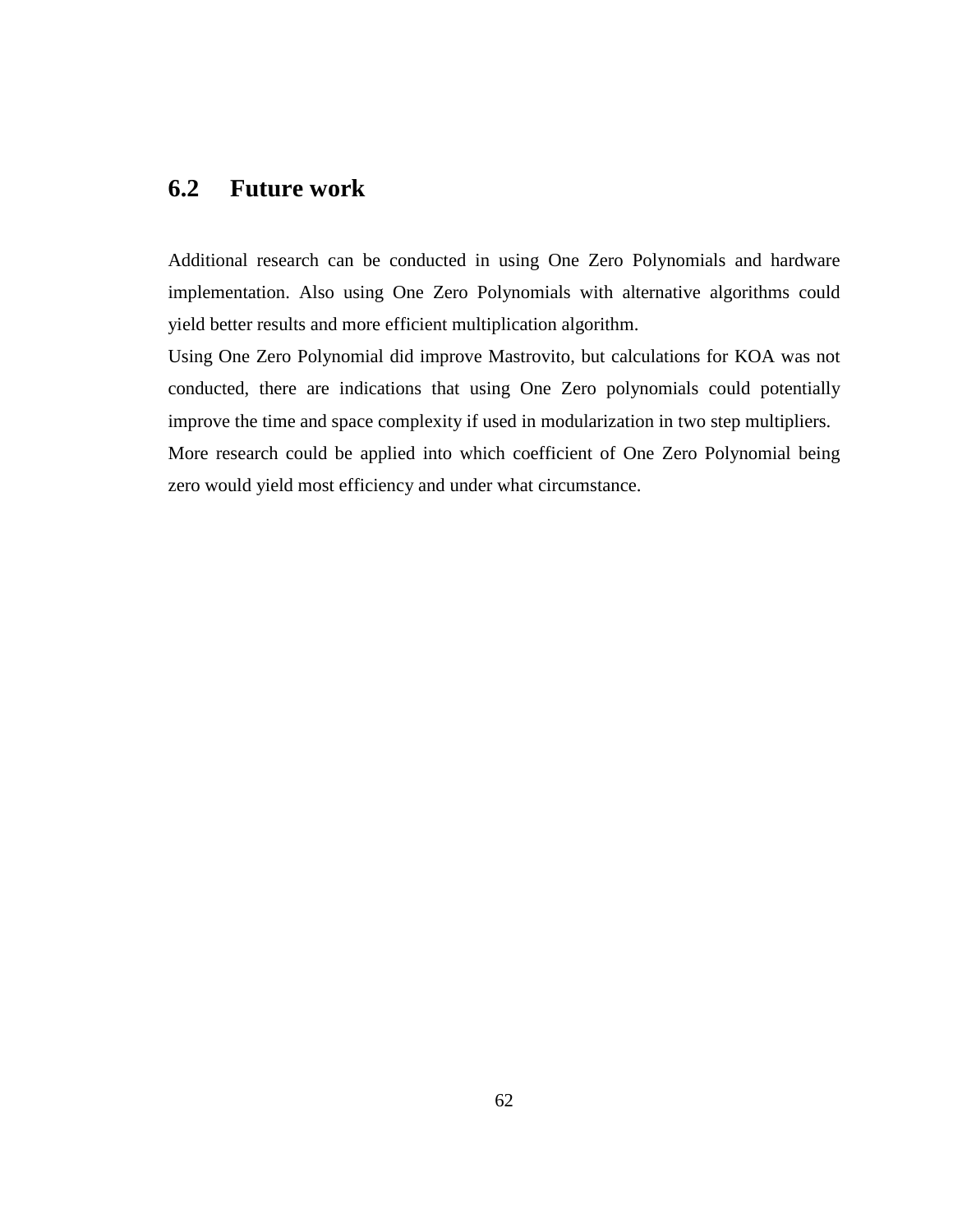### **6.2 Future work**

Additional research can be conducted in using One Zero Polynomials and hardware implementation. Also using One Zero Polynomials with alternative algorithms could yield better results and more efficient multiplication algorithm.

Using One Zero Polynomial did improve Mastrovito, but calculations for KOA was not conducted, there are indications that using One Zero polynomials could potentially improve the time and space complexity if used in modularization in two step multipliers.

More research could be applied into which coefficient of One Zero Polynomial being zero would yield most efficiency and under what circumstance.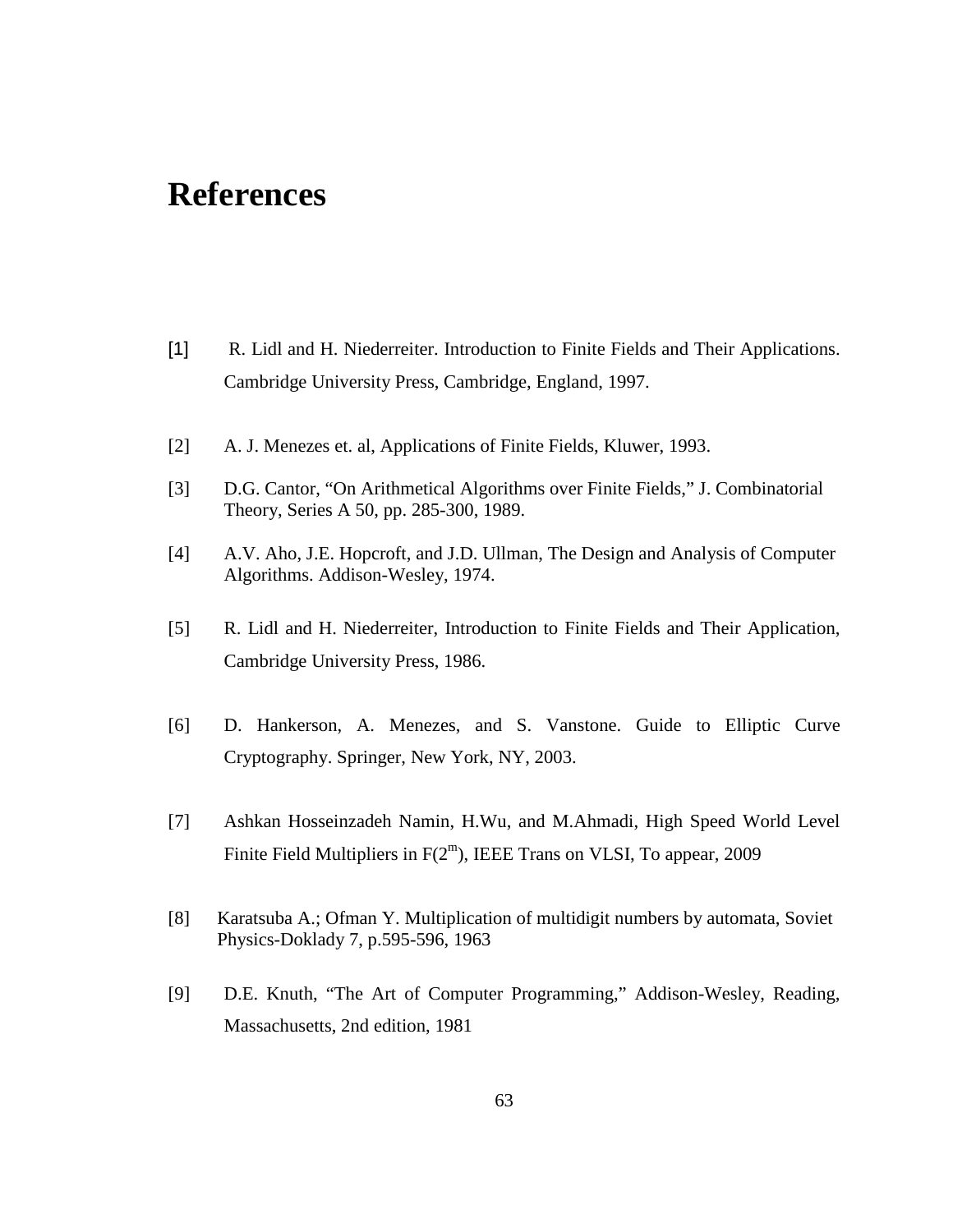## **References**

- [1] R. Lidl and H. Niederreiter. Introduction to Finite Fields and Their Applications. Cambridge University Press, Cambridge, England, 1997.
- [2] A. J. Menezes et. al, Applications of Finite Fields, Kluwer, 1993.
- [3] D.G. Cantor, "On Arithmetical Algorithms over Finite Fields," J. Combinatorial Theory, Series A 50, pp. 285-300, 1989.
- [4] A.V. Aho, J.E. Hopcroft, and J.D. Ullman, The Design and Analysis of Computer Algorithms. Addison-Wesley, 1974.
- [5] R. Lidl and H. Niederreiter, Introduction to Finite Fields and Their Application, Cambridge University Press, 1986.
- [6] D. Hankerson, A. Menezes, and S. Vanstone. Guide to Elliptic Curve Cryptography. Springer, New York, NY, 2003.
- [7] Ashkan Hosseinzadeh Namin, H.Wu, and M.Ahmadi, High Speed World Level Finite Field Multipliers in  $F(2^m)$ , IEEE Trans on VLSI, To appear, 2009
- [8] Karatsuba A.; Ofman Y. Multiplication of multidigit numbers by automata, Soviet Physics-Doklady 7, p.595-596, 1963
- [9] D.E. Knuth, "The Art of Computer Programming," Addison-Wesley, Reading, Massachusetts, 2nd edition, 1981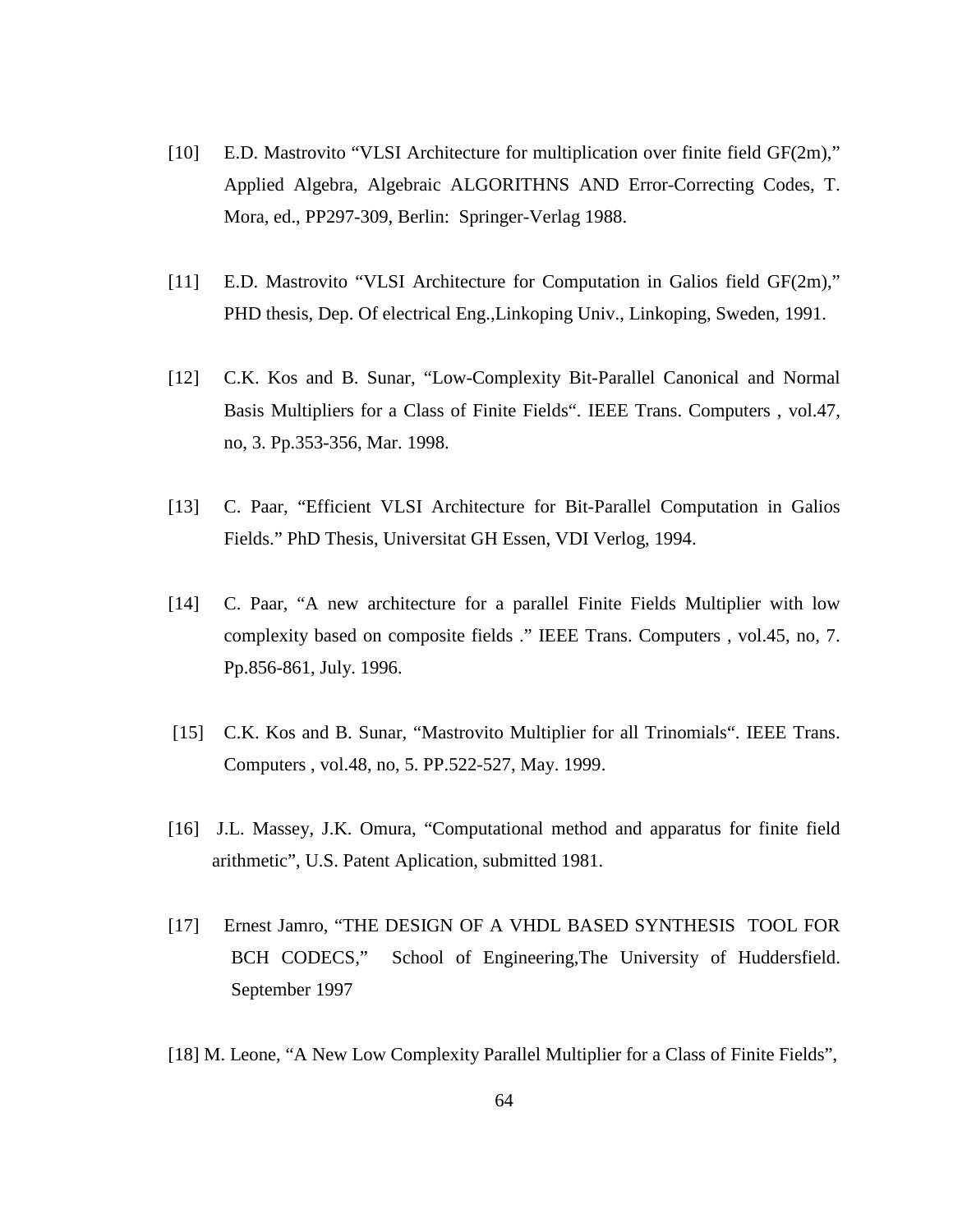- [10] E.D. Mastrovito "VLSI Architecture for multiplication over finite field GF(2m)," Applied Algebra, Algebraic ALGORITHNS AND Error-Correcting Codes, T. Mora, ed., PP297-309, Berlin: Springer-Verlag 1988.
- [11] E.D. Mastrovito "VLSI Architecture for Computation in Galios field GF(2m)," PHD thesis, Dep. Of electrical Eng.,Linkoping Univ., Linkoping, Sweden, 1991.
- [12] C.K. Kos and B. Sunar, "Low-Complexity Bit-Parallel Canonical and Normal Basis Multipliers for a Class of Finite Fields". IEEE Trans. Computers , vol.47, no, 3. Pp.353-356, Mar. 1998.
- [13] C. Paar, "Efficient VLSI Architecture for Bit-Parallel Computation in Galios Fields." PhD Thesis, Universitat GH Essen, VDI Verlog, 1994.
- [14] C. Paar, "A new architecture for a parallel Finite Fields Multiplier with low complexity based on composite fields ." IEEE Trans. Computers , vol.45, no, 7. Pp.856-861, July. 1996.
- [15] C.K. Kos and B. Sunar, "Mastrovito Multiplier for all Trinomials". IEEE Trans. Computers , vol.48, no, 5. PP.522-527, May. 1999.
- [16] J.L. Massey, J.K. Omura, "Computational method and apparatus for finite field arithmetic", U.S. Patent Aplication, submitted 1981.
- [17] Ernest Jamro, "THE DESIGN OF A VHDL BASED SYNTHESIS TOOL FOR BCH CODECS," School of Engineering,The University of Huddersfield. September 1997
- [18] M. Leone, "A New Low Complexity Parallel Multiplier for a Class of Finite Fields",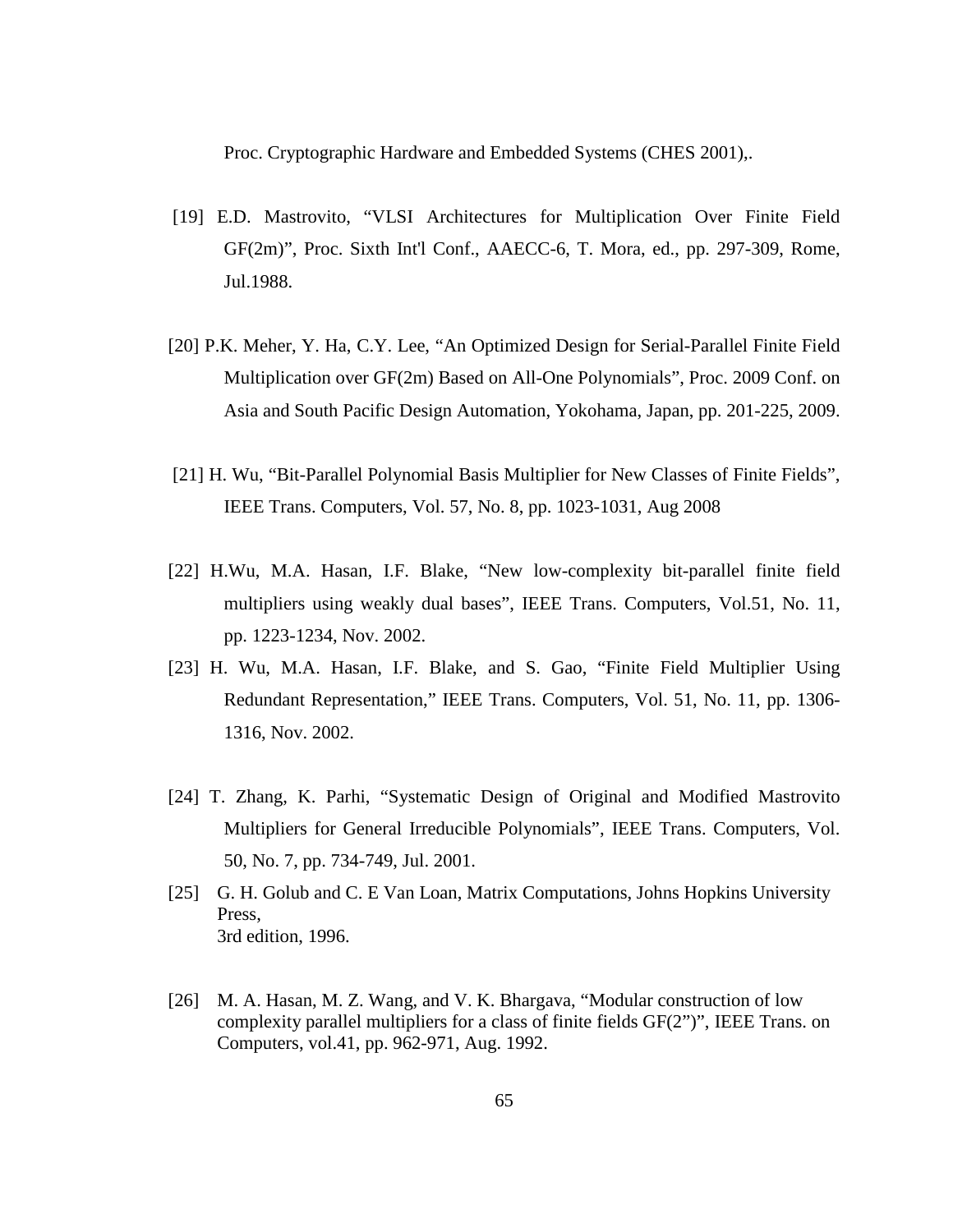Proc. Cryptographic Hardware and Embedded Systems (CHES 2001),.

- [19] E.D. Mastrovito, "VLSI Architectures for Multiplication Over Finite Field GF(2m)", Proc. Sixth Int'l Conf., AAECC-6, T. Mora, ed., pp. 297-309, Rome, Jul.1988.
- [20] P.K. Meher, Y. Ha, C.Y. Lee, "An Optimized Design for Serial-Parallel Finite Field Multiplication over GF(2m) Based on All-One Polynomials", Proc. 2009 Conf. on Asia and South Pacific Design Automation, Yokohama, Japan, pp. 201-225, 2009.
- [21] H. Wu, "Bit-Parallel Polynomial Basis Multiplier for New Classes of Finite Fields", IEEE Trans. Computers, Vol. 57, No. 8, pp. 1023-1031, Aug 2008
- [22] H.Wu, M.A. Hasan, I.F. Blake, "New low-complexity bit-parallel finite field multipliers using weakly dual bases", IEEE Trans. Computers, Vol.51, No. 11, pp. 1223-1234, Nov. 2002.
- [23] H. Wu, M.A. Hasan, I.F. Blake, and S. Gao, "Finite Field Multiplier Using Redundant Representation," IEEE Trans. Computers, Vol. 51, No. 11, pp. 1306- 1316, Nov. 2002.
- [24] T. Zhang, K. Parhi, "Systematic Design of Original and Modified Mastrovito Multipliers for General Irreducible Polynomials", IEEE Trans. Computers, Vol. 50, No. 7, pp. 734-749, Jul. 2001.
- [25] G. H. Golub and C. E Van Loan, Matrix Computations, Johns Hopkins University Press, 3rd edition, 1996.
- [26] M. A. Hasan, M. Z. Wang, and V. K. Bhargava, "Modular construction of low complexity parallel multipliers for a class of finite fields GF(2")", IEEE Trans. on Computers, vol.41, pp. 962-971, Aug. 1992.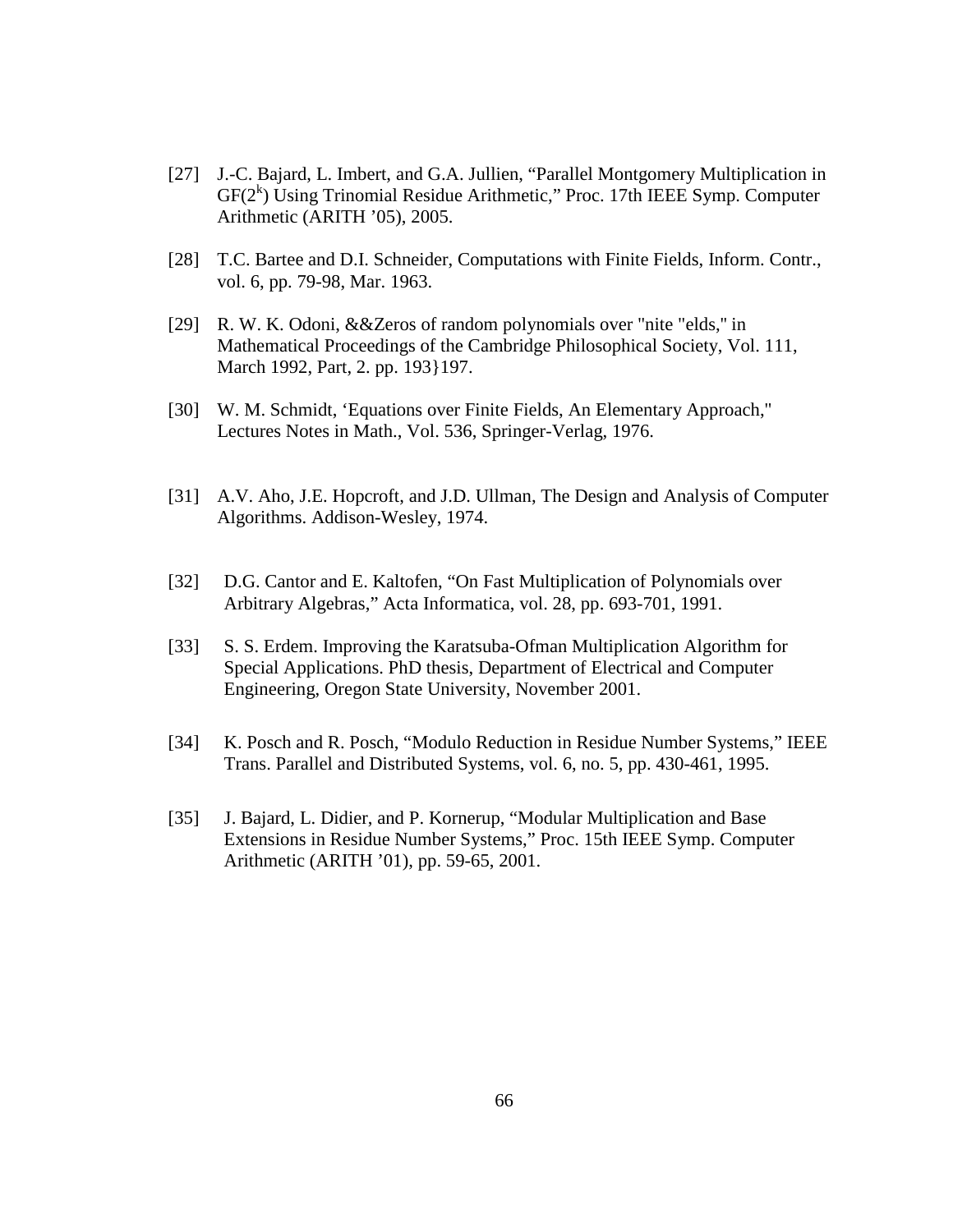- [27] J.-C. Bajard, L. Imbert, and G.A. Jullien, "Parallel Montgomery Multiplication in  $GF(2^k)$  Using Trinomial Residue Arithmetic," Proc. 17th IEEE Symp. Computer Arithmetic (ARITH '05), 2005.
- [28] T.C. Bartee and D.I. Schneider, Computations with Finite Fields, Inform. Contr., vol. 6, pp. 79-98, Mar. 1963.
- [29] R. W. K. Odoni, &&Zeros of random polynomials over "nite "elds,'' in Mathematical Proceedings of the Cambridge Philosophical Society, Vol. 111, March 1992, Part, 2. pp. 193}197.
- [30] W. M. Schmidt, 'Equations over Finite Fields, An Elementary Approach,'' Lectures Notes in Math., Vol. 536, Springer-Verlag, 1976.
- [31] A.V. Aho, J.E. Hopcroft, and J.D. Ullman, The Design and Analysis of Computer Algorithms. Addison-Wesley, 1974.
- [32] D.G. Cantor and E. Kaltofen, "On Fast Multiplication of Polynomials over Arbitrary Algebras," Acta Informatica, vol. 28, pp. 693-701, 1991.
- [33] S. S. Erdem. Improving the Karatsuba-Ofman Multiplication Algorithm for Special Applications. PhD thesis, Department of Electrical and Computer Engineering, Oregon State University, November 2001.
- [34] K. Posch and R. Posch, "Modulo Reduction in Residue Number Systems," IEEE Trans. Parallel and Distributed Systems, vol. 6, no. 5, pp. 430-461, 1995.
- [35] J. Bajard, L. Didier, and P. Kornerup, "Modular Multiplication and Base Extensions in Residue Number Systems," Proc. 15th IEEE Symp. Computer Arithmetic (ARITH '01), pp. 59-65, 2001.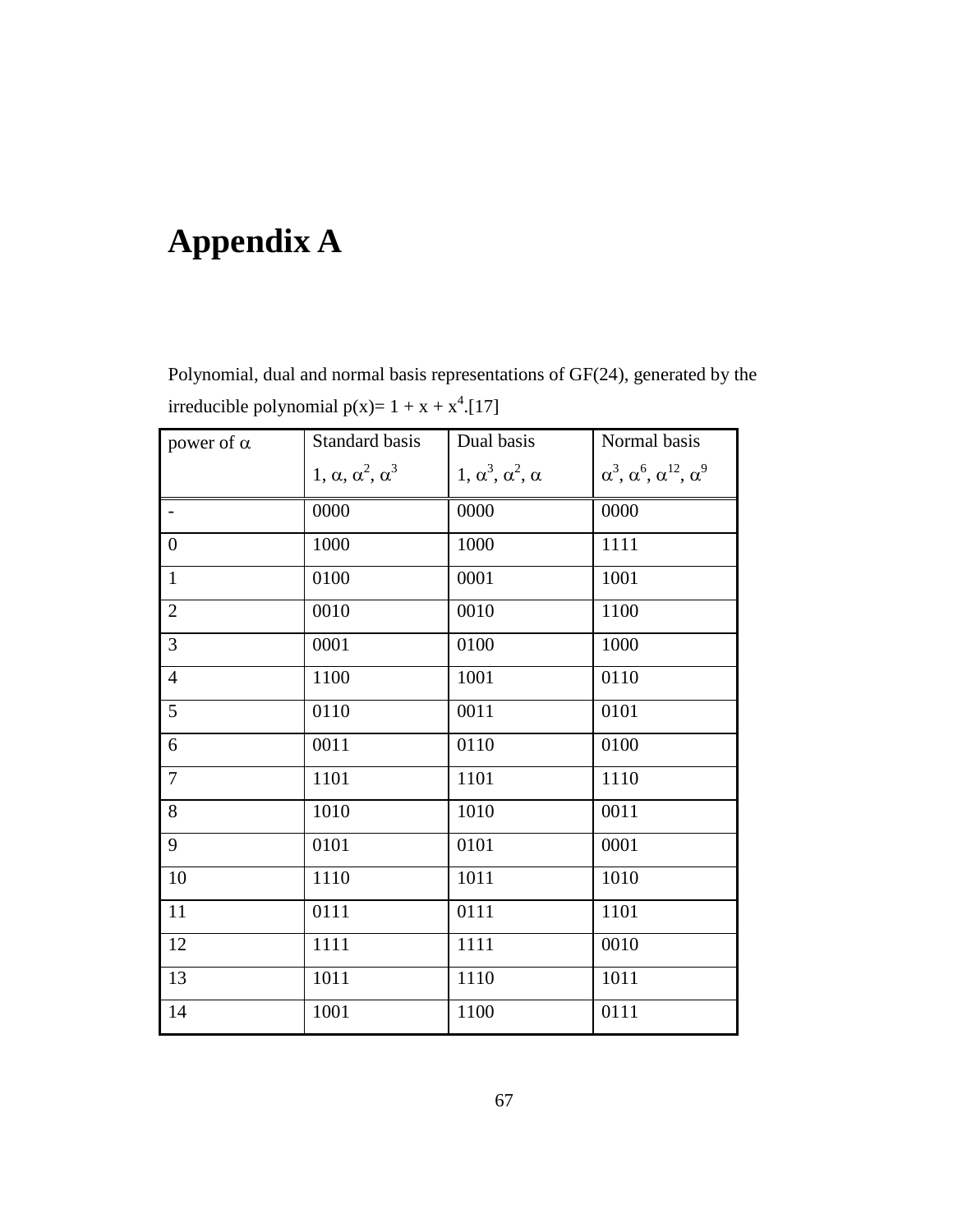# **Appendix A**

Polynomial, dual and normal basis representations of GF(24), generated by the irreducible polynomial  $p(x)= 1 + x + x^4$ .[17]

| power of $\alpha$ | Standard basis                  | Dual basis                      | Normal basis                                         |
|-------------------|---------------------------------|---------------------------------|------------------------------------------------------|
|                   | $1, \alpha, \alpha^2, \alpha^3$ | $1, \alpha^3, \alpha^2, \alpha$ | $\alpha^3$ , $\alpha^6$ , $\alpha^{12}$ , $\alpha^9$ |
|                   | 0000                            | 0000                            | 0000                                                 |
| $\overline{0}$    | 1000                            | 1000                            | 1111                                                 |
| $\mathbf{1}$      | 0100                            | 0001                            | 1001                                                 |
| $\overline{2}$    | 0010                            | 0010                            | 1100                                                 |
| 3                 | 0001                            | 0100                            | 1000                                                 |
| $\overline{4}$    | 1100                            | 1001                            | 0110                                                 |
| 5                 | 0110                            | 0011                            | 0101                                                 |
| 6                 | 0011                            | 0110                            | 0100                                                 |
| $\overline{7}$    | 1101                            | 1101                            | 1110                                                 |
| 8                 | 1010                            | 1010                            | 0011                                                 |
| 9                 | 0101                            | 0101                            | 0001                                                 |
| 10                | 1110                            | 1011                            | 1010                                                 |
| 11                | 0111                            | 0111                            | 1101                                                 |
| 12                | 1111                            | 1111                            | 0010                                                 |
| 13                | 1011                            | 1110                            | 1011                                                 |
| 14                | 1001                            | 1100                            | 0111                                                 |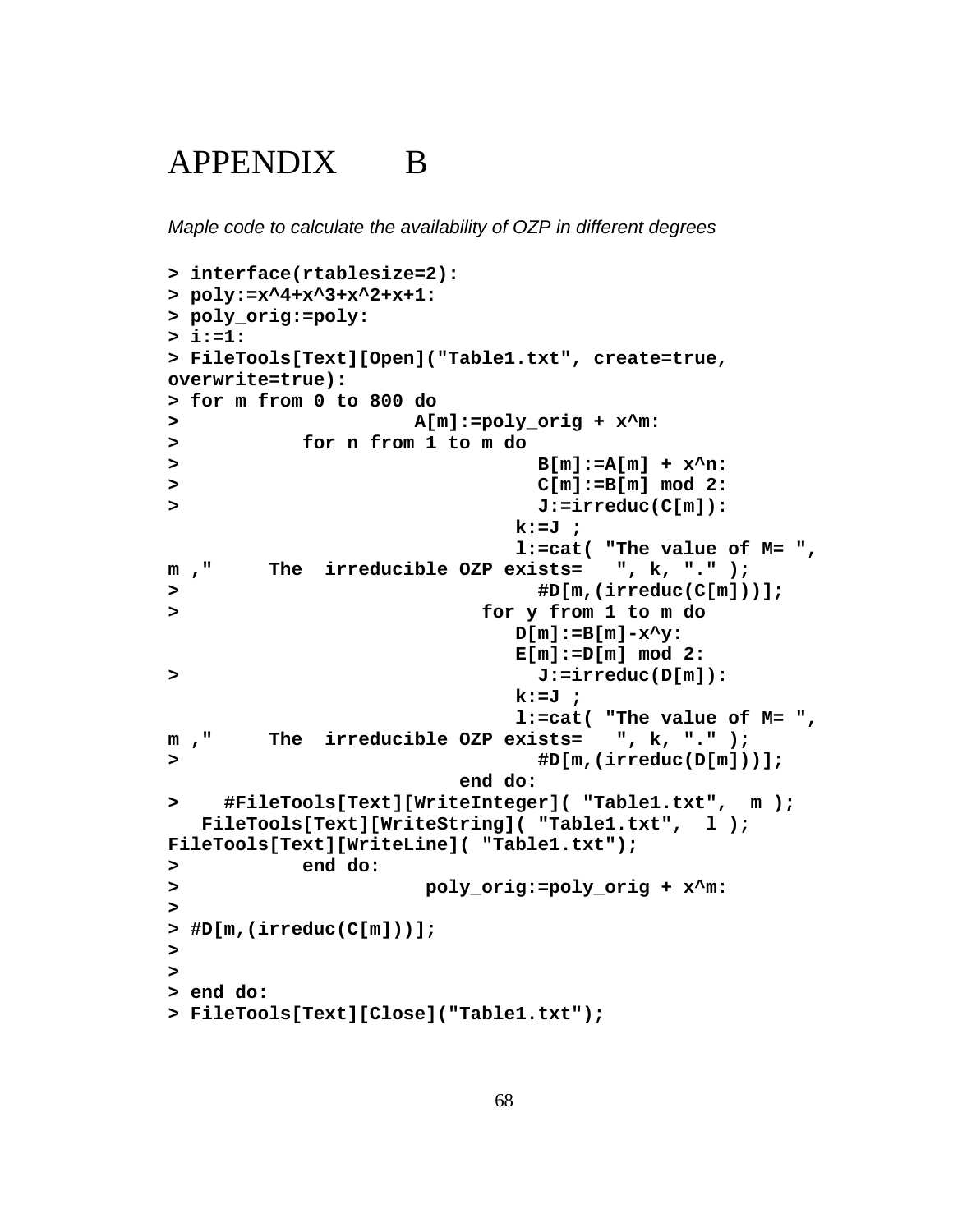## APPENDIX B

*Maple code to calculate the availability of OZP in different degrees*

```
> interface(rtablesize=2):
> poly:=x^4+x^3+x^2+x+1:
> poly_orig:=poly:
> i:=1:
> FileTools[Text][Open]("Table1.txt", create=true, 
overwrite=true):
> for m from 0 to 800 do
> A[m]:=poly_orig + x^m:
> for n from 1 to m do
> B[m]:=A[m] + x^n:
> C[m]:=B[m] mod 2: 
> J:=irreduc(C[m]):
                         k:=J ;
                        l:=cat( "The value of M= ", 
m ," The irreducible OZP exists= ", k, "." );
> #D[m,(irreduc(C[m]))]; 
> for y from 1 to m do 
                        D[m]:=B[m]-x^y:
                       E[m]:=D[m] mod 2:
> J:=irreduc(D[m]):
                        k:=J ;
                         l:=cat( "The value of M= ", 
m ," The irreducible OZP exists= ", k, "." );
> #D[m,(irreduc(D[m]))];
                     end do: 
> #FileTools[Text][WriteInteger]( "Table1.txt", m );
   FileTools[Text][WriteString]( "Table1.txt", l );
FileTools[Text][WriteLine]( "Table1.txt");
> end do:
> poly_orig:=poly_orig + x^m:
> 
> #D[m,(irreduc(C[m]))];
> 
> 
> end do:
> FileTools[Text][Close]("Table1.txt");
```